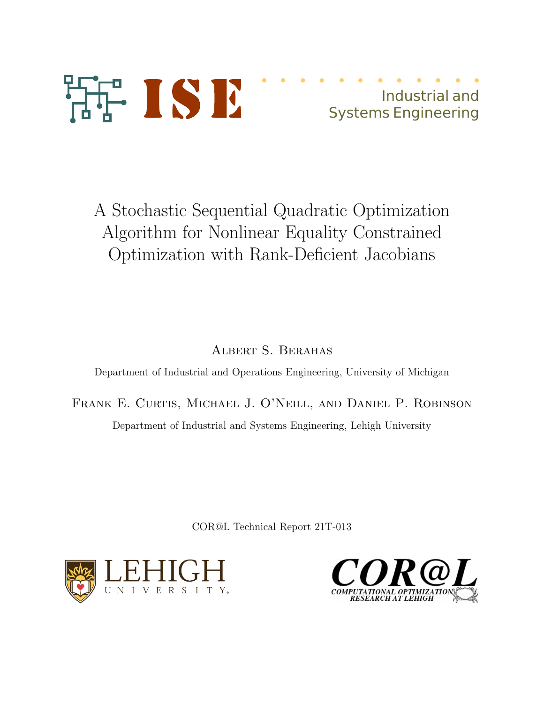

Industrial and Systems Engineering

A Stochastic Sequential Quadratic Optimization Algorithm for Nonlinear Equality Constrained Optimization with Rank-Deficient Jacobians

Albert S. Berahas

Department of Industrial and Operations Engineering, University of Michigan

Frank E. Curtis, Michael J. O'Neill, and Daniel P. Robinson Department of Industrial and Systems Engineering, Lehigh University

COR@L Technical Report 21T-013



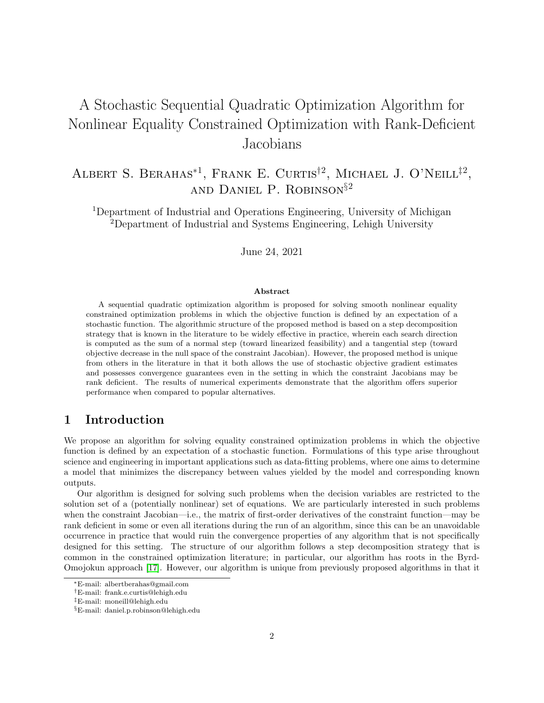# A Stochastic Sequential Quadratic Optimization Algorithm for Nonlinear Equality Constrained Optimization with Rank-Deficient Jacobians

## ALBERT S. BERAHAS<sup>\*1</sup>, FRANK E. CURTIS<sup>†2</sup>, MICHAEL J. O'NEILL<sup>‡2</sup>. and Daniel P. Robinson§<sup>2</sup>

<sup>1</sup>Department of Industrial and Operations Engineering, University of Michigan <sup>2</sup>Department of Industrial and Systems Engineering, Lehigh University

June 24, 2021

#### Abstract

A sequential quadratic optimization algorithm is proposed for solving smooth nonlinear equality constrained optimization problems in which the objective function is defined by an expectation of a stochastic function. The algorithmic structure of the proposed method is based on a step decomposition strategy that is known in the literature to be widely effective in practice, wherein each search direction is computed as the sum of a normal step (toward linearized feasibility) and a tangential step (toward objective decrease in the null space of the constraint Jacobian). However, the proposed method is unique from others in the literature in that it both allows the use of stochastic objective gradient estimates and possesses convergence guarantees even in the setting in which the constraint Jacobians may be rank deficient. The results of numerical experiments demonstrate that the algorithm offers superior performance when compared to popular alternatives.

## 1 Introduction

We propose an algorithm for solving equality constrained optimization problems in which the objective function is defined by an expectation of a stochastic function. Formulations of this type arise throughout science and engineering in important applications such as data-fitting problems, where one aims to determine a model that minimizes the discrepancy between values yielded by the model and corresponding known outputs.

Our algorithm is designed for solving such problems when the decision variables are restricted to the solution set of a (potentially nonlinear) set of equations. We are particularly interested in such problems when the constraint Jacobian—i.e., the matrix of first-order derivatives of the constraint function—may be rank deficient in some or even all iterations during the run of an algorithm, since this can be an unavoidable occurrence in practice that would ruin the convergence properties of any algorithm that is not specifically designed for this setting. The structure of our algorithm follows a step decomposition strategy that is common in the constrained optimization literature; in particular, our algorithm has roots in the Byrd-Omojokun approach [\[17\]](#page-30-0). However, our algorithm is unique from previously proposed algorithms in that it

<sup>∗</sup>E-mail: albertberahas@gmail.com

<sup>†</sup>E-mail: frank.e.curtis@lehigh.edu

<sup>‡</sup>E-mail: moneill@lehigh.edu

<sup>§</sup>E-mail: daniel.p.robinson@lehigh.edu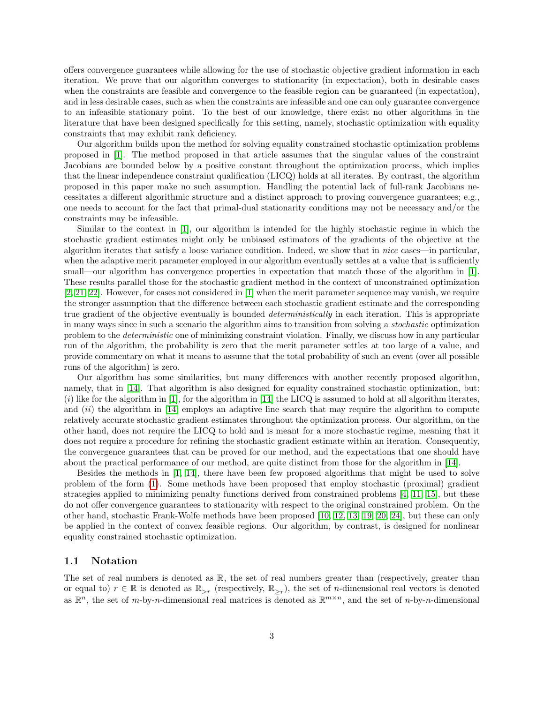offers convergence guarantees while allowing for the use of stochastic objective gradient information in each iteration. We prove that our algorithm converges to stationarity (in expectation), both in desirable cases when the constraints are feasible and convergence to the feasible region can be guaranteed (in expectation), and in less desirable cases, such as when the constraints are infeasible and one can only guarantee convergence to an infeasible stationary point. To the best of our knowledge, there exist no other algorithms in the literature that have been designed specifically for this setting, namely, stochastic optimization with equality constraints that may exhibit rank deficiency.

Our algorithm builds upon the method for solving equality constrained stochastic optimization problems proposed in [\[1\]](#page-29-0). The method proposed in that article assumes that the singular values of the constraint Jacobians are bounded below by a positive constant throughout the optimization process, which implies that the linear independence constraint qualification (LICQ) holds at all iterates. By contrast, the algorithm proposed in this paper make no such assumption. Handling the potential lack of full-rank Jacobians necessitates a different algorithmic structure and a distinct approach to proving convergence guarantees; e.g., one needs to account for the fact that primal-dual stationarity conditions may not be necessary and/or the constraints may be infeasible.

Similar to the context in [\[1\]](#page-29-0), our algorithm is intended for the highly stochastic regime in which the stochastic gradient estimates might only be unbiased estimators of the gradients of the objective at the algorithm iterates that satisfy a loose variance condition. Indeed, we show that in nice cases—in particular, when the adaptive merit parameter employed in our algorithm eventually settles at a value that is sufficiently small—our algorithm has convergence properties in expectation that match those of the algorithm in [\[1\]](#page-29-0). These results parallel those for the stochastic gradient method in the context of unconstrained optimization [\[2,](#page-29-1) [21,](#page-30-1) [22\]](#page-30-2). However, for cases not considered in [\[1\]](#page-29-0) when the merit parameter sequence may vanish, we require the stronger assumption that the difference between each stochastic gradient estimate and the corresponding true gradient of the objective eventually is bounded *deterministically* in each iteration. This is appropriate in many ways since in such a scenario the algorithm aims to transition from solving a stochastic optimization problem to the deterministic one of minimizing constraint violation. Finally, we discuss how in any particular run of the algorithm, the probability is zero that the merit parameter settles at too large of a value, and provide commentary on what it means to assume that the total probability of such an event (over all possible runs of the algorithm) is zero.

Our algorithm has some similarities, but many differences with another recently proposed algorithm, namely, that in [\[14\]](#page-29-2). That algorithm is also designed for equality constrained stochastic optimization, but:  $(i)$  like for the algorithm in [\[1\]](#page-29-0), for the algorithm in [\[14\]](#page-29-2) the LICQ is assumed to hold at all algorithm iterates, and  $(ii)$  the algorithm in [\[14\]](#page-29-2) employs an adaptive line search that may require the algorithm to compute relatively accurate stochastic gradient estimates throughout the optimization process. Our algorithm, on the other hand, does not require the LICQ to hold and is meant for a more stochastic regime, meaning that it does not require a procedure for refining the stochastic gradient estimate within an iteration. Consequently, the convergence guarantees that can be proved for our method, and the expectations that one should have about the practical performance of our method, are quite distinct from those for the algorithm in [\[14\]](#page-29-2).

Besides the methods in [\[1,](#page-29-0) [14\]](#page-29-2), there have been few proposed algorithms that might be used to solve problem of the form [\(1\)](#page-3-0). Some methods have been proposed that employ stochastic (proximal) gradient strategies applied to minimizing penalty functions derived from constrained problems [\[4,](#page-29-3) [11,](#page-29-4) [15\]](#page-30-3), but these do not offer convergence guarantees to stationarity with respect to the original constrained problem. On the other hand, stochastic Frank-Wolfe methods have been proposed [\[10,](#page-29-5) [12,](#page-29-6) [13,](#page-29-7) [19,](#page-30-4) [20,](#page-30-5) [24\]](#page-30-6), but these can only be applied in the context of convex feasible regions. Our algorithm, by contrast, is designed for nonlinear equality constrained stochastic optimization.

#### 1.1 Notation

The set of real numbers is denoted as  $\mathbb{R}$ , the set of real numbers greater than (respectively, greater than or equal to)  $r \in \mathbb{R}$  is denoted as  $\mathbb{R}_{>r}$  (respectively,  $\mathbb{R}_{\geq r}$ ), the set of *n*-dimensional real vectors is denoted as  $\mathbb{R}^n$ , the set of *m*-by-*n*-dimensional real matrices is denoted as  $\mathbb{R}^{m \times n}$ , and the set of *n*-by-*n*-dimensional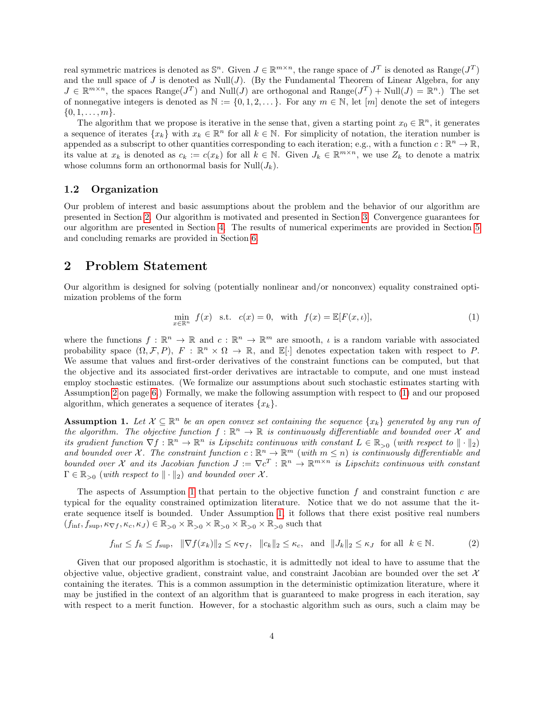real symmetric matrices is denoted as  $\mathbb{S}^n$ . Given  $J \in \mathbb{R}^{m \times n}$ , the range space of  $J^T$  is denoted as  $\text{Range}(J^T)$ and the null space of J is denoted as  $Null(J)$ . (By the Fundamental Theorem of Linear Algebra, for any  $J \in \mathbb{R}^{m \times n}$ , the spaces Range $(J^T)$  and Null $(J)$  are orthogonal and Range $(J^T) + \text{Null}(J) = \mathbb{R}^n$ .) The set of nonnegative integers is denoted as  $\mathbb{N} := \{0, 1, 2, \dots\}$ . For any  $m \in \mathbb{N}$ , let  $[m]$  denote the set of integers  $\{0, 1, \ldots, m\}.$ 

The algorithm that we propose is iterative in the sense that, given a starting point  $x_0 \in \mathbb{R}^n$ , it generates a sequence of iterates  $\{x_k\}$  with  $x_k \in \mathbb{R}^n$  for all  $k \in \mathbb{N}$ . For simplicity of notation, the iteration number is appended as a subscript to other quantities corresponding to each iteration; e.g., with a function  $c : \mathbb{R}^n \to \mathbb{R}$ , its value at  $x_k$  is denoted as  $c_k := c(x_k)$  for all  $k \in \mathbb{N}$ . Given  $J_k \in \mathbb{R}^{m \times n}$ , we use  $Z_k$  to denote a matrix whose columns form an orthonormal basis for  $Null(J_k)$ .

#### 1.2 Organization

Our problem of interest and basic assumptions about the problem and the behavior of our algorithm are presented in Section [2.](#page-3-1) Our algorithm is motivated and presented in Section [3.](#page-4-0) Convergence guarantees for our algorithm are presented in Section [4.](#page-8-0) The results of numerical experiments are provided in Section [5](#page-22-0) and concluding remarks are provided in Section [6.](#page-26-0)

## <span id="page-3-1"></span>2 Problem Statement

Our algorithm is designed for solving (potentially nonlinear and/or nonconvex) equality constrained optimization problems of the form

<span id="page-3-0"></span>
$$
\min_{x \in \mathbb{R}^n} f(x) \quad \text{s.t.} \quad c(x) = 0, \quad \text{with} \quad f(x) = \mathbb{E}[F(x, t)],\tag{1}
$$

where the functions  $f : \mathbb{R}^n \to \mathbb{R}$  and  $c : \mathbb{R}^n \to \mathbb{R}^m$  are smooth,  $\iota$  is a random variable with associated probability space  $(\Omega, \mathcal{F}, P)$ ,  $F : \mathbb{R}^n \times \Omega \to \mathbb{R}$ , and  $\mathbb{E}[\cdot]$  denotes expectation taken with respect to P. We assume that values and first-order derivatives of the constraint functions can be computed, but that the objective and its associated first-order derivatives are intractable to compute, and one must instead employ stochastic estimates. (We formalize our assumptions about such stochastic estimates starting with Assumption [2](#page-5-0) on page [6.](#page-5-0)) Formally, we make the following assumption with respect to [\(1\)](#page-3-0) and our proposed algorithm, which generates a sequence of iterates  $\{x_k\}$ .

<span id="page-3-2"></span>**Assumption 1.** Let  $\mathcal{X} \subseteq \mathbb{R}^n$  be an open convex set containing the sequence  $\{x_k\}$  generated by any run of the algorithm. The objective function  $f : \mathbb{R}^n \to \mathbb{R}$  is continuously differentiable and bounded over X and its gradient function  $\nabla f : \mathbb{R}^n \to \mathbb{R}^n$  is Lipschitz continuous with constant  $L \in \mathbb{R}_{>0}$  (with respect to  $\|\cdot\|_2$ ) and bounded over X. The constraint function  $c: \mathbb{R}^n \to \mathbb{R}^m$  (with  $m \leq n$ ) is continuously differentiable and bounded over X and its Jacobian function  $J := \nabla c^T : \mathbb{R}^n \to \mathbb{R}^{m \times n}$  is Lipschitz continuous with constant  $\Gamma \in \mathbb{R}_{>0}$  (with respect to  $\|\cdot\|_2$ ) and bounded over X.

The aspects of Assumption [1](#page-3-2) that pertain to the objective function  $f$  and constraint function  $c$  are typical for the equality constrained optimization literature. Notice that we do not assume that the iterate sequence itself is bounded. Under Assumption [1,](#page-3-2) it follows that there exist positive real numbers  $(f_{\text{inf}}, f_{\text{sup}}, \kappa_{\nabla f}, \kappa_c, \kappa_J) \in \mathbb{R}_{>0} \times \mathbb{R}_{>0} \times \mathbb{R}_{>0} \times \mathbb{R}_{>0} \times \mathbb{R}_{>0}$  such that

<span id="page-3-3"></span>
$$
f_{\inf} \le f_k \le f_{\sup}, \quad \|\nabla f(x_k)\|_2 \le \kappa_{\nabla f}, \quad \|c_k\|_2 \le \kappa_c, \quad \text{and} \quad \|J_k\|_2 \le \kappa_J \quad \text{for all} \quad k \in \mathbb{N}.
$$

Given that our proposed algorithm is stochastic, it is admittedly not ideal to have to assume that the objective value, objective gradient, constraint value, and constraint Jacobian are bounded over the set  $\mathcal{X}$ containing the iterates. This is a common assumption in the deterministic optimization literature, where it may be justified in the context of an algorithm that is guaranteed to make progress in each iteration, say with respect to a merit function. However, for a stochastic algorithm such as ours, such a claim may be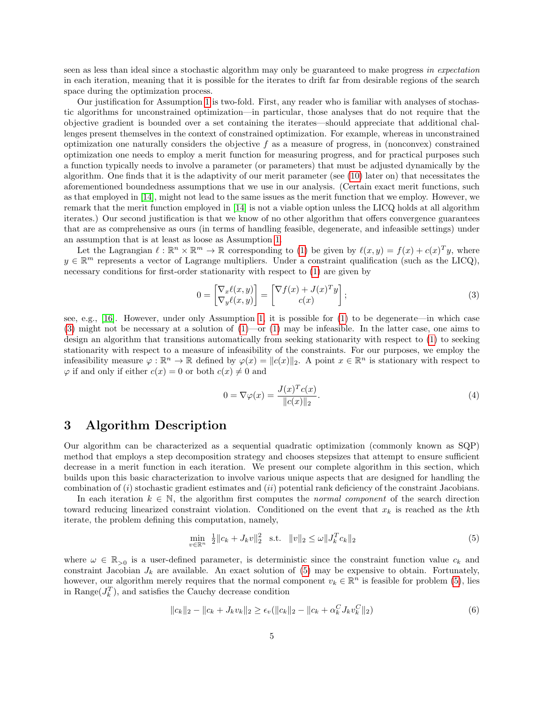seen as less than ideal since a stochastic algorithm may only be guaranteed to make progress in expectation in each iteration, meaning that it is possible for the iterates to drift far from desirable regions of the search space during the optimization process.

Our justification for Assumption [1](#page-3-2) is two-fold. First, any reader who is familiar with analyses of stochastic algorithms for unconstrained optimization—in particular, those analyses that do not require that the objective gradient is bounded over a set containing the iterates—should appreciate that additional challenges present themselves in the context of constrained optimization. For example, whereas in unconstrained optimization one naturally considers the objective f as a measure of progress, in (nonconvex) constrained optimization one needs to employ a merit function for measuring progress, and for practical purposes such a function typically needs to involve a parameter (or parameters) that must be adjusted dynamically by the algorithm. One finds that it is the adaptivity of our merit parameter (see [\(10\)](#page-5-1) later on) that necessitates the aforementioned boundedness assumptions that we use in our analysis. (Certain exact merit functions, such as that employed in [\[14\]](#page-29-2), might not lead to the same issues as the merit function that we employ. However, we remark that the merit function employed in [\[14\]](#page-29-2) is not a viable option unless the LICQ holds at all algorithm iterates.) Our second justification is that we know of no other algorithm that offers convergence guarantees that are as comprehensive as ours (in terms of handling feasible, degenerate, and infeasible settings) under an assumption that is at least as loose as Assumption [1.](#page-3-2)

Let the Lagrangian  $\ell : \mathbb{R}^n \times \mathbb{R}^m \to \mathbb{R}$  corresponding to [\(1\)](#page-3-0) be given by  $\ell(x, y) = f(x) + c(x)^T y$ , where  $y \in \mathbb{R}^m$  represents a vector of Lagrange multipliers. Under a constraint qualification (such as the LICQ), necessary conditions for first-order stationarity with respect to [\(1\)](#page-3-0) are given by

<span id="page-4-1"></span>
$$
0 = \begin{bmatrix} \nabla_x \ell(x, y) \\ \nabla_y \ell(x, y) \end{bmatrix} = \begin{bmatrix} \nabla f(x) + J(x)^T y \\ c(x) \end{bmatrix};
$$
\n(3)

see, e.g., [\[16\]](#page-30-7). However, under only Assumption [1,](#page-3-2) it is possible for [\(1\)](#page-3-0) to be degenerate—in which case [\(3\)](#page-4-1) might not be necessary at a solution of  $(1)$ —or  $(1)$  may be infeasible. In the latter case, one aims to design an algorithm that transitions automatically from seeking stationarity with respect to [\(1\)](#page-3-0) to seeking stationarity with respect to a measure of infeasibility of the constraints. For our purposes, we employ the infeasibility measure  $\varphi : \mathbb{R}^n \to \mathbb{R}$  defined by  $\varphi(x) = ||c(x)||_2$ . A point  $x \in \mathbb{R}^n$  is stationary with respect to  $\varphi$  if and only if either  $c(x) = 0$  or both  $c(x) \neq 0$  and

<span id="page-4-4"></span>
$$
0 = \nabla \varphi(x) = \frac{J(x)^T c(x)}{\|c(x)\|_2}.
$$
\n
$$
(4)
$$

## <span id="page-4-0"></span>3 Algorithm Description

Our algorithm can be characterized as a sequential quadratic optimization (commonly known as SQP) method that employs a step decomposition strategy and chooses stepsizes that attempt to ensure sufficient decrease in a merit function in each iteration. We present our complete algorithm in this section, which builds upon this basic characterization to involve various unique aspects that are designed for handling the combination of (i) stochastic gradient estimates and (ii) potential rank deficiency of the constraint Jacobians.

In each iteration  $k \in \mathbb{N}$ , the algorithm first computes the normal component of the search direction toward reducing linearized constraint violation. Conditioned on the event that  $x_k$  is reached as the kth iterate, the problem defining this computation, namely,

<span id="page-4-2"></span>
$$
\min_{v \in \mathbb{R}^n} \frac{1}{2} \|c_k + J_k v\|_2^2 \quad \text{s.t.} \quad \|v\|_2 \le \omega \|J_k^T c_k\|_2 \tag{5}
$$

where  $\omega \in \mathbb{R}_{>0}$  is a user-defined parameter, is deterministic since the constraint function value  $c_k$  and constraint Jacobian  $J_k$  are available. An exact solution of [\(5\)](#page-4-2) may be expensive to obtain. Fortunately, however, our algorithm merely requires that the normal component  $v_k \in \mathbb{R}^n$  is feasible for problem [\(5\)](#page-4-2), lies in Range $(J_k^T)$ , and satisfies the Cauchy decrease condition

<span id="page-4-3"></span>
$$
||c_k||_2 - ||c_k + J_k v_k||_2 \ge \epsilon_v(||c_k||_2 - ||c_k + \alpha_k^C J_k v_k^C||_2)
$$
\n
$$
(6)
$$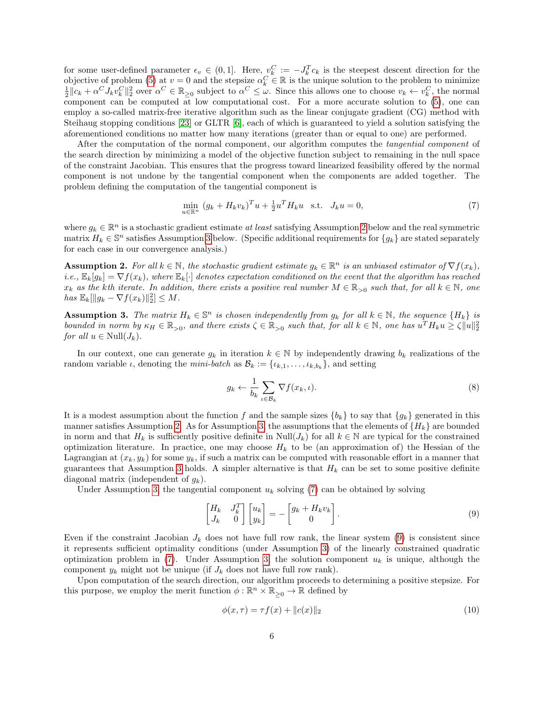for some user-defined parameter  $\epsilon_v \in (0,1]$ . Here,  $v_k^C := -J_k^T c_k$  is the steepest descent direction for the objective of problem [\(5\)](#page-4-2) at  $v = 0$  and the stepsize  $\alpha_k^C \in \mathbb{R}$  is the unique solution to the problem to minimize  $\frac{1}{2} ||c_k + \alpha^C J_k v_k^C||_2^2$  over  $\alpha^C \in \mathbb{R}_{\geq 0}$  subject to  $\alpha^C \leq \omega$ . Since this allows one to component can be computed at low computational cost. For a more accurate solution to [\(5\)](#page-4-2), one can employ a so-called matrix-free iterative algorithm such as the linear conjugate gradient (CG) method with Steihaug stopping conditions [\[23\]](#page-30-8) or GLTR [\[6\]](#page-29-8), each of which is guaranteed to yield a solution satisfying the aforementioned conditions no matter how many iterations (greater than or equal to one) are performed.

After the computation of the normal component, our algorithm computes the *tangential component* of the search direction by minimizing a model of the objective function subject to remaining in the null space of the constraint Jacobian. This ensures that the progress toward linearized feasibility offered by the normal component is not undone by the tangential component when the components are added together. The problem defining the computation of the tangential component is

<span id="page-5-3"></span>
$$
\min_{u \in \mathbb{R}^n} (g_k + H_k v_k)^T u + \frac{1}{2} u^T H_k u \quad \text{s.t.} \quad J_k u = 0,
$$
\n(7)

where  $g_k \in \mathbb{R}^n$  is a stochastic gradient estimate at least satisfying Assumption [2](#page-5-0) below and the real symmetric matrix  $H_k \in \mathbb{S}^n$  satisfies Assumption [3](#page-5-2) below. (Specific additional requirements for  $\{g_k\}$  are stated separately for each case in our convergence analysis.)

<span id="page-5-0"></span>**Assumption 2.** For all  $k \in \mathbb{N}$ , the stochastic gradient estimate  $g_k \in \mathbb{R}^n$  is an unbiased estimator of  $\nabla f(x_k)$ , i.e.,  $\mathbb{E}_k[g_k] = \nabla f(x_k)$ , where  $\mathbb{E}_k[\cdot]$  denotes expectation conditioned on the event that the algorithm has reached  $x_k$  as the kth iterate. In addition, there exists a positive real number  $M \in \mathbb{R}_{>0}$  such that, for all  $k \in \mathbb{N}$ , one  $has \mathbb{E}_k[\|g_k - \nabla f(x_k)\|_2^2] \leq M.$ 

<span id="page-5-2"></span>**Assumption 3.** The matrix  $H_k \in \mathbb{S}^n$  is chosen independently from  $g_k$  for all  $k \in \mathbb{N}$ , the sequence  $\{H_k\}$  is bounded in norm by  $\kappa_H \in \mathbb{R}_{>0}$ , and there exists  $\zeta \in \mathbb{R}_{>0}$  such that, for all  $k \in \mathbb{N}$ , one has  $u^T H_k u \geq \zeta ||u||_2^2$ for all  $u \in Null(J_k)$ .

In our context, one can generate  $g_k$  in iteration  $k \in \mathbb{N}$  by independently drawing  $b_k$  realizations of the random variable *ι*, denoting the *mini-batch* as  $\mathcal{B}_k := \{i_{k,1}, \ldots, i_{k,b_k}\}\$ , and setting

<span id="page-5-5"></span>
$$
g_k \leftarrow \frac{1}{b_k} \sum_{\iota \in \mathcal{B}_k} \nabla f(x_k, \iota). \tag{8}
$$

It is a modest assumption about the function f and the sample sizes  ${b_k}$  to say that  ${g_k}$  generated in this manner satisfies Assumption [2.](#page-5-0) As for Assumption [3,](#page-5-2) the assumptions that the elements of  $\{H_k\}$  are bounded in norm and that  $H_k$  is sufficiently positive definite in Null( $J_k$ ) for all  $k \in \mathbb{N}$  are typical for the constrained optimization literature. In practice, one may choose  $H_k$  to be (an approximation of) the Hessian of the Lagrangian at  $(x_k, y_k)$  for some  $y_k$ , if such a matrix can be computed with reasonable effort in a manner that guarantees that Assumption [3](#page-5-2) holds. A simpler alternative is that  $H_k$  can be set to some positive definite diagonal matrix (independent of  $g_k$ ).

Under Assumption [3,](#page-5-2) the tangential component  $u_k$  solving [\(7\)](#page-5-3) can be obtained by solving

<span id="page-5-4"></span>
$$
\begin{bmatrix} H_k & J_k^T \\ J_k & 0 \end{bmatrix} \begin{bmatrix} u_k \\ y_k \end{bmatrix} = - \begin{bmatrix} g_k + H_k v_k \\ 0 \end{bmatrix} . \tag{9}
$$

Even if the constraint Jacobian  $J_k$  does not have full row rank, the linear system [\(9\)](#page-5-4) is consistent since it represents sufficient optimality conditions (under Assumption [3\)](#page-5-2) of the linearly constrained quadratic optimization problem in [\(7\)](#page-5-3). Under Assumption [3,](#page-5-2) the solution component  $u_k$  is unique, although the component  $y_k$  might not be unique (if  $J_k$  does not have full row rank).

Upon computation of the search direction, our algorithm proceeds to determining a positive stepsize. For this purpose, we employ the merit function  $\phi : \mathbb{R}^n \times \mathbb{R}_{\geq 0} \to \mathbb{R}$  defined by

<span id="page-5-1"></span>
$$
\phi(x,\tau) = \tau f(x) + \|c(x)\|_2 \tag{10}
$$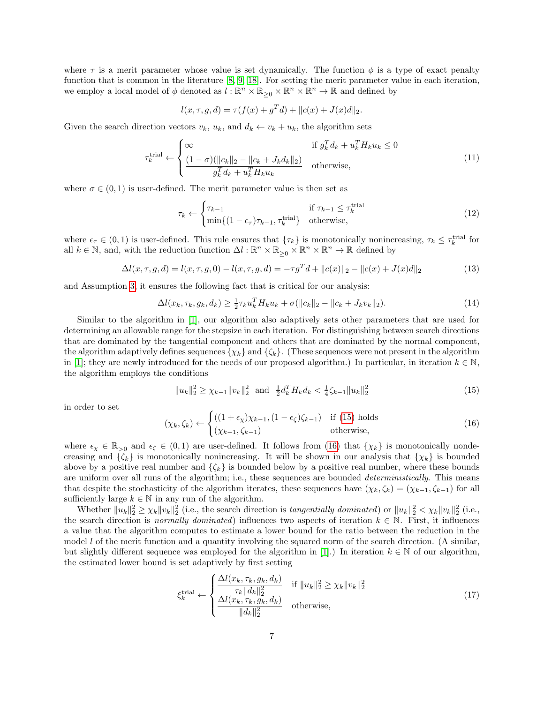where  $\tau$  is a merit parameter whose value is set dynamically. The function  $\phi$  is a type of exact penalty function that is common in the literature [\[8,](#page-29-9) [9,](#page-29-10) [18\]](#page-30-9). For setting the merit parameter value in each iteration, we employ a local model of  $\phi$  denoted as  $\ell : \mathbb{R}^n \times \mathbb{R}_\geq 0 \times \mathbb{R}^n \times \mathbb{R}^n \to \mathbb{R}$  and defined by

$$
l(x, \tau, g, d) = \tau(f(x) + g^T d) + ||c(x) + J(x)d||_2.
$$

Given the search direction vectors  $v_k$ ,  $u_k$ , and  $d_k \leftarrow v_k + u_k$ , the algorithm sets

<span id="page-6-4"></span>
$$
\tau_k^{\text{trial}} \leftarrow \begin{cases}\n\infty & \text{if } g_k^T d_k + u_k^T H_k u_k \le 0 \\
\frac{(1-\sigma)(||c_k||_2 - ||c_k + J_k d_k||_2)}{g_k^T d_k + u_k^T H_k u_k}\n\end{cases} \text{otherwise,}
$$
\n(11)

where  $\sigma \in (0,1)$  is user-defined. The merit parameter value is then set as

<span id="page-6-5"></span>
$$
\tau_k \leftarrow \begin{cases} \tau_{k-1} & \text{if } \tau_{k-1} \le \tau_k^{\text{trial}} \\ \min\{ (1 - \epsilon_\tau)\tau_{k-1}, \tau_k^{\text{trial}} \} & \text{otherwise,} \end{cases} \tag{12}
$$

where  $\epsilon_{\tau} \in (0,1)$  is user-defined. This rule ensures that  $\{\tau_k\}$  is monotonically nonincreasing,  $\tau_k \leq \tau_k^{\text{trial}}$  for all  $k \in \mathbb{N}$ , and, with the reduction function  $\Delta l : \mathbb{R}^n \times \mathbb{R}_{\geq 0} \times \mathbb{R}^n \times \mathbb{R}^n \to \mathbb{R}$  defined by

<span id="page-6-6"></span>
$$
\Delta l(x, \tau, g, d) = l(x, \tau, g, 0) - l(x, \tau, g, d) = -\tau g^T d + ||c(x)||_2 - ||c(x) + J(x)d||_2 \tag{13}
$$

and Assumption [3,](#page-5-2) it ensures the following fact that is critical for our analysis:

<span id="page-6-3"></span>
$$
\Delta l(x_k, \tau_k, g_k, d_k) \ge \frac{1}{2} \tau_k u_k^T H_k u_k + \sigma(||c_k||_2 - ||c_k + J_k v_k||_2). \tag{14}
$$

Similar to the algorithm in [\[1\]](#page-29-0), our algorithm also adaptively sets other parameters that are used for determining an allowable range for the stepsize in each iteration. For distinguishing between search directions that are dominated by the tangential component and others that are dominated by the normal component, the algorithm adaptively defines sequences  $\{\chi_k\}$  and  $\{\zeta_k\}$ . (These sequences were not present in the algorithm in [\[1\]](#page-29-0); they are newly introduced for the needs of our proposed algorithm.) In particular, in iteration  $k \in \mathbb{N}$ , the algorithm employs the conditions

<span id="page-6-0"></span>
$$
||u_k||_2^2 \ge \chi_{k-1} ||v_k||_2^2 \text{ and } \frac{1}{2} d_k^T H_k d_k < \frac{1}{4} \zeta_{k-1} ||u_k||_2^2
$$
 (15)

in order to set

<span id="page-6-1"></span>
$$
(\chi_k, \zeta_k) \leftarrow \begin{cases} ((1 + \epsilon_\chi)\chi_{k-1}, (1 - \epsilon_\zeta)\zeta_{k-1}) & \text{if (15) holds} \\ (\chi_{k-1}, \zeta_{k-1}) & \text{otherwise,} \end{cases}
$$
(16)

where  $\epsilon_{\chi} \in \mathbb{R}_{>0}$  and  $\epsilon_{\zeta} \in (0,1)$  are user-defined. It follows from [\(16\)](#page-6-1) that  $\{\chi_k\}$  is monotonically nondecreasing and  $\{\zeta_k\}$  is monotonically nonincreasing. It will be shown in our analysis that  $\{\chi_k\}$  is bounded above by a positive real number and  $\{\zeta_k\}$  is bounded below by a positive real number, where these bounds are uniform over all runs of the algorithm; i.e., these sequences are bounded *deterministically*. This means that despite the stochasticity of the algorithm iterates, these sequences have  $(\chi_k, \zeta_k) = (\chi_{k-1}, \zeta_{k-1})$  for all sufficiently large  $k \in \mathbb{N}$  in any run of the algorithm.

Whether  $||u_k||_2^2 \ge \chi_k ||v_k||_2^2$  (i.e., the search direction is tangentially dominated) or  $||u_k||_2^2 < \chi_k ||v_k||_2^2$  (i.e., the search direction is normally dominated) influences two aspects of iteration  $k \in \mathbb{N}$ . First, it influences a value that the algorithm computes to estimate a lower bound for the ratio between the reduction in the model  $l$  of the merit function and a quantity involving the squared norm of the search direction. (A similar, but slightly different sequence was employed for the algorithm in [\[1\]](#page-29-0).) In iteration  $k \in \mathbb{N}$  of our algorithm, the estimated lower bound is set adaptively by first setting

<span id="page-6-2"></span>
$$
\xi_k^{\text{trial}} \leftarrow \begin{cases} \frac{\Delta l(x_k, \tau_k, g_k, d_k)}{\tau_k \|d_k\|_2^2} & \text{if } \|u_k\|_2^2 \ge \chi_k \|v_k\|_2^2\\ \frac{\Delta l(x_k, \tau_k, g_k, d_k)}{\|d_k\|_2^2} & \text{otherwise,} \end{cases} \tag{17}
$$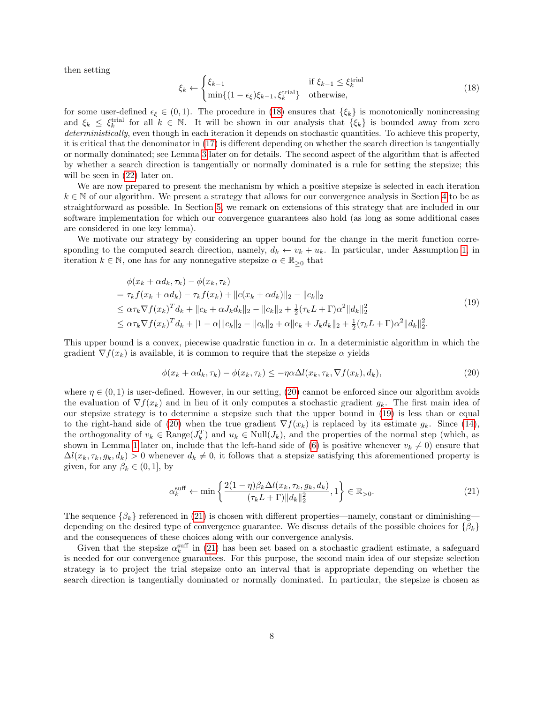then setting

<span id="page-7-0"></span>
$$
\xi_k \leftarrow \begin{cases} \xi_{k-1} & \text{if } \xi_{k-1} \le \xi_k^{\text{trial}} \\ \min\{(1 - \epsilon_\xi)\xi_{k-1}, \xi_k^{\text{trial}}\} & \text{otherwise,} \end{cases} \tag{18}
$$

for some user-defined  $\epsilon_{\xi} \in (0,1)$ . The procedure in [\(18\)](#page-7-0) ensures that  $\{\xi_{k}\}\$ is monotonically nonincreasing and  $\xi_k \leq \xi_k^{\text{trial}}$  for all  $k \in \mathbb{N}$ . It will be shown in our analysis that  $\{\xi_k\}$  is bounded away from zero deterministically, even though in each iteration it depends on stochastic quantities. To achieve this property, it is critical that the denominator in [\(17\)](#page-6-2) is different depending on whether the search direction is tangentially or normally dominated; see Lemma [3](#page-10-0) later on for details. The second aspect of the algorithm that is affected by whether a search direction is tangentially or normally dominated is a rule for setting the stepsize; this will be seen in  $(22)$  later on.

We are now prepared to present the mechanism by which a positive stepsize is selected in each iteration  $k \in \mathbb{N}$  of our algorithm. We present a strategy that allows for our convergence analysis in Section [4](#page-8-0) to be as straightforward as possible. In Section [5,](#page-22-0) we remark on extensions of this strategy that are included in our software implementation for which our convergence guarantees also hold (as long as some additional cases are considered in one key lemma).

We motivate our strategy by considering an upper bound for the change in the merit function corresponding to the computed search direction, namely,  $d_k \leftarrow v_k + u_k$ . In particular, under Assumption [1,](#page-3-2) in iteration  $k \in \mathbb{N}$ , one has for any nonnegative stepsize  $\alpha \in \mathbb{R}_{\geq 0}$  that

<span id="page-7-2"></span>
$$
\begin{split}\n&\phi(x_k + \alpha d_k, \tau_k) - \phi(x_k, \tau_k) \\
&= \tau_k f(x_k + \alpha d_k) - \tau_k f(x_k) + \|c(x_k + \alpha d_k)\|_2 - \|c_k\|_2 \\
&\leq \alpha \tau_k \nabla f(x_k)^T d_k + \|c_k + \alpha J_k d_k\|_2 - \|c_k\|_2 + \frac{1}{2} (\tau_k L + \Gamma) \alpha^2 \|d_k\|_2^2 \\
&\leq \alpha \tau_k \nabla f(x_k)^T d_k + |1 - \alpha| \|c_k\|_2 - \|c_k\|_2 + \alpha \|c_k + J_k d_k\|_2 + \frac{1}{2} (\tau_k L + \Gamma) \alpha^2 \|d_k\|_2^2.\n\end{split}
$$
\n
$$
(19)
$$

This upper bound is a convex, piecewise quadratic function in  $\alpha$ . In a deterministic algorithm in which the gradient  $\nabla f(x_k)$  is available, it is common to require that the stepsize  $\alpha$  yields

<span id="page-7-1"></span>
$$
\phi(x_k + \alpha d_k, \tau_k) - \phi(x_k, \tau_k) \leq -\eta \alpha \Delta l(x_k, \tau_k, \nabla f(x_k), d_k),\tag{20}
$$

where  $\eta \in (0, 1)$  is user-defined. However, in our setting, [\(20\)](#page-7-1) cannot be enforced since our algorithm avoids the evaluation of  $\nabla f(x_k)$  and in lieu of it only computes a stochastic gradient  $q_k$ . The first main idea of our stepsize strategy is to determine a stepsize such that the upper bound in [\(19\)](#page-7-2) is less than or equal to the right-hand side of [\(20\)](#page-7-1) when the true gradient  $\nabla f(x_k)$  is replaced by its estimate  $g_k$ . Since [\(14\)](#page-6-3), the orthogonality of  $v_k \in \text{Range}(J_k^T)$  and  $u_k \in \text{Null}(J_k)$ , and the properties of the normal step (which, as shown in Lemma [1](#page-10-1) later on, include that the left-hand side of [\(6\)](#page-4-3) is positive whenever  $v_k \neq 0$ ) ensure that  $\Delta l(x_k, \tau_k, g_k, d_k) > 0$  whenever  $d_k \neq 0$ , it follows that a stepsize satisfying this aforementioned property is given, for any  $\beta_k \in (0,1]$ , by

<span id="page-7-3"></span>
$$
\alpha_k^{\text{suffix}} \leftarrow \min\left\{ \frac{2(1-\eta)\beta_k \Delta l(x_k, \tau_k, g_k, d_k)}{(\tau_k L + \Gamma) \|d_k\|_2^2}, 1 \right\} \in \mathbb{R}_{>0}.\tag{21}
$$

The sequence  $\{\beta_k\}$  referenced in [\(21\)](#page-7-3) is chosen with different properties—namely, constant or diminishing depending on the desired type of convergence guarantee. We discuss details of the possible choices for  $\{\beta_k\}$ and the consequences of these choices along with our convergence analysis.

Given that the stepsize  $\alpha_k^{\text{surf}}$  in [\(21\)](#page-7-3) has been set based on a stochastic gradient estimate, a safeguard is needed for our convergence guarantees. For this purpose, the second main idea of our stepsize selection strategy is to project the trial stepsize onto an interval that is appropriate depending on whether the search direction is tangentially dominated or normally dominated. In particular, the stepsize is chosen as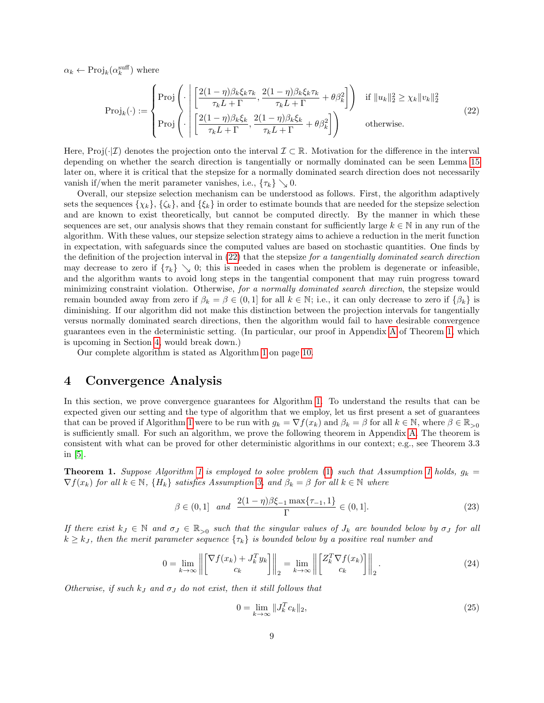$\alpha_k \leftarrow \text{Proj}_k(\alpha_k^{\text{suffix}})$  where

<span id="page-8-1"></span>
$$
\text{Proj}_{k}(\cdot) := \begin{cases} \text{Proj}_{k} \left( \cdot \left| \left[ \frac{2(1-\eta)\beta_{k}\xi_{k}\tau_{k}}{\tau_{k}L + \Gamma}, \frac{2(1-\eta)\beta_{k}\xi_{k}\tau_{k}}{\tau_{k}L + \Gamma} + \theta\beta_{k}^{2} \right] \right) & \text{if } \|u_{k}\|_{2}^{2} \geq \chi_{k} \|v_{k}\|_{2}^{2} \\ \text{Proj}_{k} \left( \cdot \left| \left[ \frac{2(1-\eta)\beta_{k}\xi_{k}}{\tau_{k}L + \Gamma}, \frac{2(1-\eta)\beta_{k}\xi_{k}}{\tau_{k}L + \Gamma} + \theta\beta_{k}^{2} \right] \right) & \text{otherwise.} \end{cases} \tag{22}
$$

Here, Proj( $\cdot|\mathcal{I}\rangle$  denotes the projection onto the interval  $\mathcal{I} \subset \mathbb{R}$ . Motivation for the difference in the interval depending on whether the search direction is tangentially or normally dominated can be seen Lemma [15](#page-18-0) later on, where it is critical that the stepsize for a normally dominated search direction does not necessarily vanish if/when the merit parameter vanishes, i.e.,  $\{\tau_k\} \searrow 0$ .

Overall, our stepsize selection mechanism can be understood as follows. First, the algorithm adaptively sets the sequences  $\{\chi_k\}$ ,  $\{\zeta_k\}$ , and  $\{\xi_k\}$  in order to estimate bounds that are needed for the stepsize selection and are known to exist theoretically, but cannot be computed directly. By the manner in which these sequences are set, our analysis shows that they remain constant for sufficiently large  $k \in \mathbb{N}$  in any run of the algorithm. With these values, our stepsize selection strategy aims to achieve a reduction in the merit function in expectation, with safeguards since the computed values are based on stochastic quantities. One finds by the definition of the projection interval in  $(22)$  that the stepsize for a tangentially dominated search direction may decrease to zero if  $\{\tau_k\} \searrow 0$ ; this is needed in cases when the problem is degenerate or infeasible, and the algorithm wants to avoid long steps in the tangential component that may ruin progress toward minimizing constraint violation. Otherwise, for a normally dominated search direction, the stepsize would remain bounded away from zero if  $\beta_k = \beta \in (0,1]$  for all  $k \in \mathbb{N}$ ; i.e., it can only decrease to zero if  $\{\beta_k\}$  is diminishing. If our algorithm did not make this distinction between the projection intervals for tangentially versus normally dominated search directions, then the algorithm would fail to have desirable convergence guarantees even in the deterministic setting. (In particular, our proof in Appendix [A](#page-27-0) of Theorem [1,](#page-8-2) which is upcoming in Section [4,](#page-8-0) would break down.)

Our complete algorithm is stated as Algorithm [1](#page-9-0) on page [10.](#page-9-0)

## <span id="page-8-0"></span>4 Convergence Analysis

In this section, we prove convergence guarantees for Algorithm [1.](#page-9-0) To understand the results that can be expected given our setting and the type of algorithm that we employ, let us first present a set of guarantees that can be proved if Algorithm [1](#page-9-0) were to be run with  $g_k = \nabla f(x_k)$  and  $\beta_k = \beta$  for all  $k \in \mathbb{N}$ , where  $\beta \in \mathbb{R}_{>0}$ is sufficiently small. For such an algorithm, we prove the following theorem in Appendix [A.](#page-27-0) The theorem is consistent with what can be proved for other deterministic algorithms in our context; e.g., see Theorem 3.3 in [\[5\]](#page-29-11).

<span id="page-8-2"></span>**Theorem [1](#page-3-2).** Suppose Algorithm 1 is employed to solve problem [\(1\)](#page-3-0) such that Assumption 1 holds,  $g_k =$  $\nabla f(x_k)$  for all  $k \in \mathbb{N}$ ,  $\{H_k\}$  satisfies Assumption [3,](#page-5-2) and  $\beta_k = \beta$  for all  $k \in \mathbb{N}$  where

<span id="page-8-5"></span>
$$
\beta \in (0,1] \quad and \quad \frac{2(1-\eta)\beta\xi_{-1}\max\{\tau_{-1},1\}}{\Gamma} \in (0,1].
$$
 (23)

If there exist  $k_J \in \mathbb{N}$  and  $\sigma_J \in \mathbb{R}_{>0}$  such that the singular values of  $J_k$  are bounded below by  $\sigma_J$  for all  $k \geq k_J$ , then the merit parameter sequence  $\{\tau_k\}$  is bounded below by a positive real number and

<span id="page-8-3"></span>
$$
0 = \lim_{k \to \infty} \left\| \begin{bmatrix} \nabla f(x_k) + J_k^T y_k \\ c_k \end{bmatrix} \right\|_2 = \lim_{k \to \infty} \left\| \begin{bmatrix} Z_k^T \nabla f(x_k) \\ c_k \end{bmatrix} \right\|_2.
$$
 (24)

Otherwise, if such  $k_J$  and  $\sigma_J$  do not exist, then it still follows that

<span id="page-8-4"></span>
$$
0 = \lim_{k \to \infty} \|J_k^T c_k\|_2,
$$
\n(25)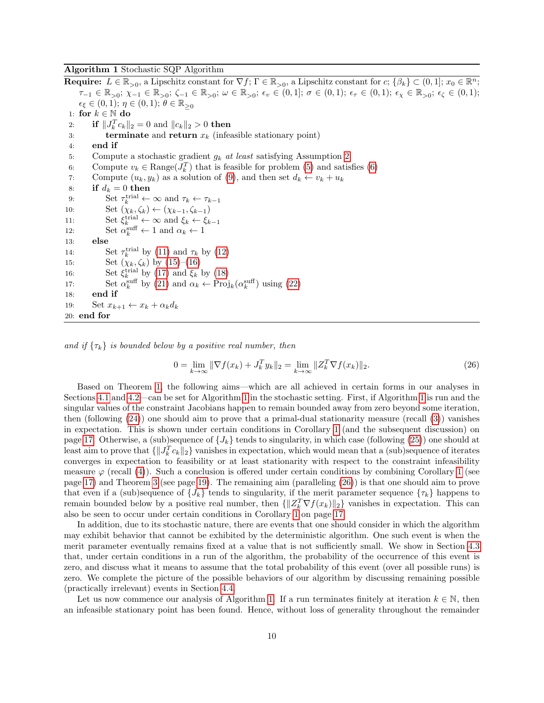Algorithm 1 Stochastic SQP Algorithm

<span id="page-9-0"></span>**Require:**  $L \in \mathbb{R}_{>0}$ , a Lipschitz constant for  $\nabla f$ ;  $\Gamma \in \mathbb{R}_{>0}$ , a Lipschitz constant for  $c$ ;  $\{\beta_k\} \subset (0,1]$ ;  $x_0 \in \mathbb{R}^n$ ;  $\tau_{-1} \in \mathbb{R}_{>0};\ \chi_{-1} \in \mathbb{R}_{>0};\ \zeta_{-1} \in \mathbb{R}_{>0};\ \omega \in \mathbb{R}_{>0};\ \epsilon_v \in (0,1];\ \sigma \in (0,1);\ \epsilon_\tau \in (0,1);\ \epsilon_\chi \in \mathbb{R}_{>0};\ \epsilon_\zeta \in (0,1);$  $\epsilon_{\xi} \in (0,1); \eta \in (0,1); \theta \in \mathbb{R}_{\geq 0}$ 1: for  $k \in \mathbb{N}$  do 2: if  $||J_k^T c_k||_2 = 0$  and  $||c_k||_2 > 0$  then 3: terminate and return  $x_k$  (infeasible stationary point) 4: end if 5: Compute a stochastic gradient  $g_k$  at least satisfying Assumption [2](#page-5-0) 6: Compute  $v_k \in \text{Range}(J_k^T)$  that is feasible for problem [\(5\)](#page-4-2) and satisfies [\(6\)](#page-4-3) 7: Compute  $(u_k, y_k)$  as a solution of [\(9\)](#page-5-4), and then set  $d_k \leftarrow v_k + u_k$ 8: if  $d_k = 0$  then 9: Set  $\tau_k^{\text{trial}} \leftarrow \infty$  and  $\tau_k \leftarrow \tau_{k-1}$ 10: Set  $(\chi_k, \zeta_k) \leftarrow (\chi_{k-1}, \zeta_{k-1})$ 11: Set  $\xi_k^{\text{trial}} \leftarrow \infty$  and  $\xi_k \leftarrow \xi_{k-1}$ 12: Set  $\alpha_k^{\text{suff}} \leftarrow 1$  and  $\alpha_k \leftarrow 1$ 13: else 14: Set  $\tau_k^{\text{trial}}$  by [\(11\)](#page-6-4) and  $\tau_k$  by [\(12\)](#page-6-5) 14: Set  $\gamma_k$  by (11) and  $\gamma_k$ <br>
15: Set  $(\chi_k, \zeta_k)$  by [\(15\)](#page-6-0)–[\(16\)](#page-6-1) 16: Set  $\xi_k^{\text{trial}}$  by [\(17\)](#page-6-2) and  $\xi_k$  by [\(18\)](#page-7-0) 17: Set  $\alpha_k^{\text{surf}}$  by [\(21\)](#page-7-3) and  $\alpha_k \leftarrow \text{Proj}_k(\alpha_k^{\text{surf}})$  using [\(22\)](#page-8-1) 18: end if 19: Set  $x_{k+1} \leftarrow x_k + \alpha_k d_k$ 20: end for

and if  $\{\tau_k\}$  is bounded below by a positive real number, then

<span id="page-9-1"></span>
$$
0 = \lim_{k \to \infty} \|\nabla f(x_k) + J_k^T y_k\|_2 = \lim_{k \to \infty} \|Z_k^T \nabla f(x_k)\|_2.
$$
 (26)

Based on Theorem [1,](#page-8-2) the following aims—which are all achieved in certain forms in our analyses in Sections [4.1](#page-13-0) and [4.2—](#page-17-0)can be set for Algorithm [1](#page-9-0) in the stochastic setting. First, if Algorithm [1](#page-9-0) is run and the singular values of the constraint Jacobians happen to remain bounded away from zero beyond some iteration, then (following [\(24\)](#page-8-3)) one should aim to prove that a primal-dual stationarity measure (recall [\(3\)](#page-4-1)) vanishes in expectation. This is shown under certain conditions in Corollary [1](#page-16-0) (and the subsequent discussion) on page [17.](#page-16-0) Otherwise, a (sub)sequence of  $\{J_k\}$  tends to singularity, in which case (following [\(25\)](#page-8-4)) one should at least aim to prove that  $\{\|J_k^T c_k\|_2\}$  vanishes in expectation, which would mean that a (sub)sequence of iterates converges in expectation to feasibility or at least stationarity with respect to the constraint infeasibility measure  $\varphi$  (recall [\(4\)](#page-4-4)). Such a conclusion is offered under certain conditions by combining Corollary [1](#page-16-0) (see page [17\)](#page-16-0) and Theorem [3](#page-18-1) (see page [19\)](#page-18-1). The remaining aim (paralleling [\(26\)](#page-9-1)) is that one should aim to prove that even if a (sub)sequence of  $\{J_k\}$  tends to singularity, if the merit parameter sequence  $\{\tau_k\}$  happens to remain bounded below by a positive real number, then  $\{\|Z_k^T \nabla f(x_k)\|_2\}$  vanishes in expectation. This can also be seen to occur under certain conditions in Corollary [1](#page-16-0) on page [17.](#page-16-0)

In addition, due to its stochastic nature, there are events that one should consider in which the algorithm may exhibit behavior that cannot be exhibited by the deterministic algorithm. One such event is when the merit parameter eventually remains fixed at a value that is not sufficiently small. We show in Section [4.3](#page-19-0) that, under certain conditions in a run of the algorithm, the probability of the occurrence of this event is zero, and discuss what it means to assume that the total probability of this event (over all possible runs) is zero. We complete the picture of the possible behaviors of our algorithm by discussing remaining possible (practically irrelevant) events in Section [4.4.](#page-22-1)

Let us now commence our analysis of Algorithm [1.](#page-9-0) If a run terminates finitely at iteration  $k \in \mathbb{N}$ , then an infeasible stationary point has been found. Hence, without loss of generality throughout the remainder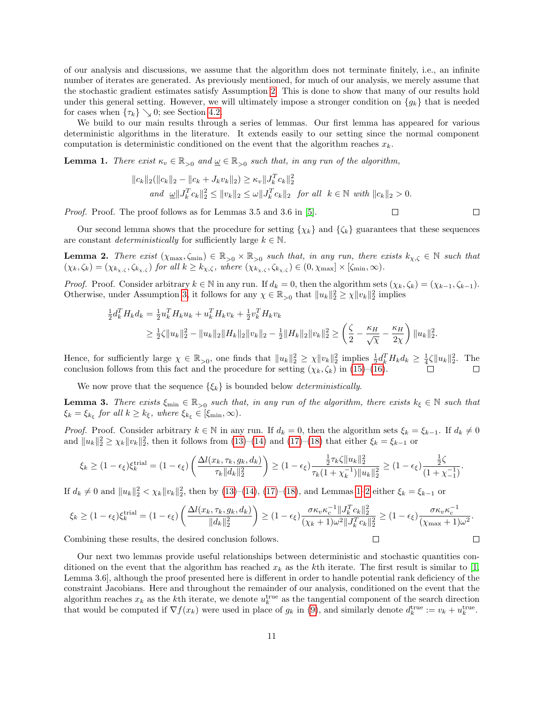of our analysis and discussions, we assume that the algorithm does not terminate finitely, i.e., an infinite number of iterates are generated. As previously mentioned, for much of our analysis, we merely assume that the stochastic gradient estimates satisfy Assumption [2.](#page-5-0) This is done to show that many of our results hold under this general setting. However, we will ultimately impose a stronger condition on  $\{g_k\}$  that is needed for cases when  $\{\tau_k\} \searrow 0$ ; see Section [4.2.](#page-17-0)

We build to our main results through a series of lemmas. Our first lemma has appeared for various deterministic algorithms in the literature. It extends easily to our setting since the normal component computation is deterministic conditioned on the event that the algorithm reaches  $x_k$ .

<span id="page-10-1"></span>**Lemma 1.** There exist  $\kappa_v \in \mathbb{R}_{>0}$  and  $\underline{\omega} \in \mathbb{R}_{>0}$  such that, in any run of the algorithm,

$$
||c_k||_2(||c_k||_2 - ||c_k + J_kv_k||_2) \ge \kappa_v ||J_k^T c_k||_2^2
$$
  
and  $\underline{\omega} ||J_k^T c_k||_2^2 \le ||v_k||_2 \le \omega ||J_k^T c_k||_2$  for all  $k \in \mathbb{N}$  with  $||c_k||_2 > 0$ .

Proof. Proof. The proof follows as for Lemmas 3.5 and 3.6 in [\[5\]](#page-29-11).

 $\Box$ 

 $\Box$ 

Our second lemma shows that the procedure for setting  $\{\chi_k\}$  and  $\{\zeta_k\}$  guarantees that these sequences are constant *deterministically* for sufficiently large  $k \in \mathbb{N}$ .

<span id="page-10-2"></span>**Lemma 2.** There exist  $(\chi_{\text{max}}, \zeta_{\text{min}}) \in \mathbb{R}_{>0} \times \mathbb{R}_{>0}$  such that, in any run, there exists  $k_{\chi,\zeta} \in \mathbb{N}$  such that  $(\chi_k, \zeta_k) = (\chi_{k_\chi,\zeta}, \zeta_{k_\chi,\zeta})$  for all  $k \geq k_{\chi,\zeta}$ , where  $(\chi_{k_\chi,\zeta}, \zeta_{k_\chi,\zeta}) \in (0, \chi_{\max}] \times [\zeta_{\min}, \infty)$ .

*Proof.* Proof. Consider arbitrary  $k \in \mathbb{N}$  in any run. If  $d_k = 0$ , then the algorithm sets  $(\chi_k, \zeta_k) = (\chi_{k-1}, \zeta_{k-1})$ . Otherwise, under Assumption [3,](#page-5-2) it follows for any  $\chi \in \mathbb{R}_{>0}$  that  $||u_k||_2^2 \ge \chi ||v_k||_2^2$  implies

$$
\frac{1}{2}d_k^T H_k d_k = \frac{1}{2}u_k^T H_k u_k + u_k^T H_k v_k + \frac{1}{2}v_k^T H_k v_k
$$
\n
$$
\geq \frac{1}{2}\zeta \|u_k\|_2^2 - \|u_k\|_2 \|H_k\|_2 \|v_k\|_2 - \frac{1}{2} \|H_k\|_2 \|v_k\|_2^2 \geq \left(\frac{\zeta}{2} - \frac{\kappa_H}{\sqrt{\chi}} - \frac{\kappa_H}{2\chi}\right) \|u_k\|_2^2.
$$

Hence, for sufficiently large  $\chi \in \mathbb{R}_{>0}$ , one finds that  $||u_k||_2^2 \ge \chi ||v_k||_2^2$  implies  $\frac{1}{2} d_k^T H_k d_k \ge \frac{1}{4} \zeta ||u_k||_2^2$ . The conclusion follows from this fact and the procedure for setting  $(\chi_k, \zeta_k)$  in [\(15\)](#page-6-0)–[\(16\)](#page-6-1).

We now prove that the sequence  $\{\xi_k\}$  is bounded below *deterministically*.

<span id="page-10-0"></span>**Lemma 3.** There exists  $\xi_{\min} \in \mathbb{R}_{>0}$  such that, in any run of the algorithm, there exists  $k_{\xi} \in \mathbb{N}$  such that  $\xi_k = \xi_{k_{\xi}}$  for all  $k \geq k_{\xi}$ , where  $\xi_{k_{\xi}} \in [\xi_{\min}, \infty)$ .

*Proof.* Proof. Consider arbitrary  $k \in \mathbb{N}$  in any run. If  $d_k = 0$ , then the algorithm sets  $\xi_k = \xi_{k-1}$ . If  $d_k \neq 0$ and  $||u_k||_2^2 \ge \chi_k ||v_k||_2^2$ , then it follows from [\(13\)](#page-6-6)–[\(14\)](#page-6-3) and [\(17\)](#page-6-2)–[\(18\)](#page-7-0) that either  $\xi_k = \xi_{k-1}$  or

$$
\xi_k \geq (1-\epsilon_{\xi})\xi_k^{\text{trial}} = (1-\epsilon_{\xi})\left(\frac{\Delta l(x_k, \tau_k, g_k, d_k)}{\tau_k \|d_k\|_2^2}\right) \geq (1-\epsilon_{\xi})\frac{\frac{1}{2}\tau_k\zeta\|u_k\|_2^2}{\tau_k(1+\chi_k^{-1})\|u_k\|_2^2} \geq (1-\epsilon_{\xi})\frac{\frac{1}{2}\zeta}{(1+\chi_{-1}^{-1})}.
$$

If  $d_k \neq 0$  and  $||u_k||_2^2 < \chi_k ||v_k||_2^2$ , then by [\(13\)](#page-6-6)–[\(14\)](#page-6-3), [\(17\)](#page-6-2)–[\(18\)](#page-7-0), and Lemmas [1](#page-10-1)[–2](#page-10-2) either  $\xi_k = \xi_{k-1}$  or

$$
\xi_k \ge (1 - \epsilon_{\xi}) \xi_k^{\text{trial}} = (1 - \epsilon_{\xi}) \left( \frac{\Delta l(x_k, \tau_k, g_k, d_k)}{\|d_k\|_2^2} \right) \ge (1 - \epsilon_{\xi}) \frac{\sigma \kappa_v \kappa_c^{-1} \|J_k^T c_k\|_2^2}{(\chi_k + 1)\omega^2 \|J_k^T c_k\|_2^2} \ge (1 - \epsilon_{\xi}) \frac{\sigma \kappa_v \kappa_c^{-1}}{(\chi_{\text{max}} + 1)\omega^2}.
$$
  
Combining these results, the desired conclusion follows.

Combining these results, the desired conclusion follows.

<span id="page-10-3"></span>Our next two lemmas provide useful relationships between deterministic and stochastic quantities conditioned on the event that the algorithm has reached  $x_k$  as the kth iterate. The first result is similar to [\[1,](#page-29-0) Lemma 3.6], although the proof presented here is different in order to handle potential rank deficiency of the constraint Jacobians. Here and throughout the remainder of our analysis, conditioned on the event that the algorithm reaches  $x_k$  as the k<sup>th</sup> iterate, we denote  $u_k^{\text{true}}$  as the tangential component of the search direction that would be computed if  $\nabla f(x_k)$  were used in place of  $g_k$  in [\(9\)](#page-5-4), and similarly denote  $d_k^{\text{true}} := v_k + u_k^{\text{true}}$ .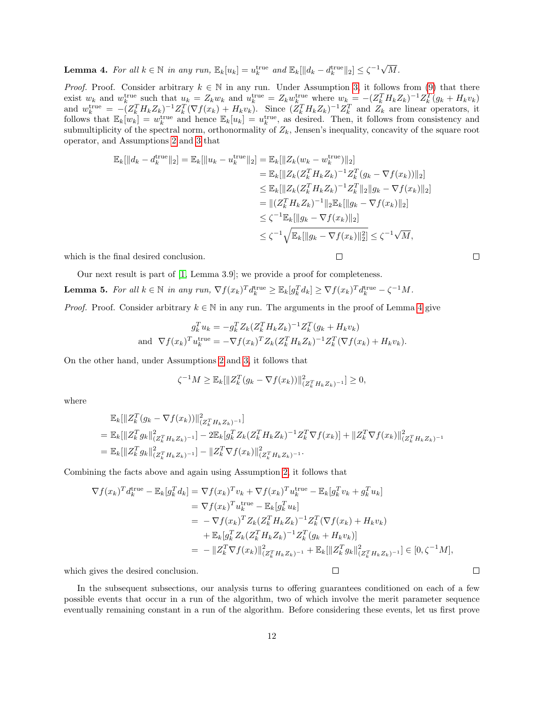Lemma 4. For all  $k \in \mathbb{N}$  in any run,  $\mathbb{E}_k[u_k] = u_k^{\text{true}}$  and  $\mathbb{E}_k[\|d_k - d_k^{\text{true}}\|_2] \leq \zeta^{-1} \sqrt{\frac{2}{\pi}}$  $M$ .

*Proof.* Proof. Consider arbitrary  $k \in \mathbb{N}$  in any run. Under Assumption [3,](#page-5-2) it follows from [\(9\)](#page-5-4) that there exist  $w_k$  and  $w_k^{\text{true}}$  such that  $u_k = Z_k w_k$  and  $u_k^{\text{true}} = Z_k w_{k_\infty}^{\text{true}}$  where  $w_k = -(Z_k^T H_k Z_k)^{-1} Z_k^T (g_k + H_k v_k)$ and  $w_k^{\text{true}} = -(Z_k^T H_k Z_k)^{-1} Z_k^T (\nabla f(x_k) + H_k v_k)$ . Since  $(Z_k^T H_k Z_k)^{-1} Z_k^T$  and  $Z_k$  are linear operators, it follows that  $\mathbb{E}_k[w_k] = w_k^{\text{true}}$  and hence  $\mathbb{E}_k[u_k] = u_k^{\text{true}}$ , as desired. Then, it follows from consistency and submultiplicity of the spectral norm, orthonormality of  $Z_k$ , Jensen's inequality, concavity of the square root operator, and Assumptions [2](#page-5-0) and [3](#page-5-2) that

$$
\mathbb{E}_{k}[\|d_{k} - d_{k}^{\text{true}}\|_{2}] = \mathbb{E}_{k}[\|u_{k} - u_{k}^{\text{true}}\|_{2}] = \mathbb{E}_{k}[\|Z_{k}(w_{k} - w_{k}^{\text{true}})\|_{2}]
$$
\n
$$
= \mathbb{E}_{k}[\|Z_{k}(Z_{k}^{T} H_{k} Z_{k})^{-1} Z_{k}^{T} (g_{k} - \nabla f(x_{k}))\|_{2}]
$$
\n
$$
\leq \mathbb{E}_{k}[\|Z_{k}(Z_{k}^{T} H_{k} Z_{k})^{-1} Z_{k}^{T}\|_{2} \|g_{k} - \nabla f(x_{k})\|_{2}]
$$
\n
$$
= \| (Z_{k}^{T} H_{k} Z_{k})^{-1} \|_{2} \mathbb{E}_{k}[\|g_{k} - \nabla f(x_{k})\|_{2}]
$$
\n
$$
\leq \zeta^{-1} \mathbb{E}_{k}[\|g_{k} - \nabla f(x_{k})\|_{2}]
$$
\n
$$
\leq \zeta^{-1} \sqrt{\mathbb{E}_{k}[\|g_{k} - \nabla f(x_{k})\|_{2}^{2}]} \leq \zeta^{-1} \sqrt{M},
$$

 $\Box$ 

which is the final desired conclusion.

Our next result is part of [\[1,](#page-29-0) Lemma 3.9]; we provide a proof for completeness.

<span id="page-11-0"></span>**Lemma 5.** For all  $k \in \mathbb{N}$  in any run,  $\nabla f(x_k)^T d_k^{\text{true}} \geq \mathbb{E}_k[g_k^T d_k] \geq \nabla f(x_k)^T d_k^{\text{true}} - \zeta^{-1} M$ .

*Proof.* Proof. Consider arbitrary  $k \in \mathbb{N}$  in any run. The arguments in the proof of Lemma [4](#page-10-3) give

$$
g_k^T u_k = -g_k^T Z_k (Z_k^T H_k Z_k)^{-1} Z_k^T (g_k + H_k v_k)
$$
  
and 
$$
\nabla f(x_k)^T u_k^{\text{true}} = -\nabla f(x_k)^T Z_k (Z_k^T H_k Z_k)^{-1} Z_k^T (\nabla f(x_k) + H_k v_k).
$$

On the other hand, under Assumptions [2](#page-5-0) and [3,](#page-5-2) it follows that

$$
\zeta^{-1}M \geq \mathbb{E}_k[\|Z_k^T(g_k - \nabla f(x_k))\|_{(Z_k^TH_kZ_k)^{-1}}^2] \geq 0,
$$

where

$$
\mathbb{E}_{k}[\|Z_{k}^{T}(g_{k} - \nabla f(x_{k}))\|_{(Z_{k}^{T} H_{k} Z_{k})^{-1}}^{2}]
$$
\n
$$
= \mathbb{E}_{k}[\|Z_{k}^{T} g_{k}\|_{(Z_{k}^{T} H_{k} Z_{k})^{-1}}^{2}] - 2 \mathbb{E}_{k}[g_{k}^{T} Z_{k}(Z_{k}^{T} H_{k} Z_{k})^{-1} Z_{k}^{T} \nabla f(x_{k})] + \|Z_{k}^{T} \nabla f(x_{k})\|_{(Z_{k}^{T} H_{k} Z_{k})^{-1}}^{2}
$$
\n
$$
= \mathbb{E}_{k}[\|Z_{k}^{T} g_{k}\|_{(Z_{k}^{T} H_{k} Z_{k})^{-1}}^{2}] - \|Z_{k}^{T} \nabla f(x_{k})\|_{(Z_{k}^{T} H_{k} Z_{k})^{-1}}^{2}.
$$

Combining the facts above and again using Assumption [2,](#page-5-0) it follows that

$$
\nabla f(x_k)^T d_k^{\text{true}} - \mathbb{E}_k[g_k^T d_k] = \nabla f(x_k)^T v_k + \nabla f(x_k)^T u_k^{\text{true}} - \mathbb{E}_k[g_k^T v_k + g_k^T u_k]
$$
  
\n
$$
= \nabla f(x_k)^T u_k^{\text{true}} - \mathbb{E}_k[g_k^T u_k]
$$
  
\n
$$
= -\nabla f(x_k)^T Z_k (Z_k^T H_k Z_k)^{-1} Z_k^T (\nabla f(x_k) + H_k v_k)
$$
  
\n
$$
+ \mathbb{E}_k[g_k^T Z_k (Z_k^T H_k Z_k)^{-1} Z_k^T (g_k + H_k v_k)]
$$
  
\n
$$
= - \|Z_k^T \nabla f(x_k)\|_{(Z_k^T H_k Z_k)^{-1}}^2 + \mathbb{E}_k[\|Z_k^T g_k\|_{(Z_k^T H_k Z_k)^{-1}}^2] \in [0, \zeta^{-1} M],
$$

 $\Box$ 

which gives the desired conclusion.

In the subsequent subsections, our analysis turns to offering guarantees conditioned on each of a few possible events that occur in a run of the algorithm, two of which involve the merit parameter sequence eventually remaining constant in a run of the algorithm. Before considering these events, let us first prove

 $\Box$ 

 $\Box$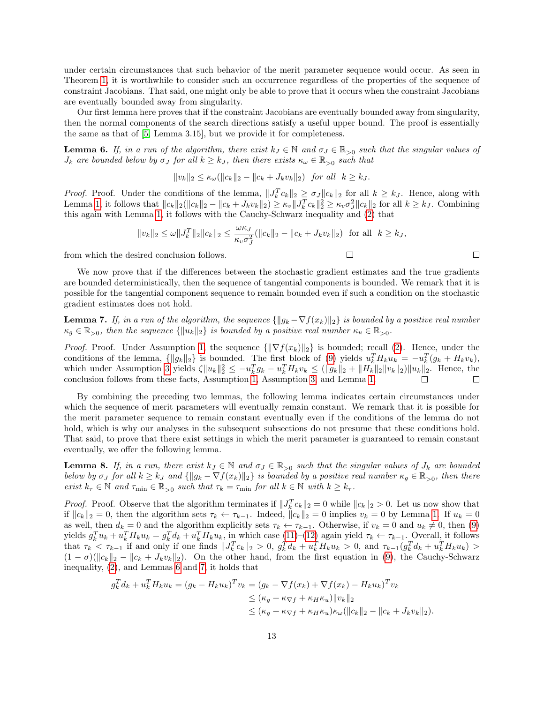under certain circumstances that such behavior of the merit parameter sequence would occur. As seen in Theorem [1,](#page-8-2) it is worthwhile to consider such an occurrence regardless of the properties of the sequence of constraint Jacobians. That said, one might only be able to prove that it occurs when the constraint Jacobians are eventually bounded away from singularity.

Our first lemma here proves that if the constraint Jacobians are eventually bounded away from singularity, then the normal components of the search directions satisfy a useful upper bound. The proof is essentially the same as that of [\[5,](#page-29-11) Lemma 3.15], but we provide it for completeness.

<span id="page-12-0"></span>**Lemma 6.** If, in a run of the algorithm, there exist  $k_J \in \mathbb{N}$  and  $\sigma_J \in \mathbb{R}_{>0}$  such that the singular values of  $J_k$  are bounded below by  $\sigma_J$  for all  $k \geq k_J$ , then there exists  $\kappa_\omega \in \mathbb{R}_{>0}$  such that

$$
||v_k||_2 \le \kappa_\omega(||c_k||_2 - ||c_k + J_k v_k||_2) \text{ for all } k \ge k_J.
$$

*Proof.* Proof. Under the conditions of the lemma,  $||J_k^T c_k||_2 \geq \sigma_J ||c_k||_2$  for all  $k \geq k_J$ . Hence, along with Lemma [1,](#page-10-1) it follows that  $||c_k||_2(||c_k||_2 - ||c_k + J_kv_k||_2) \ge \kappa_v ||J_k^T c_k||_2^2 \ge \kappa_v \sigma_J^2 ||c_k||_2$  for all  $k \ge k_J$ . Combining this again with Lemma [1,](#page-10-1) it follows with the Cauchy-Schwarz inequality and [\(2\)](#page-3-3) that

$$
||v_k||_2 \le \omega ||J_k^T||_2 ||c_k||_2 \le \frac{\omega \kappa_J}{\kappa_v \sigma_J^2} (||c_k||_2 - ||c_k + J_k v_k||_2) \text{ for all } k \ge k_J,
$$

 $\Box$ 

 $\Box$ 

from which the desired conclusion follows.

We now prove that if the differences between the stochastic gradient estimates and the true gradients are bounded deterministically, then the sequence of tangential components is bounded. We remark that it is possible for the tangential component sequence to remain bounded even if such a condition on the stochastic gradient estimates does not hold.

<span id="page-12-1"></span>**Lemma 7.** If, in a run of the algorithm, the sequence  $\{||g_k - \nabla f(x_k)||_2\}$  is bounded by a positive real number  $\kappa_g \in \mathbb{R}_{>0}$ , then the sequence  $\{\|u_k\|_2\}$  is bounded by a positive real number  $\kappa_u \in \mathbb{R}_{>0}$ .

*Proof.* Proof. Under Assumption [1,](#page-3-2) the sequence  $\{\|\nabla f(x_k)\|_2\}$  is bounded; recall [\(2\)](#page-3-3). Hence, under the conditions of the lemma,  $\{\|g_k\|_2\}$  is bounded. The first block of [\(9\)](#page-5-4) yields  $u_k^TH_ku_k = -u_k^T(g_k + H_kv_k),$ which under Assumption [3](#page-5-2) yields  $\zeta \|u_k\|_2^2 \leq -u_k^T g_k - u_k^T H_k v_k \leq (\|g_k\|_2 + \|H_k\|_2 \|v_k\|_2) \|u_k\|_2$ . Hence, the conclusion follows from these facts, Assumption [1,](#page-3-2) Assumption [3,](#page-5-2) and Lemma [1.](#page-10-1)

By combining the preceding two lemmas, the following lemma indicates certain circumstances under which the sequence of merit parameters will eventually remain constant. We remark that it is possible for the merit parameter sequence to remain constant eventually even if the conditions of the lemma do not hold, which is why our analyses in the subsequent subsections do not presume that these conditions hold. That said, to prove that there exist settings in which the merit parameter is guaranteed to remain constant eventually, we offer the following lemma.

<span id="page-12-2"></span>**Lemma 8.** If, in a run, there exist  $k_J \in \mathbb{N}$  and  $\sigma_J \in \mathbb{R}_{>0}$  such that the singular values of  $J_k$  are bounded below by  $\sigma_J$  for all  $k \geq k_J$  and  $\{\|g_k - \nabla f(x_k)\|_2\}$  is bounded by a positive real number  $\kappa_g \in \mathbb{R}_{>0}$ , then there exist  $k_{\tau} \in \mathbb{N}$  and  $\tau_{\min} \in \mathbb{R}_{>0}$  such that  $\tau_k = \tau_{\min}$  for all  $k \in \mathbb{N}$  with  $k \geq k_{\tau}$ .

*Proof.* Proof. Observe that the algorithm terminates if  $||J_k^T c_k||_2 = 0$  while  $||c_k||_2 > 0$ . Let us now show that if  $||c_k||_2 = 0$ , then the algorithm sets  $\tau_k \leftarrow \tau_{k-1}$ . Indeed,  $||c_k||_2 = 0$  implies  $v_k = 0$  by Lemma [1.](#page-10-1) If  $u_k = 0$ as well, then  $d_k = 0$  and the algorithm explicitly sets  $\tau_k \leftarrow \tau_{k-1}$ . Otherwise, if  $v_k = 0$  and  $u_k \neq 0$ , then [\(9\)](#page-5-4) yields  $g_k^T u_k + u_k^T H_k u_k = g_k^T d_k + u_k^T H_k u_k$ , in which case  $(11)$ – $(12)$  again yield  $\tau_k \leftarrow \tau_{k-1}$ . Overall, it follows that  $\tau_k < \tau_{k-1}$  if and only if one finds  $||J_k^T c_k||_2 > 0$ ,  $g_k^T d_k + u_k^T H_k u_k > 0$ , and  $\tau_{k-1}(g_k^T d_k + u_k^T H_k u_k) >$  $(1 - \sigma)(||c_k||_2 - ||c_k + J_kv_k||_2)$ . On the other hand, from the first equation in [\(9\)](#page-5-4), the Cauchy-Schwarz inequality, [\(2\)](#page-3-3), and Lemmas [6](#page-12-0) and [7,](#page-12-1) it holds that

$$
g_k^T d_k + u_k^T H_k u_k = (g_k - H_k u_k)^T v_k = (g_k - \nabla f(x_k) + \nabla f(x_k) - H_k u_k)^T v_k
$$
  
\n
$$
\leq (\kappa_g + \kappa_{\nabla f} + \kappa_H \kappa_u) ||v_k||_2
$$
  
\n
$$
\leq (\kappa_g + \kappa_{\nabla f} + \kappa_H \kappa_u) \kappa_\omega (||c_k||_2 - ||c_k + J_k v_k||_2).
$$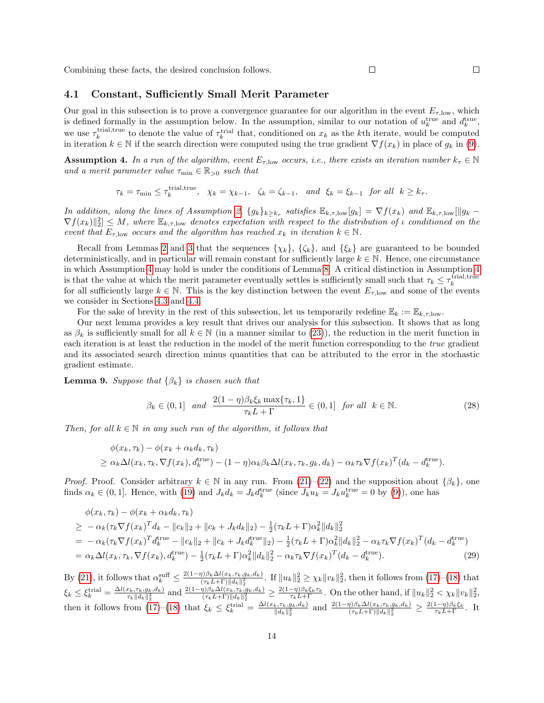Combining these facts, the desired conclusion follows.

#### <span id="page-13-0"></span>4.1 Constant, Sufficiently Small Merit Parameter

Our goal in this subsection is to prove a convergence guarantee for our algorithm in the event  $E_{\tau, \text{low}}$ , which is defined formally in the assumption below. In the assumption, similar to our notation of  $u_k^{\text{true}}$  and  $d_k^{\text{true}}$ , we use  $\tau_k^{\text{trial,true}}$  to denote the value of  $\tau_k^{\text{trial}}$  that, conditioned on  $x_k$  as the kth iterate, would be computed in iteration  $k \in \mathbb{N}$  if the search direction were computed using the true gradient  $\nabla f(x_k)$  in place of  $g_k$  in [\(9\)](#page-5-4).

<span id="page-13-1"></span>**Assumption 4.** In a run of the algorithm, event  $E_{\tau,low}$  occurs, i.e., there exists an iteration number  $k_{\tau} \in \mathbb{N}$ and a merit parameter value  $\tau_{\min} \in \mathbb{R}_{>0}$  such that

$$
\tau_k = \tau_{\min} \le \tau_k^{\text{trial,true}}, \quad \chi_k = \chi_{k-1}, \quad \zeta_k = \zeta_{k-1}, \quad \text{and} \quad \xi_k = \xi_{k-1} \quad \text{for all} \quad k \ge k_\tau.
$$

In addition, along the lines of Assumption [2,](#page-5-0)  $\{g_k\}_{k\geq k_{\tau}}$  satisfies  $\mathbb{E}_{k,\tau,\text{low}}[g_k] = \nabla f(x_k)$  and  $\mathbb{E}_{k,\tau,\text{low}}[\|g_k - g_k\|_2]$  $\nabla f(x_k)$  $\|_2^2 \leq M$ , where  $\mathbb{E}_{k,\tau,\text{low}}$  denotes expectation with respect to the distribution of  $\iota$  conditioned on the event that  $E_{\tau, \text{low}}$  occurs and the algorithm has reached  $x_k$  in iteration  $k \in \mathbb{N}$ .

Recall from Lemmas [2](#page-10-2) and [3](#page-10-0) that the sequences  $\{\chi_k\}$ ,  $\{\zeta_k\}$ , and  $\{\xi_k\}$  are guaranteed to be bounded deterministically, and in particular will remain constant for sufficiently large  $k \in \mathbb{N}$ . Hence, one circumstance in which Assumption [4](#page-13-1) may hold is under the conditions of Lemma [8.](#page-12-2) A critical distinction in Assumption [4](#page-13-1) is that the value at which the merit parameter eventually settles is sufficiently small such that  $\tau_k \leq \tau_k^{\text{trial,true}}$ for all sufficiently large  $k \in \mathbb{N}$ . This is the key distinction between the event  $E_{\tau, \text{low}}$  and some of the events we consider in Sections [4.3](#page-19-0) and [4.4.](#page-22-1)

For the sake of brevity in the rest of this subsection, let us temporarily redefine  $\mathbb{E}_k := \mathbb{E}_{k,\tau,\text{low}}$ .

Our next lemma provides a key result that drives our analysis for this subsection. It shows that as long as  $\beta_k$  is sufficiently small for all  $k \in \mathbb{N}$  (in a manner similar to [\(23\)](#page-8-5)), the reduction in the merit function in each iteration is at least the reduction in the model of the merit function corresponding to the true gradient and its associated search direction minus quantities that can be attributed to the error in the stochastic gradient estimate.

<span id="page-13-3"></span>**Lemma 9.** Suppose that  $\{\beta_k\}$  is chosen such that

<span id="page-13-4"></span><span id="page-13-2"></span>
$$
\beta_k \in (0,1] \quad \text{and} \quad \frac{2(1-\eta)\beta_k \xi_k \max\{\tau_k, 1\}}{\tau_k L + \Gamma} \in (0,1] \quad \text{for all} \quad k \in \mathbb{N}. \tag{28}
$$

Then, for all  $k \in \mathbb{N}$  in any such run of the algorithm, it follows that

$$
\phi(x_k, \tau_k) - \phi(x_k + \alpha_k d_k, \tau_k)
$$
  
\n
$$
\geq \alpha_k \Delta l(x_k, \tau_k, \nabla f(x_k), d_k^{\text{true}}) - (1 - \eta) \alpha_k \beta_k \Delta l(x_k, \tau_k, g_k, d_k) - \alpha_k \tau_k \nabla f(x_k)^T (d_k - d_k^{\text{true}}).
$$

*Proof.* Proof. Consider arbitrary  $k \in \mathbb{N}$  in any run. From  $(21)-(22)$  $(21)-(22)$  and the supposition about  $\{\beta_k\}$ , one finds  $\alpha_k \in (0,1]$ . Hence, with [\(19\)](#page-7-2) and  $J_k d_k = J_k d_k^{\text{true}}$  (since  $J_k u_k = J_k u_k^{\text{true}} = 0$  by [\(9\)](#page-5-4)), one has

$$
\phi(x_k, \tau_k) - \phi(x_k + \alpha_k d_k, \tau_k) \n\geq -\alpha_k (\tau_k \nabla f(x_k)^T d_k - \|c_k\|_2 + \|c_k + J_k d_k\|_2) - \frac{1}{2} (\tau_k L + \Gamma) \alpha_k^2 \|d_k\|_2^2 \n= -\alpha_k (\tau_k \nabla f(x_k)^T d_k^{true} - \|c_k\|_2 + \|c_k + J_k d_k^{true}\|_2) - \frac{1}{2} (\tau_k L + \Gamma) \alpha_k^2 \|d_k\|_2^2 - \alpha_k \tau_k \nabla f(x_k)^T (d_k - d_k^{true}) \n= \alpha_k \Delta l(x_k, \tau_k, \nabla f(x_k), d_k^{true}) - \frac{1}{2} (\tau_k L + \Gamma) \alpha_k^2 \|d_k\|_2^2 - \alpha_k \tau_k \nabla f(x_k)^T (d_k - d_k^{true}).
$$
\n(29)

By [\(21\)](#page-7-3), it follows that  $\alpha_k^{\text{suff}} \leq \frac{2(1-\eta)\beta_k\Delta l(x_k,\tau_k,g_k,d_k)}{(\tau_kL+\Gamma)||d_k||_2^2}$  $\frac{\eta\beta_k\Delta l(x_k,\tau_k,g_k,d_k)}{(\tau_kL+\Gamma)\|d_k\|_2^2}$ . If  $\|u_k\|_2^2 \geq \chi_k \|v_k\|_2^2$ , then it follows from  $(17)-(18)$  $(17)-(18)$  that  $\xi_k \leq \xi_k^{\text{trial}} = \frac{\Delta l(x_k, \tau_k, g_k, d_k)}{\tau_k ||d_k||_2^2}$  $\frac{\sum_{k,\tau_k,\tau_k,g_k,d_k}}{\sum_{k}||d_k||_2^2}$  and  $\frac{2(1-\eta)\beta_k\Delta l(x_k,\tau_k,g_k,d_k)}{(\tau_kL+\Gamma)\|d_k\|_2^2} \geq \frac{2(1-\eta)\beta_k\xi_k\tau_k}{\tau_kL+\Gamma}$ . On the other hand, if  $||u_k||_2^2 < \chi_k ||v_k||_2^2$ , then it follows from [\(17\)](#page-6-2)–[\(18\)](#page-7-0) that  $\xi_k \leq \xi_k^{\text{trial}} = \frac{\Delta l(x_k, \tau_k, g_k, d_k)}{||d_k||_2^2}$  $\frac{d_k, \tau_k, g_k, d_k)}{\|d_k\|_2^2}$  and  $\frac{2(1-\eta)\beta_k\Delta l(x_k, \tau_k, g_k, d_k)}{(\tau_k L+\Gamma)\|d_k\|_2^2} \geq \frac{2(1-\eta)\beta_k\xi_k}{\tau_k L+\Gamma}$ . It

 $\Box$ 

 $\Box$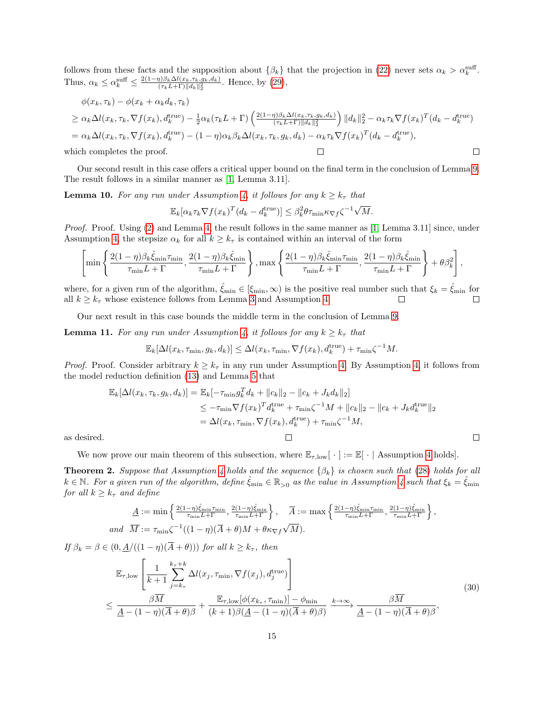follows from these facts and the supposition about  $\{\beta_k\}$  that the projection in [\(22\)](#page-8-1) never sets  $\alpha_k > \alpha_k^{\text{surf}}$ . Thus,  $\alpha_k \leq \alpha_k^{\text{surf}} \leq \frac{2(1-\eta)\beta_k \Delta l(x_k,\tau_k,g_k,d_k)}{(\tau_k L + \Gamma) ||d_k||_2^2}$  $\frac{\gamma\beta_k\Delta t(x_k,\tau_k,g_k,a_k)}{(\tau_kL+\Gamma)\|d_k\|_2^2}$ . Hence, by  $(29)$ ,

$$
\phi(x_k, \tau_k) - \phi(x_k + \alpha_k d_k, \tau_k)
$$
\n
$$
\geq \alpha_k \Delta l(x_k, \tau_k, \nabla f(x_k), d_k^{\text{true}}) - \frac{1}{2} \alpha_k (\tau_k L + \Gamma) \left( \frac{2(1-\eta)\beta_k \Delta l(x_k, \tau_k, g_k, d_k)}{(\tau_k L + \Gamma) \|d_k\|_2^2} \right) \|d_k\|_2^2 - \alpha_k \tau_k \nabla f(x_k)^T (d_k - d_k^{\text{true}})
$$
\n
$$
= \alpha_k \Delta l(x_k, \tau_k, \nabla f(x_k), d_k^{\text{true}}) - (1-\eta) \alpha_k \beta_k \Delta l(x_k, \tau_k, g_k, d_k) - \alpha_k \tau_k \nabla f(x_k)^T (d_k - d_k^{\text{true}}),
$$
\nwhich completes the proof.

\n
$$
\square
$$

which completes the proof.

Our second result in this case offers a critical upper bound on the final term in the conclusion of Lemma [9.](#page-13-3) The result follows in a similar manner as [\[1,](#page-29-0) Lemma 3.11].

**Lemma 10.** For any run under Assumption [4,](#page-13-1) it follows for any  $k \geq k_{\tau}$  that

$$
\mathbb{E}_{k}[\alpha_{k}\tau_{k}\nabla f(x_{k})^{T}(d_{k}-d_{k}^{\mathrm{true}})] \leq \beta_{k}^{2}\theta\tau_{\min}\kappa_{\nabla f}\zeta^{-1}\sqrt{M}.
$$

Proof. Proof. Using [\(2\)](#page-3-3) and Lemma [4,](#page-10-3) the result follows in the same manner as [\[1,](#page-29-0) Lemma 3.11] since, under Assumption [4,](#page-13-1) the stepsize  $\alpha_k$  for all  $k \geq k_{\tau}$  is contained within an interval of the form

$$
\left[\min\left\{\frac{2(1-\eta)\beta_k\hat{\xi}_{\min}\tau_{\min}}{\tau_{\min}L+\Gamma},\frac{2(1-\eta)\beta_k\hat{\xi}_{\min}}{\tau_{\min}L+\Gamma}\right\},\max\left\{\frac{2(1-\eta)\beta_k\hat{\xi}_{\min}\tau_{\min}}{\tau_{\min}L+\Gamma},\frac{2(1-\eta)\beta_k\hat{\xi}_{\min}}{\tau_{\min}L+\Gamma}\right\}+\theta\beta_k^2\right],
$$

where, for a given run of the algorithm,  $\hat{\zeta}_{\min} \in [\xi_{\min}, \infty)$  is the positive real number such that  $\xi_k = \hat{\zeta}_{\min}$  for all  $k \geq k_{\tau}$  whose existence follows from Lemma [3](#page-10-0) and Assumption [4.](#page-13-1)  $\Box$ 

Our next result in this case bounds the middle term in the conclusion of Lemma [9.](#page-13-3)

<span id="page-14-0"></span>**Lemma 11.** For any run under Assumption [4,](#page-13-1) it follows for any  $k \geq k_{\tau}$  that

$$
\mathbb{E}_{k}[\Delta l(x_k, \tau_{\min}, g_k, d_k)] \leq \Delta l(x_k, \tau_{\min}, \nabla f(x_k), d_k^{\text{true}}) + \tau_{\min} \zeta^{-1} M.
$$

*Proof.* Proof. Consider arbitrary  $k \geq k_{\tau}$  in any run under Assumption [4.](#page-13-1) By Assumption [4,](#page-13-1) it follows from the model reduction definition [\(13\)](#page-6-6) and Lemma [5](#page-11-0) that

$$
\mathbb{E}_{k}[\Delta l(x_{k}, \tau_{k}, g_{k}, d_{k})] = \mathbb{E}_{k}[-\tau_{\min} g_{k}^{T} d_{k} + ||c_{k}||_{2} - ||c_{k} + J_{k} d_{k}||_{2}]
$$
  
\n
$$
\leq -\tau_{\min} \nabla f(x_{k})^{T} d_{k}^{\text{true}} + \tau_{\min} \zeta^{-1} M + ||c_{k}||_{2} - ||c_{k} + J_{k} d_{k}^{\text{true}}||_{2}
$$
  
\n
$$
= \Delta l(x_{k}, \tau_{\min}, \nabla f(x_{k}), d_{k}^{\text{true}}) + \tau_{\min} \zeta^{-1} M,
$$

as desired.

We now prove our main theorem of this subsection, where  $\mathbb{E}_{\tau,\text{low}}[\cdot] := \mathbb{E}[\cdot]$  Assumption [4](#page-13-1) holds].

<span id="page-14-2"></span>**Theorem 2.** Suppose that Assumption [4](#page-13-1) holds and the sequence  $\{\beta_k\}$  is chosen such that [\(28\)](#page-13-4) holds for all  $k \in \mathbb{N}$ . For a given run of the algorithm, define  $\xi_{\min} \in \mathbb{R}_{>0}$  as the value in Assumption [4](#page-13-1) such that  $\xi_k = \xi_{\min}$ for all  $k \geq k_{\tau}$  and define

$$
\underline{A} := \min \left\{ \frac{2(1-\eta)\hat{\xi}_{\min}\tau_{\min}}{\tau_{\min}L + \Gamma}, \frac{2(1-\eta)\hat{\xi}_{\min}}{\tau_{\min}L + \Gamma} \right\}, \quad \overline{A} := \max \left\{ \frac{2(1-\eta)\hat{\xi}_{\min}\tau_{\min}}{\tau_{\min}L + \Gamma}, \frac{2(1-\eta)\hat{\xi}_{\min}}{\tau_{\min}L + \Gamma} \right\},
$$
  
and  $\overline{M} := \tau_{\min} \zeta^{-1}((1-\eta)(\overline{A} + \theta)M + \theta \kappa_{\nabla f} \sqrt{M}).$ 

If  $\beta_k = \beta \in (0, \underline{A}/((1 - \eta)(\overline{A} + \theta)))$  for all  $k \geq k_\tau$ , then

<span id="page-14-1"></span>
$$
\mathbb{E}_{\tau,\text{low}}\left[\frac{1}{k+1}\sum_{j=k_{\tau}}^{k_{\tau}+k} \Delta l(x_j, \tau_{\text{min}}, \nabla f(x_j), d_j^{\text{true}})\right] \n\leq \frac{\beta \overline{M}}{\underline{A}-(1-\eta)(\overline{A}+\theta)\beta} + \frac{\mathbb{E}_{\tau,\text{low}}[\phi(x_{k_{\tau}}, \tau_{\text{min}})] - \phi_{\text{min}}}{(k+1)\beta(\underline{A}-(1-\eta)(\overline{A}+\theta)\beta)} \xrightarrow{k\to\infty} \frac{\beta \overline{M}}{\underline{A}-(1-\eta)(\overline{A}+\theta)\beta},
$$
\n(30)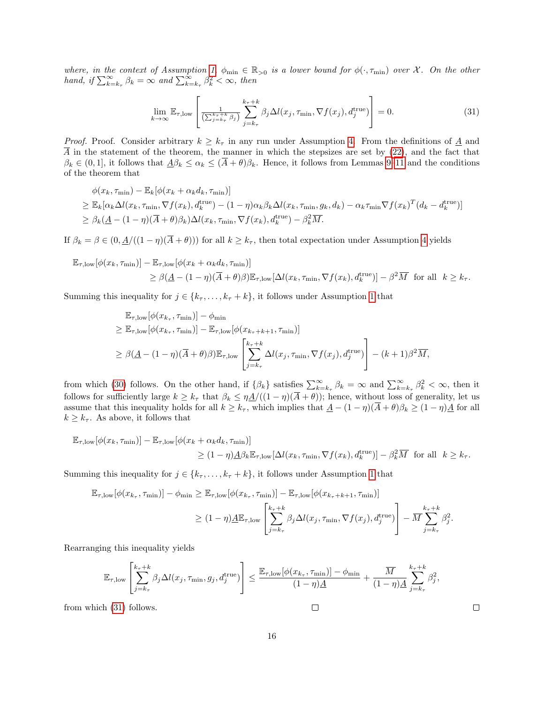where, in the context of Assumption [1,](#page-3-2)  $\phi_{\min} \in \mathbb{R}_{>0}$  is a lower bound for  $\phi(\cdot, \tau_{\min})$  over X. On the other hand, if  $\sum_{k=k_{\tau}}^{\infty} \beta_k = \infty$  and  $\sum_{k=k_{\tau}}^{\infty} \beta_k^2 < \infty$ , then

<span id="page-15-0"></span>
$$
\lim_{k \to \infty} \mathbb{E}_{\tau, \text{low}} \left[ \frac{\frac{1}{\left(\sum_{j=k_{\tau}}^{k_{\tau} + k} \beta_j\right)} \sum_{j=k_{\tau}}^{k_{\tau} + k} \beta_j \Delta l(x_j, \tau_{\text{min}}, \nabla f(x_j), d_j^{\text{true}}) \right] = 0. \tag{31}
$$

*Proof.* Proof. Consider arbitrary  $k \geq k_{\tau}$  in any run under Assumption [4.](#page-13-1) From the definitions of  $\underline{A}$  and  $\overline{A}$  in the statement of the theorem, the manner in which the stepsizes are set by [\(22\)](#page-8-1), and the fact that  $\beta_k \in (0,1]$ , it follows that  $\underline{A}\beta_k \leq \alpha_k \leq (\overline{A} + \theta)\beta_k$ . Hence, it follows from Lemmas [9](#page-13-3)[–11](#page-14-0) and the conditions of the theorem that

$$
\phi(x_k, \tau_{\min}) - \mathbb{E}_k[\phi(x_k + \alpha_k d_k, \tau_{\min})]
$$
\n
$$
\geq \mathbb{E}_k[\alpha_k \Delta l(x_k, \tau_{\min}, \nabla f(x_k), d_k^{\text{true}}) - (1 - \eta)\alpha_k \beta_k \Delta l(x_k, \tau_{\min}, g_k, d_k) - \alpha_k \tau_{\min} \nabla f(x_k)^T (d_k - d_k^{\text{true}})]
$$
\n
$$
\geq \beta_k (\underline{A} - (1 - \eta)(\overline{A} + \theta)\beta_k) \Delta l(x_k, \tau_{\min}, \nabla f(x_k), d_k^{\text{true}}) - \beta_k^2 \overline{M}.
$$

If  $\beta_k = \beta \in (0, \underline{A}/((1 - \eta)(\overline{A} + \theta)))$  for all  $k \geq k_{\tau}$ , then total expectation under Assumption [4](#page-13-1) yields

$$
\mathbb{E}_{\tau,\text{low}}[\phi(x_k,\tau_{\text{min}})] - \mathbb{E}_{\tau,\text{low}}[\phi(x_k + \alpha_k d_k, \tau_{\text{min}})]
$$
  

$$
\geq \beta(\underline{A} - (1-\eta)(\overline{A} + \theta)\beta)\mathbb{E}_{\tau,\text{low}}[\Delta l(x_k,\tau_{\text{min}}, \nabla f(x_k), d_k^{\text{true}})] - \beta^2 \overline{M} \text{ for all } k \geq k_{\tau}.
$$

Summing this inequality for  $j \in \{k_{\tau}, \ldots, k_{\tau} + k\}$ , it follows under Assumption [1](#page-3-2) that

$$
\mathbb{E}_{\tau,\text{low}}[\phi(x_{k_{\tau}},\tau_{\text{min}})] - \phi_{\text{min}} \n\geq \mathbb{E}_{\tau,\text{low}}[\phi(x_{k_{\tau}},\tau_{\text{min}})] - \mathbb{E}_{\tau,\text{low}}[\phi(x_{k_{\tau}+k+1},\tau_{\text{min}})] \n\geq \beta(\underline{A} - (1-\eta)(\overline{A}+\theta)\beta)\mathbb{E}_{\tau,\text{low}}\left[\sum_{j=k_{\tau}}^{k_{\tau}+k} \Delta l(x_j,\tau_{\text{min}},\nabla f(x_j),d_j^{\text{true}})\right] - (k+1)\beta^2\overline{M},
$$

from which [\(30\)](#page-14-1) follows. On the other hand, if  $\{\beta_k\}$  satisfies  $\sum_{k=k_{\tau}}^{\infty} \beta_k = \infty$  and  $\sum_{k=k_{\tau}}^{\infty} \beta_k^2 < \infty$ , then it follows for sufficiently large  $k \geq k_{\tau}$  that  $\beta_k \leq \eta \underline{A}/((1-\eta)(\overline{A}+\theta))$ ; hence, without loss of generality, let us assume that this inequality holds for all  $k \geq k_{\tau}$ , which implies that  $\underline{A} - (1 - \eta)(\overline{A} + \theta)\beta_k \geq (1 - \eta)\underline{A}$  for all  $k \geq k_{\tau}$ . As above, it follows that

$$
\mathbb{E}_{\tau,\text{low}}[\phi(x_k,\tau_{\text{min}})] - \mathbb{E}_{\tau,\text{low}}[\phi(x_k + \alpha_k d_k, \tau_{\text{min}})]
$$
  

$$
\geq (1-\eta) \underline{A}\beta_k \mathbb{E}_{\tau,\text{low}}[\Delta l(x_k,\tau_{\text{min}}, \nabla f(x_k), d_k^{\text{true}})] - \beta_k^2 \overline{M} \text{ for all } k \geq k_{\tau}.
$$

Summing this inequality for  $j \in \{k_{\tau}, \ldots, k_{\tau} + k\}$ , it follows under Assumption [1](#page-3-2) that

$$
\mathbb{E}_{\tau, \text{low}}[\phi(x_{k_{\tau}}, \tau_{\text{min}})] - \phi_{\text{min}} \geq \mathbb{E}_{\tau, \text{low}}[\phi(x_{k_{\tau}}, \tau_{\text{min}})] - \mathbb{E}_{\tau, \text{low}}[\phi(x_{k_{\tau}+k+1}, \tau_{\text{min}})]
$$
  

$$
\geq (1 - \eta) \underline{A} \mathbb{E}_{\tau, \text{low}} \left[ \sum_{j=k_{\tau}}^{k_{\tau}+k} \beta_j \Delta l(x_j, \tau_{\text{min}}, \nabla f(x_j), d_j^{\text{true}}) \right] - \frac{k_{\tau}+k}{M} \sum_{j=k_{\tau}}^{\ell} \beta_j^2
$$

.

 $\Box$ 

Rearranging this inequality yields

$$
\mathbb{E}_{\tau,\text{low}}\left[\sum_{j=k_{\tau}}^{k_{\tau}+k} \beta_j \Delta l(x_j,\tau_{\text{min}},g_j,d_j^{\text{true}})\right] \leq \frac{\mathbb{E}_{\tau,\text{low}}[\phi(x_{k_{\tau}},\tau_{\text{min}})]-\phi_{\text{min}}}{(1-\eta)\underline{A}}+\frac{\overline{M}}{(1-\eta)\underline{A}}\sum_{j=k_{\tau}}^{k_{\tau}+k} \beta_j^2,
$$

 $\Box$ 

from which [\(31\)](#page-15-0) follows.

16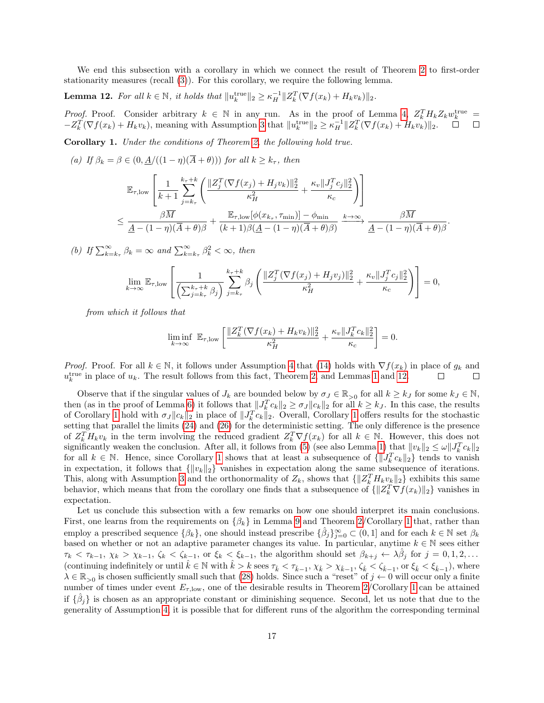We end this subsection with a corollary in which we connect the result of Theorem [2](#page-14-2) to first-order stationarity measures (recall [\(3\)](#page-4-1)). For this corollary, we require the following lemma.

<span id="page-16-1"></span>**Lemma 12.** For all  $k \in \mathbb{N}$ , it holds that  $||u_k^{\text{true}}||_2 \ge \kappa_H^{-1} ||Z_k^T(\nabla f(x_k) + H_k v_k)||_2$ .

*Proof.* Proof. Consider arbitrary  $k \in \mathbb{N}$  in any run. As in the proof of Lemma [4,](#page-10-3)  $Z_k^T H_k Z_k w_k^{\text{true}} =$  $-Z_k^T(\nabla f(x_k) + H_k v_k)$ , meaning with Assumption [3](#page-5-2) that  $||u_k^{\text{true}}||_2 \ge \kappa_H^{-1} ||Z_k^T(\nabla f(x_k) + H_k v_k)||_2$ .  $\overline{\phantom{a}}$ 

<span id="page-16-0"></span>Corollary 1. Under the conditions of Theorem [2,](#page-14-2) the following hold true.

(a) If  $\beta_k = \beta \in (0, \underline{A}/((1 - \eta)(\overline{A} + \theta)))$  for all  $k \geq k_\tau$ , then  $\mathbb{E}_{\tau,\text{low}}$  $\lceil$  $\overline{1}$ 1  $k+1$  $\sum^{k_\tau+k}$  $j = k_\tau$  $\int \|Z_j^T(\nabla f(x_j) + H_j v_k)\|_2^2$  $\kappa_H^2$  $+\frac{\kappa_v \|J_j^T c_j\|_2^2}{\epsilon}$  $\kappa_c$ \]  $\mathsf{I}$  $\leq \frac{\beta M}{\beta M}$  $\frac{\beta \overline{M}}{A-(1-\eta)(\overline{A}+\theta)\beta}+\frac{\mathbb{E}_{\tau, \mathrm{low}}[\phi(x_{k_{\tau}},\tau_{\mathrm{min}})]-\phi_{\mathrm{min}}}{(k+1)\beta(\underline{A}-(1-\eta)(\overline{A}+\theta))}$  $\frac{\mathbb{E}_{\tau,\text{low}}[\phi(x_{k_{\tau}}, \tau_{\text{min}})] - \phi_{\text{min}}}{(k+1)\beta(A-(1-\eta)(\overline{A}+\theta)\beta)} \xrightarrow{k\to\infty} \frac{\beta M}{A-(1-\eta)}$  $\frac{\beta M}{A-(1-\eta)(\overline{A}+\theta)\beta}.$ 

(b) If  $\sum_{k=k_{\tau}}^{\infty} \beta_k = \infty$  and  $\sum_{k=k_{\tau}}^{\infty} \beta_k^2 < \infty$ , then

$$
\lim_{k \to \infty} \mathbb{E}_{\tau, \text{low}} \left[ \frac{1}{\left( \sum_{j=k_{\tau}}^{k_{\tau}+k} \beta_j \right)} \sum_{j=k_{\tau}}^{k_{\tau}+k} \beta_j \left( \frac{\|Z_j^T(\nabla f(x_j) + H_j v_j)\|_2^2}{\kappa_H^2} + \frac{\kappa_v \|J_j^T c_j\|_2^2}{\kappa_c} \right) \right] = 0,
$$

from which it follows that

$$
\liminf_{k \to \infty} \mathbb{E}_{\tau, \text{low}} \left[ \frac{\|Z_k^T(\nabla f(x_k) + H_k v_k)\|_2^2}{\kappa_H^2} + \frac{\kappa_v \|J_k^T c_k\|_2^2}{\kappa_c} \right] = 0.
$$

*Proof.* Proof. For all  $k \in \mathbb{N}$ , it follows under Assumption [4](#page-13-1) that [\(14\)](#page-6-3) holds with  $\nabla f(x_k)$  in place of  $g_k$  and  $u_k^{\text{true}}$  in place of  $u_k$ . The result follows from this fact, Theorem [2,](#page-14-2) and Lemmas [1](#page-10-1) and [12.](#page-16-1)  $\Box$  $\Box$ 

Observe that if the singular values of  $J_k$  are bounded below by  $\sigma_J \in \mathbb{R}_{>0}$  for all  $k \geq k_J$  for some  $k_J \in \mathbb{N}$ , then (as in the proof of Lemma [6\)](#page-12-0) it follows that  $||J_k^T c_k||_2 \ge \sigma_J ||c_k||_2$  for all  $k \ge k_J$ . In this case, the results of Corollary [1](#page-16-0) hold with  $\sigma_J ||c_k||_2$  in place of  $||J_k^T c_k||_2$ . Overall, Corollary 1 offers results for the stochastic setting that parallel the limits [\(24\)](#page-8-3) and [\(26\)](#page-9-1) for the deterministic setting. The only difference is the presence of  $Z_k^T H_k v_k$  in the term involving the reduced gradient  $Z_k^T \nabla f(x_k)$  for all  $k \in \mathbb{N}$ . However, this does not significantly weaken the conclusion. After all, it follows from [\(5\)](#page-4-2) (see also Lemma [1\)](#page-10-1) that  $||v_k||_2 \le \omega ||J_k^T c_k||_2$ for all  $k \in \mathbb{N}$ . Hence, since Corollary [1](#page-16-0) shows that at least a subsequence of  $\{\|\hat{J}_k^T c_k\|_2\}$  tends to vanish in expectation, it follows that  $\{|v_k\|_2\}$  vanishes in expectation along the same subsequence of iterations. This, along with Assumption [3](#page-5-2) and the orthonormality of  $Z_k$ , shows that  $\{\|Z_k^TH_kv_k\|_2\}$  exhibits this same behavior, which means that from the corollary one finds that a subsequence of  $\{||Z_k^T \nabla f(x_k)||_2\}$  vanishes in expectation.

Let us conclude this subsection with a few remarks on how one should interpret its main conclusions. First, one learns from the requirements on  $\{\beta_k\}$  in Lemma [9](#page-13-3) and Theorem [2/](#page-14-2)Corollary [1](#page-16-0) that, rather than employ a prescribed sequence  $\{\beta_k\}$ , one should instead prescribe  $\{\hat{\beta}_j\}_{j=0}^{\infty} \subset (0,1]$  and for each  $k \in \mathbb{N}$  set  $\beta_k$ based on whether or not an adaptive parameter changes its value. In particular, anytime  $k \in \mathbb{N}$  sees either  $\tau_k < \tau_{k-1}, \ \chi_k > \chi_{k-1}, \ \zeta_k < \zeta_{k-1}, \text{ or } \zeta_k < \zeta_{k-1}, \text{ the algorithm should set } \beta_{k+j} \leftarrow \lambda \hat{\beta}_j \text{ for } j = 0, 1, 2, \ldots$ (continuing indefinitely or until  $\hat{k} \in \mathbb{N}$  with  $\hat{k} > k$  sees  $\tau_{\hat{k}} < \tau_{\hat{k}-1}$ ,  $\chi_{\hat{k}} > \chi_{\hat{k}-1}$ ,  $\zeta_{\hat{k}} < \zeta_{\hat{k}-1}$ , or  $\xi_{\hat{k}} < \xi_{\hat{k}-1}$ ), where  $\lambda \in \mathbb{R}_{>0}$  is chosen sufficiently small such that [\(28\)](#page-13-4) holds. Since such a "reset" of  $j \leftarrow 0$  will occur only a finite number of times under event  $E_{\tau,low}$ , one of the desirable results in Theorem [2/](#page-14-2)Corollary [1](#page-16-0) can be attained if  $\{\hat{\beta}_j\}$  is chosen as an appropriate constant or diminishing sequence. Second, let us note that due to the generality of Assumption [4,](#page-13-1) it is possible that for different runs of the algorithm the corresponding terminal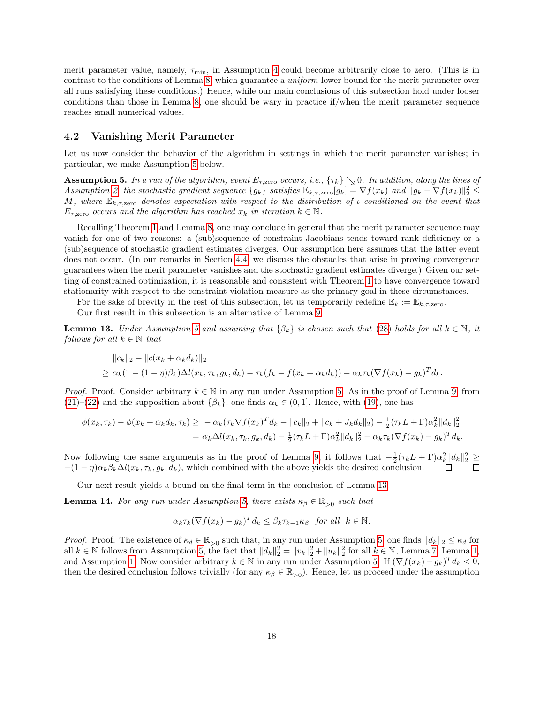merit parameter value, namely,  $\tau_{\min}$ , in Assumption [4](#page-13-1) could become arbitrarily close to zero. (This is in contrast to the conditions of Lemma [8,](#page-12-2) which guarantee a uniform lower bound for the merit parameter over all runs satisfying these conditions.) Hence, while our main conclusions of this subsection hold under looser conditions than those in Lemma [8,](#page-12-2) one should be wary in practice if/when the merit parameter sequence reaches small numerical values.

#### <span id="page-17-0"></span>4.2 Vanishing Merit Parameter

Let us now consider the behavior of the algorithm in settings in which the merit parameter vanishes; in particular, we make Assumption [5](#page-17-1) below.

<span id="page-17-1"></span>**Assumption 5.** In a run of the algorithm, event  $E_{\tau,\text{zero}}$  occurs, i.e.,  $\{\tau_k\}\searrow 0$ . In addition, along the lines of Assumption [2,](#page-5-0) the stochastic gradient sequence  $\{g_k\}$  satisfies  $\mathbb{E}_{k,\tau,\text{zero}}[g_k] = \nabla f(x_k)$  and  $||g_k - \nabla f(x_k)||_2^2 \leq$ M, where  $\mathbb{E}_{k,\tau,\text{zero}}$  denotes expectation with respect to the distribution of  $\iota$  conditioned on the event that  $E_{\tau,\text{zero}}$  occurs and the algorithm has reached  $x_k$  in iteration  $k \in \mathbb{N}$ .

Recalling Theorem [1](#page-8-2) and Lemma [8,](#page-12-2) one may conclude in general that the merit parameter sequence may vanish for one of two reasons: a (sub)sequence of constraint Jacobians tends toward rank deficiency or a (sub)sequence of stochastic gradient estimates diverges. Our assumption here assumes that the latter event does not occur. (In our remarks in Section [4.4,](#page-22-1) we discuss the obstacles that arise in proving convergence guarantees when the merit parameter vanishes and the stochastic gradient estimates diverge.) Given our setting of constrained optimization, it is reasonable and consistent with Theorem [1](#page-8-2) to have convergence toward stationarity with respect to the constraint violation measure as the primary goal in these circumstances.

For the sake of brevity in the rest of this subsection, let us temporarily redefine  $\mathbb{E}_k := \mathbb{E}_{k,\tau,\text{zero}}$ .

Our first result in this subsection is an alternative of Lemma [9.](#page-13-3)

<span id="page-17-2"></span>**Lemma 13.** Under Assumption [5](#page-17-1) and assuming that  $\{\beta_k\}$  is chosen such that [\(28\)](#page-13-4) holds for all  $k \in \mathbb{N}$ , it follows for all  $k \in \mathbb{N}$  that

$$
||c_k||_2 - ||c(x_k + \alpha_k d_k)||_2
$$
  
\n
$$
\geq \alpha_k (1 - (1 - \eta)\beta_k) \Delta l(x_k, \tau_k, g_k, d_k) - \tau_k (f_k - f(x_k + \alpha_k d_k)) - \alpha_k \tau_k (\nabla f(x_k) - g_k)^T d_k.
$$

*Proof.* Proof. Consider arbitrary  $k \in \mathbb{N}$  in any run under Assumption [5.](#page-17-1) As in the proof of Lemma [9,](#page-13-3) from  $(21)$ – $(22)$  and the supposition about  $\{\beta_k\}$ , one finds  $\alpha_k \in (0,1]$ . Hence, with [\(19\)](#page-7-2), one has

$$
\phi(x_k, \tau_k) - \phi(x_k + \alpha_k d_k, \tau_k) \ge -\alpha_k (\tau_k \nabla f(x_k)^T d_k - \|c_k\|_2 + \|c_k + J_k d_k\|_2) - \frac{1}{2} (\tau_k L + \Gamma) \alpha_k^2 \|d_k\|_2^2
$$
  
=  $\alpha_k \Delta l(x_k, \tau_k, g_k, d_k) - \frac{1}{2} (\tau_k L + \Gamma) \alpha_k^2 \|d_k\|_2^2 - \alpha_k \tau_k (\nabla f(x_k) - g_k)^T d_k.$ 

Now following the same arguments as in the proof of Lemma [9,](#page-13-3) it follows that  $-\frac{1}{2}(\tau_k L + \Gamma)\alpha_k^2 ||d_k||_2^2 \ge$  $-(1 - \eta)\alpha_k\beta_k\Delta l(x_k, \tau_k, g_k, d_k)$ , which combined with the above yields the desired conclusion.

Our next result yields a bound on the final term in the conclusion of Lemma [13.](#page-17-2)

**Lemma 14.** For any run under Assumption [5,](#page-17-1) there exists  $\kappa_{\beta} \in \mathbb{R}_{>0}$  such that

$$
\alpha_k \tau_k (\nabla f(x_k) - g_k)^T d_k \leq \beta_k \tau_{k-1} \kappa_\beta
$$
 for all  $k \in \mathbb{N}$ .

*Proof.* Proof. The existence of  $\kappa_d \in \mathbb{R}_{>0}$  such that, in any run under Assumption [5,](#page-17-1) one finds  $||d_k||_2 \leq \kappa_d$  for all  $k \in \mathbb{N}$  follows from Assumption [5,](#page-17-1) the fact that  $||d_k||_2^2 = ||v_k||_2^2 + ||u_k||_2^2$  for all  $k \in \mathbb{N}$ , Lemma [7,](#page-12-1) Lemma [1,](#page-10-1) and Assumption [1.](#page-3-2) Now consider arbitrary  $k \in \mathbb{N}$  in any run under Assumption [5.](#page-17-1) If  $(\nabla f(x_k) - g_k)^T d_k < 0$ , then the desired conclusion follows trivially (for any  $\kappa_{\beta} \in \mathbb{R}_{>0}$ ). Hence, let us proceed under the assumption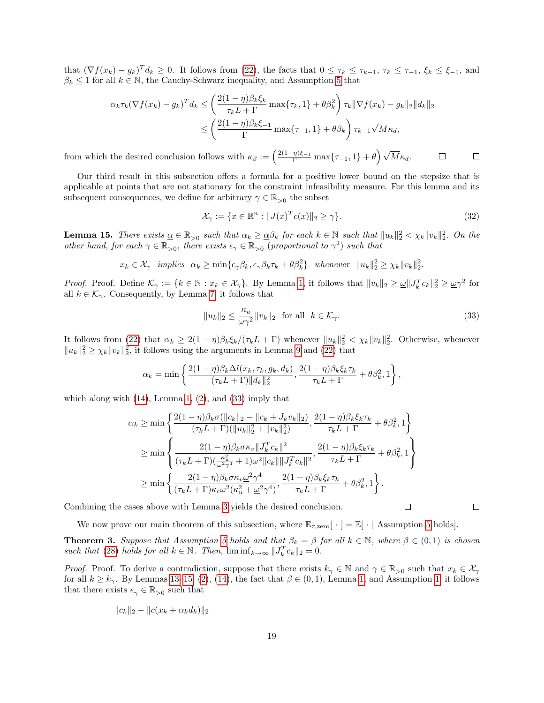that  $(\nabla f(x_k) - g_k)^T d_k \geq 0$ . It follows from [\(22\)](#page-8-1), the facts that  $0 \leq \tau_k \leq \tau_{k-1}$ ,  $\tau_k \leq \tau_{-1}$ ,  $\xi_k \leq \xi_{-1}$ , and  $\beta_k \leq 1$  for all  $k \in \mathbb{N}$ , the Cauchy-Schwarz inequality, and Assumption [5](#page-17-1) that

$$
\alpha_k \tau_k (\nabla f(x_k) - g_k)^T d_k \le \left(\frac{2(1-\eta)\beta_k \xi_k}{\tau_k L + \Gamma} \max\{\tau_k, 1\} + \theta \beta_k^2\right) \tau_k \|\nabla f(x_k) - g_k\|_2 \|d_k\|_2
$$
  

$$
\le \left(\frac{2(1-\eta)\beta_k \xi_{-1}}{\Gamma} \max\{\tau_{-1}, 1\} + \theta \beta_k\right) \tau_{k-1} \sqrt{M} \kappa_d,
$$

from which the desired conclusion follows with  $\kappa_{\beta} := \left(\frac{2(1-\eta)\xi-1}{\Gamma}\max\{\tau-1,1\}+\theta\right)\sqrt{M}\kappa_d$ .  $\Box$  $\Box$ 

Our third result in this subsection offers a formula for a positive lower bound on the stepsize that is applicable at points that are not stationary for the constraint infeasibility measure. For this lemma and its subsequent consequences, we define for arbitrary  $\gamma \in \mathbb{R}_{>0}$  the subset

<span id="page-18-3"></span>
$$
\mathcal{X}_{\gamma} := \{ x \in \mathbb{R}^n : \| J(x)^T c(x) \|_2 \ge \gamma \}. \tag{32}
$$

<span id="page-18-0"></span>**Lemma 15.** There exists  $\underline{\alpha} \in \mathbb{R}_{>0}$  such that  $\alpha_k \geq \underline{\alpha} \beta_k$  for each  $k \in \mathbb{N}$  such that  $||u_k||_2^2 < \chi_k ||v_k||_2^2$ . On the other hand, for each  $\gamma \in \mathbb{R}_{>0}$ , there exists  $\epsilon_{\gamma} \in \mathbb{R}_{>0}$  (proportional to  $\gamma^2$ ) such that

 $x_k \in \mathcal{X}_{\gamma}$  implies  $\alpha_k \ge \min\{\epsilon_{\gamma}\beta_k, \epsilon_{\gamma}\beta_k\tau_k + \theta\beta_k^2\}$  whenever  $||u_k||_2^2 \ge \chi_k ||v_k||_2^2$ .

Proof. Proof. Define  $\mathcal{K}_{\gamma} := \{k \in \mathbb{N} : x_k \in \mathcal{X}_{\gamma}\}\$ . By Lemma [1,](#page-10-1) it follows that  $||v_k||_2 \ge \underline{\omega}||J_k^T c_k||_2^2 \ge \underline{\omega}\gamma^2$  for all  $k \in \mathcal{K}_{\gamma}$ . Consequently, by Lemma [7,](#page-12-1) it follows that

<span id="page-18-2"></span>
$$
||u_k||_2 \le \frac{\kappa_u}{\underline{\omega}\gamma^2} ||v_k||_2 \quad \text{for all} \quad k \in \mathcal{K}_\gamma. \tag{33}
$$

It follows from [\(22\)](#page-8-1) that  $\alpha_k \geq 2(1-\eta)\beta_k \xi_k/(\tau_k L + \Gamma)$  whenever  $||u_k||_2^2 < \chi_k ||v_k||_2^2$ . Otherwise, whenever  $||u_k||_2^2 \geq \chi_k ||v_k||_2^2$ , it follows using the arguments in Lemma [9](#page-13-3) and [\(22\)](#page-8-1) that

$$
\alpha_k = \min \left\{ \frac{2(1-\eta)\beta_k \Delta l(x_k, \tau_k, g_k, d_k)}{(\tau_k L + \Gamma) \|d_k\|_2^2}, \frac{2(1-\eta)\beta_k \xi_k \tau_k}{\tau_k L + \Gamma} + \theta \beta_k^2, 1 \right\},\,
$$

which along with  $(14)$ , Lemma [1,](#page-10-1)  $(2)$ , and  $(33)$  imply that

$$
\alpha_{k} \geq \min \left\{ \frac{2(1-\eta)\beta_{k}\sigma(\|c_{k}\|_{2} - \|c_{k} + J_{k}v_{k}\|_{2})}{(\tau_{k}L + \Gamma)(\|u_{k}\|_{2}^{2} + \|v_{k}\|_{2}^{2})}, \frac{2(1-\eta)\beta_{k}\xi_{k}\tau_{k}}{\tau_{k}L + \Gamma} + \theta\beta_{k}^{2}, 1 \right\}
$$
  
\n
$$
\geq \min \left\{ \frac{2(1-\eta)\beta_{k}\sigma\kappa_{v}\|J_{k}^{T}c_{k}\|^{2}}{(\tau_{k}L + \Gamma)(\frac{\kappa_{u}^{2}}{\omega^{2}\gamma^{4}} + 1)\omega^{2}\|c_{k}\|\|J_{k}^{T}c_{k}\|^{2}}, \frac{2(1-\eta)\beta_{k}\xi_{k}\tau_{k}}{\tau_{k}L + \Gamma} + \theta\beta_{k}^{2}, 1 \right\}
$$
  
\n
$$
\geq \min \left\{ \frac{2(1-\eta)\beta_{k}\sigma\kappa_{v}\underline{\omega}^{2}\gamma^{4}}{(\tau_{k}L + \Gamma)\kappa_{c}\omega^{2}(\kappa_{u}^{2} + \underline{\omega}^{2}\gamma^{4})}, \frac{2(1-\eta)\beta_{k}\xi_{k}\tau_{k}}{\tau_{k}L + \Gamma} + \theta\beta_{k}^{2}, 1 \right\}.
$$

Combining the cases above with Lemma [3](#page-10-0) yields the desired conclusion.

We now prove our main theorem of this subsection, where  $\mathbb{E}_{\tau,\text{zero}}[\cdot] = \mathbb{E}[\cdot]$  Assumption [5](#page-17-1) holds].

<span id="page-18-1"></span>**Theorem 3.** Suppose that Assumption [5](#page-17-1) holds and that  $\beta_k = \beta$  for all  $k \in \mathbb{N}$ , where  $\beta \in (0,1)$  is chosen such that [\(28\)](#page-13-4) holds for all  $k \in \mathbb{N}$ . Then,  $\liminf_{k \to \infty} ||J_k^T c_k||_2 = 0$ .

*Proof.* Proof. To derive a contradiction, suppose that there exists  $k_{\gamma} \in \mathbb{N}$  and  $\gamma \in \mathbb{R}_{>0}$  such that  $x_k \in \mathcal{X}_{\gamma}$ for all  $k \geq k_{\gamma}$ . By Lemmas [13–](#page-17-2)[15,](#page-18-0) [\(2\)](#page-3-3), [\(14\)](#page-6-3), the fact that  $\beta \in (0,1)$ , Lemma [1,](#page-3-2) and Assumption 1, it follows that there exists  $\underline{\epsilon}_{\gamma} \in \mathbb{R}_{>0}$  such that

$$
||c_k||_2 - ||c(x_k + \alpha_k d_k)||_2
$$

 $\Box$ 

 $\Box$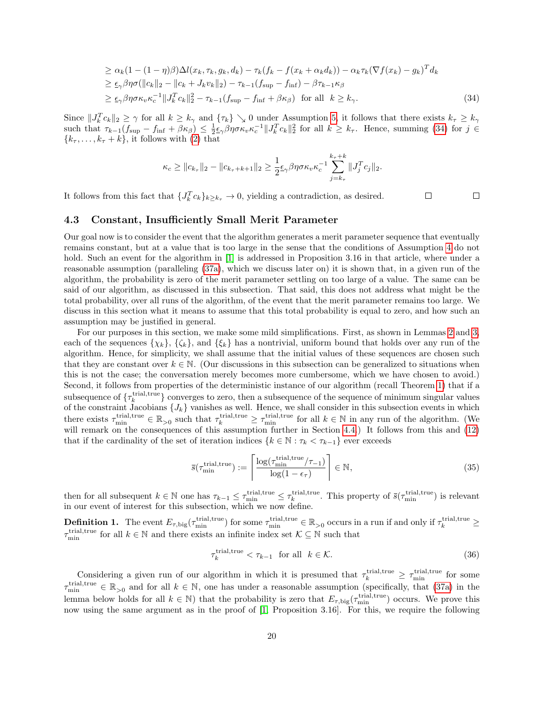$$
\geq \alpha_k (1 - (1 - \eta)\beta) \Delta l(x_k, \tau_k, g_k, d_k) - \tau_k (f_k - f(x_k + \alpha_k d_k)) - \alpha_k \tau_k (\nabla f(x_k) - g_k)^T d_k
$$
  
\n
$$
\geq \underline{\epsilon}_{\gamma} \beta \eta \sigma (\|c_k\|_2 - \|c_k + J_k v_k\|_2) - \tau_{k-1} (f_{\sup} - f_{\inf}) - \beta \tau_{k-1} \kappa_{\beta}
$$
  
\n
$$
\geq \underline{\epsilon}_{\gamma} \beta \eta \sigma \kappa_v \kappa_c^{-1} \|J_k^T c_k\|_2^2 - \tau_{k-1} (f_{\sup} - f_{\inf} + \beta \kappa_{\beta}) \quad \text{for all} \quad k \geq k_{\gamma}.
$$
 (34)

Since  $||J_k^T c_k||_2 \ge \gamma$  for all  $k \ge k_\gamma$  and  $\{\tau_k\} \searrow 0$  under Assumption [5,](#page-17-1) it follows that there exists  $k_\tau \ge k_\gamma$ such that  $\tau_{k-1}(f_{\text{sup}} - f_{\text{inf}} + \beta \kappa_{\beta}) \leq \frac{1}{2} \epsilon_{\gamma} \beta \eta \sigma \kappa_{v} \kappa_{c}^{-1} \|J_{k}^{T} c_{k}\|_{2}^{2}$  for all  $k \geq k_{\tau}$ . Hence, summing [\(34\)](#page-19-1) for  $j \in$  ${k<sub>\tau</sub>,...,k<sub>\tau</sub>+k},$  it follows with [\(2\)](#page-3-3) that

$$
\kappa_c \geq \|c_{k_{\tau}}\|_2 - \|c_{k_{\tau}+k+1}\|_2 \geq \frac{1}{2} \epsilon_{\gamma} \beta \eta \sigma \kappa_v \kappa_c^{-1} \sum_{j=k_{\tau}}^{k_{\tau}+k} \|J_j^T c_j\|_2.
$$

It follows from this fact that  $\{J_k^T c_k\}_{k\geq k_{\tau}} \to 0$ , yielding a contradiction, as desired.

<span id="page-19-1"></span> $\Box$ 

 $\Box$ 

#### <span id="page-19-0"></span>4.3 Constant, Insufficiently Small Merit Parameter

Our goal now is to consider the event that the algorithm generates a merit parameter sequence that eventually remains constant, but at a value that is too large in the sense that the conditions of Assumption [4](#page-13-1) do not hold. Such an event for the algorithm in [\[1\]](#page-29-0) is addressed in Proposition 3.16 in that article, where under a reasonable assumption (paralleling [\(37a\)](#page-20-0), which we discuss later on) it is shown that, in a given run of the algorithm, the probability is zero of the merit parameter settling on too large of a value. The same can be said of our algorithm, as discussed in this subsection. That said, this does not address what might be the total probability, over all runs of the algorithm, of the event that the merit parameter remains too large. We discuss in this section what it means to assume that this total probability is equal to zero, and how such an assumption may be justified in general.

For our purposes in this section, we make some mild simplifications. First, as shown in Lemmas [2](#page-10-2) and [3,](#page-10-0) each of the sequences  $\{\chi_k\}$ ,  $\{\zeta_k\}$ , and  $\{\xi_k\}$  has a nontrivial, uniform bound that holds over any run of the algorithm. Hence, for simplicity, we shall assume that the initial values of these sequences are chosen such that they are constant over  $k \in \mathbb{N}$ . (Our discussions in this subsection can be generalized to situations when this is not the case; the conversation merely becomes more cumbersome, which we have chosen to avoid.) Second, it follows from properties of the deterministic instance of our algorithm (recall Theorem [1\)](#page-8-2) that if a subsequence of  $\{\tau_k^{\text{trial,true}}\}$  converges to zero, then a subsequence of the sequence of minimum singular values of the constraint Jacobians  $\{J_k\}$  vanishes as well. Hence, we shall consider in this subsection events in which there exists  $\tau_{\min}^{\text{trial,true}} \in \mathbb{R}_{>0}$  such that  $\tau_k^{\text{trial,true}} \geq \tau_{\min}^{\text{trial,true}}$  for all  $k \in \mathbb{N}$  in any run of the algorithm. (We will remark on the consequences of this assumption further in Section [4.4.](#page-22-1)) It follows from this and [\(12\)](#page-6-5) that if the cardinality of the set of iteration indices  $\{k \in \mathbb{N} : \tau_k < \tau_{k-1}\}$  ever exceeds

<span id="page-19-2"></span>
$$
\bar{s}(\tau_{\min}^{\text{trial,true}}) := \left\lceil \frac{\log(\tau_{\min}^{\text{trial,true}}/\tau_{-1})}{\log(1 - \epsilon_{\tau})} \right\rceil \in \mathbb{N},\tag{35}
$$

then for all subsequent  $k \in \mathbb{N}$  one has  $\tau_{k-1} \leq \tau_{\min}^{\text{trial,true}} \leq \tau_k^{\text{trial,true}}$ . This property of  $\bar{s}(\tau_{\min}^{\text{trial,true}})$  is relevant in our event of interest for this subsection, which we now define.

**Definition 1.** The event  $E_{\tau,\text{big}}(\tau_{\text{min}}^{\text{trial,true}})$  for some  $\tau_{\text{min}}^{\text{trial,true}} \in \mathbb{R}_{>0}$  occurs in a run if and only if  $\tau_k^{\text{trial,true}} \geq$  $\tau^{\text{trial,true}}_{\min}$  for all  $k \in \mathbb{N}$  and there exists an infinite index set  $\mathcal{K} \subseteq \mathbb{N}$  such that

$$
\tau_k^{\text{trial,true}} < \tau_{k-1} \quad \text{for all} \quad k \in \mathcal{K}.\tag{36}
$$

Considering a given run of our algorithm in which it is presumed that  $\tau_k^{\text{trial,true}} \geq \tau_{\text{min}}^{\text{trial,true}}$  for some  $\tau_{\min}^{\text{trial,true}} \in \mathbb{R}_{>0}$  and for all  $k \in \mathbb{N}$ , one has under a reasonable assumption (specifically, that [\(37a\)](#page-20-0) in the lemma below holds for all  $k \in \mathbb{N}$ ) that the probability is zero that  $E_{\tau,\text{big}}(\tau^{\text{trial,true}}_{\min})$  occurs. We prove this now using the same argument as in the proof of [\[1,](#page-29-0) Proposition 3.16]. For this, we require the following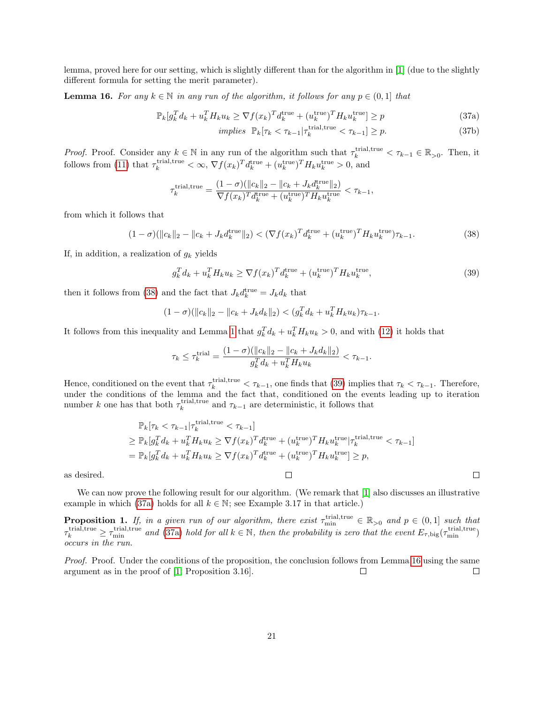lemma, proved here for our setting, which is slightly different than for the algorithm in [\[1\]](#page-29-0) (due to the slightly different formula for setting the merit parameter).

<span id="page-20-3"></span>**Lemma 16.** For any  $k \in \mathbb{N}$  in any run of the algorithm, it follows for any  $p \in (0,1]$  that

$$
\mathbb{P}_k[g_k^T d_k + u_k^T H_k u_k \ge \nabla f(x_k)^T d_k^{\text{true}} + (u_k^{\text{true}})^T H_k u_k^{\text{true}}] \ge p \tag{37a}
$$

<span id="page-20-4"></span><span id="page-20-0"></span>
$$
implies \mathbb{P}_k[\tau_k < \tau_{k-1} | \tau_k^{\text{trial,true}} < \tau_{k-1}] \ge p. \tag{37b}
$$

*Proof.* Proof. Consider any  $k \in \mathbb{N}$  in any run of the algorithm such that  $\tau_k^{\text{trial,true}} < \tau_{k-1} \in \mathbb{R}_{>0}$ . Then, it follows from [\(11\)](#page-6-4) that  $\tau_k^{\text{trial,true}} < \infty$ ,  $\nabla f(x_k)^T d_k^{\text{true}} + (u_k^{\text{true}})^T H_k u_k^{\text{true}} > 0$ , and

$$
\tau_k^{\text{trial,true}} = \frac{(1-\sigma)(\|c_k\|_2 - \|c_k + J_k d_k^{\text{true}}\|_2)}{\nabla f(x_k)^T d_k^{\text{true}} + (u_k^{\text{true}})^T H_k u_k^{\text{true}}} < \tau_{k-1},
$$

from which it follows that

<span id="page-20-1"></span>
$$
(1 - \sigma)(\|c_k\|_2 - \|c_k + J_k d_k^{\text{true}}\|_2) < (\nabla f(x_k)^T d_k^{\text{true}} + (u_k^{\text{true}})^T H_k u_k^{\text{true}})\tau_{k-1}.\tag{38}
$$

If, in addition, a realization of  $g_k$  yields

<span id="page-20-2"></span>
$$
g_k^T d_k + u_k^T H_k u_k \ge \nabla f(x_k)^T d_k^{\text{true}} + (u_k^{\text{true}})^T H_k u_k^{\text{true}},\tag{39}
$$

then it follows from [\(38\)](#page-20-1) and the fact that  $J_k d_k^{\text{true}} = J_k d_k$  that

$$
(1 - \sigma)(\|c_k\|_2 - \|c_k + J_k d_k\|_2) < (g_k^T d_k + u_k^T H_k u_k)\tau_{k-1}.
$$

It follows from this inequality and Lemma [1](#page-10-1) that  $g_k^T d_k + u_k^T H_k u_k > 0$ , and with [\(12\)](#page-6-5) it holds that

$$
\tau_k \leq \tau_k^{\text{trial}} = \frac{(1-\sigma)(\|c_k\|_2 - \|c_k + J_k d_k\|_2)}{g_k^T d_k + u_k^T H_k u_k} < \tau_{k-1}.
$$

Hence, conditioned on the event that  $\tau_k^{\text{trial,true}} < \tau_{k-1}$ , one finds that [\(39\)](#page-20-2) implies that  $\tau_k < \tau_{k-1}$ . Therefore, under the conditions of the lemma and the fact that, conditioned on the events leading up to iteration number k one has that both  $\tau_k^{\text{trial,true}}$  and  $\tau_{k-1}$  are deterministic, it follows that

$$
\mathbb{P}_k[\tau_k < \tau_{k-1} | \tau_k^{\text{trial,true}} < \tau_{k-1}]
$$
\n
$$
\geq \mathbb{P}_k[g_k^T d_k + u_k^T H_k u_k > \nabla f(x_k)^T d_k^{\text{true}} + (u_k^{\text{true}})^T H_k u_k^{\text{true}} | \tau_k^{\text{trial,true}} < \tau_{k-1}]
$$
\n
$$
= \mathbb{P}_k[g_k^T d_k + u_k^T H_k u_k > \nabla f(x_k)^T d_k^{\text{true}} + (u_k^{\text{true}})^T H_k u_k^{\text{true}}] \geq p,
$$

 $\Box$ 

 $\Box$ 

as desired.

We can now prove the following result for our algorithm. (We remark that [\[1\]](#page-29-0) also discusses an illustrative example in which [\(37a\)](#page-20-0) holds for all  $k \in \mathbb{N}$ ; see Example 3.17 in that article.)

**Proposition 1.** If, in a given run of our algorithm, there exist  $\tau_{\min}^{\text{trial,true}} \in \mathbb{R}_{>0}$  and  $p \in (0,1]$  such that  $\tau_k^{\text{trial,true}} \geq \tau_{\text{min}}^{\text{trial,true}}$  and [\(37a\)](#page-20-0) hold for all  $k \in \mathbb{N}$ , then the probability is zero that the event  $E_{\tau,\text{big}}(\tau_{\text{min}}^{\text{trial,true}})$ occurs in the run.

Proof. Proof. Under the conditions of the proposition, the conclusion follows from Lemma [16](#page-20-3) using the same argument as in the proof of [\[1,](#page-29-0) Proposition 3.16].  $\Box$  $\Box$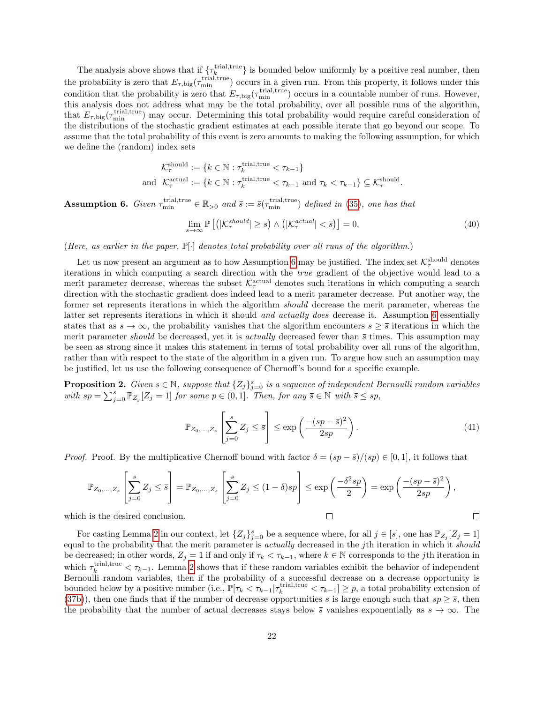The analysis above shows that if  $\{\tau_k^{\text{trial,true}}\}$  is bounded below uniformly by a positive real number, then the probability is zero that  $E_{\tau,\text{big}}(\tau^{\text{trial,true}}_{\min})$  occurs in a given run. From this property, it follows under this condition that the probability is zero that  $E_{\tau,\text{big}}(\tau_{\text{min}}^{\text{trial,true}})$  occurs in a countable number of runs. However, this analysis does not address what may be the total probability, over all possible runs of the algorithm, that  $E_{\tau,\text{big}}(\tau^{\text{trial,true}}_{\text{min}})$  may occur. Determining this total probability would require careful consideration of the distributions of the stochastic gradient estimates at each possible iterate that go beyond our scope. To assume that the total probability of this event is zero amounts to making the following assumption, for which we define the (random) index sets

$$
\mathcal{K}_{\tau}^{\text{should}} := \{ k \in \mathbb{N} : \tau_k^{\text{trial,true}} < \tau_{k-1} \}
$$
  
and 
$$
\mathcal{K}_{\tau}^{\text{actual}} := \{ k \in \mathbb{N} : \tau_k^{\text{trial,true}} < \tau_{k-1} \text{ and } \tau_k < \tau_{k-1} \} \subseteq \mathcal{K}_{\tau}^{\text{should}}.
$$

<span id="page-21-0"></span>**Assumption 6.** Given  $\tau_{\min}^{\text{trial, true}} \in \mathbb{R}_{>0}$  and  $\bar{s} := \bar{s}(\tau_{\min}^{\text{trial, true}})$  defined in [\(35\)](#page-19-2), one has that

$$
\lim_{s \to \infty} \mathbb{P}\left[ \left( |\mathcal{K}_{\tau}^{should}| \ge s \right) \wedge \left( |\mathcal{K}_{\tau}^{actual}| < \bar{s} \right) \right] = 0. \tag{40}
$$

(Here, as earlier in the paper,  $\mathbb{P}[\cdot]$  denotes total probability over all runs of the algorithm.)

Let us now present an argument as to how Assumption [6](#page-21-0) may be justified. The index set  $\mathcal{K}_{\tau}^{\rm should}$  denotes iterations in which computing a search direction with the true gradient of the objective would lead to a merit parameter decrease, whereas the subset  $\mathcal{K}_{\tau}^{\text{actual}}$  denotes such iterations in which computing a search direction with the stochastic gradient does indeed lead to a merit parameter decrease. Put another way, the former set represents iterations in which the algorithm should decrease the merit parameter, whereas the latter set represents iterations in which it should *and actually does* decrease it. Assumption [6](#page-21-0) essentially states that as  $s \to \infty$ , the probability vanishes that the algorithm encounters  $s \geq \overline{s}$  iterations in which the merit parameter should be decreased, yet it is actually decreased fewer than  $\bar{s}$  times. This assumption may be seen as strong since it makes this statement in terms of total probability over all runs of the algorithm, rather than with respect to the state of the algorithm in a given run. To argue how such an assumption may be justified, let us use the following consequence of Chernoff's bound for a specific example.

<span id="page-21-1"></span>**Proposition 2.** Given  $s \in \mathbb{N}$ , suppose that  $\{Z_j\}_{j=0}^s$  is a sequence of independent Bernoulli random variables with  $sp = \sum_{j=0}^{s} \mathbb{P}_{Z_j} [Z_j = 1]$  for some  $p \in (0, 1]$ . Then, for any  $\overline{s} \in \mathbb{N}$  with  $\overline{s} \le sp$ ,

$$
\mathbb{P}_{Z_0,\ldots,Z_s} \left[ \sum_{j=0}^s Z_j \le \bar{s} \right] \le \exp\left(\frac{-(sp-\bar{s})^2}{2sp}\right). \tag{41}
$$

*Proof.* Proof. By the multiplicative Chernoff bound with factor  $\delta = (sp - \bar{s})/(sp) \in [0, 1]$ , it follows that

$$
\mathbb{P}_{Z_0,\ldots,Z_s} \left[ \sum_{j=0}^s Z_j \le \bar{s} \right] = \mathbb{P}_{Z_0,\ldots,Z_s} \left[ \sum_{j=0}^s Z_j \le (1-\delta)sp \right] \le \exp\left(\frac{-\delta^2 sp}{2}\right) = \exp\left(\frac{-(sp-\bar{s})^2}{2sp}\right),
$$
  
is the desired conclusion.

which is the desired conclusion.

For casting Lemma [2](#page-21-1) in our context, let  $\{Z_j\}_{j=0}^s$  be a sequence where, for all  $j \in [s]$ , one has  $\mathbb{P}_{Z_j}[Z_j = 1]$ equal to the probability that the merit parameter is *actually* decreased in the jth iteration in which it *should* be decreased; in other words,  $Z_j = 1$  if and only if  $\tau_k < \tau_{k-1}$ , where  $k \in \mathbb{N}$  corresponds to the *j*th iteration in which  $\tau_k^{\text{trial,true}} < \tau_{k-1}$ . Lemma [2](#page-21-1) shows that if these random variables exhibit the behavior of independent Bernoulli random variables, then if the probability of a successful decrease on a decrease opportunity is bounded below by a positive number (i.e.,  $\mathbb{P}[\tau_k < \tau_{k-1} | \tau_k^{\text{trial,true}} < \tau_{k-1}] \geq p$ , a total probability extension of [\(37b\)](#page-20-4)), then one finds that if the number of decrease opportunities s is large enough such that  $sp \geq \overline{s}$ , then the probability that the number of actual decreases stays below  $\bar{s}$  vanishes exponentially as  $s \to \infty$ . The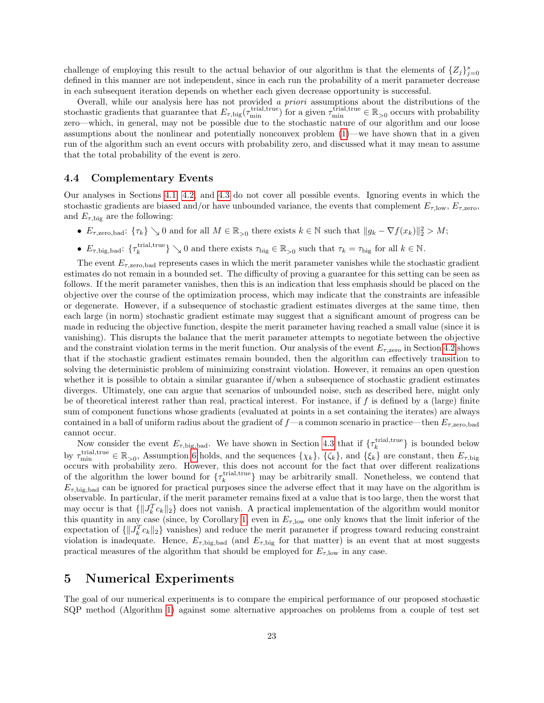challenge of employing this result to the actual behavior of our algorithm is that the elements of  $\{Z_j\}_{j=0}^s$ defined in this manner are not independent, since in each run the probability of a merit parameter decrease in each subsequent iteration depends on whether each given decrease opportunity is successful.

Overall, while our analysis here has not provided a priori assumptions about the distributions of the stochastic gradients that guarantee that  $E_{\tau,\text{big}}(\tau_{\text{min}}^{\text{trial,true}})$  for a given  $\tau_{\text{min}}^{\text{trial,true}} \in \mathbb{R}_{>0}$  occurs with probability zero—which, in general, may not be possible due to the stochastic nature of our algorithm and our loose assumptions about the nonlinear and potentially nonconvex problem [\(1\)](#page-3-0)—we have shown that in a given run of the algorithm such an event occurs with probability zero, and discussed what it may mean to assume that the total probability of the event is zero.

#### <span id="page-22-1"></span>4.4 Complementary Events

Our analyses in Sections [4.1,](#page-13-0) [4.2,](#page-17-0) and [4.3](#page-19-0) do not cover all possible events. Ignoring events in which the stochastic gradients are biased and/or have unbounded variance, the events that complement  $E_{\tau, \text{low}}$ ,  $E_{\tau, \text{zero}}$ and  $E_{\tau,\text{big}}$  are the following:

- $E_{\tau,\text{zero, bad}}$ :  $\{\tau_k\}\searrow 0$  and for all  $M \in \mathbb{R}_{>0}$  there exists  $k \in \mathbb{N}$  such that  $||g_k \nabla f(x_k)||_2^2 > M$ ;
- $E_{\tau,\text{big, bad}}$ :  $\{\tau_k^{\text{trial,true}}\}\searrow 0$  and there exists  $\tau_{\text{big}} \in \mathbb{R}_{>0}$  such that  $\tau_k = \tau_{\text{big}}$  for all  $k \in \mathbb{N}$ .

The event  $E_{\tau,\text{zero, bad}}$  represents cases in which the merit parameter vanishes while the stochastic gradient estimates do not remain in a bounded set. The difficulty of proving a guarantee for this setting can be seen as follows. If the merit parameter vanishes, then this is an indication that less emphasis should be placed on the objective over the course of the optimization process, which may indicate that the constraints are infeasible or degenerate. However, if a subsequence of stochastic gradient estimates diverges at the same time, then each large (in norm) stochastic gradient estimate may suggest that a significant amount of progress can be made in reducing the objective function, despite the merit parameter having reached a small value (since it is vanishing). This disrupts the balance that the merit parameter attempts to negotiate between the objective and the constraint violation terms in the merit function. Our analysis of the event  $E_{\tau,\text{zero}}$  in Section [4.2](#page-17-0) shows that if the stochastic gradient estimates remain bounded, then the algorithm can effectively transition to solving the deterministic problem of minimizing constraint violation. However, it remains an open question whether it is possible to obtain a similar guarantee if/when a subsequence of stochastic gradient estimates diverges. Ultimately, one can argue that scenarios of unbounded noise, such as described here, might only be of theoretical interest rather than real, practical interest. For instance, if f is defined by a (large) finite sum of component functions whose gradients (evaluated at points in a set containing the iterates) are always contained in a ball of uniform radius about the gradient of  $f$ —a common scenario in practice—then  $E_{\tau,\text{zero,bad}}$ cannot occur.

Now consider the event  $E_{\tau,\text{big,bad}}$ . We have shown in Section [4.3](#page-19-0) that if  $\{\tau_k^{\text{trial,true}}\}$  is bounded below by  $\tau_{\min}^{\text{trial,true}} \in \mathbb{R}_{>0}$ , Assumption [6](#page-21-0) holds, and the sequences  $\{\chi_k\}$ ,  $\{\zeta_k\}$ , and  $\{\xi_k\}$  are constant, then  $E_{\tau,\text{big}}$ occurs with probability zero. However, this does not account for the fact that over different realizations of the algorithm the lower bound for  $\{\tau_k^{\text{trial,true}}\}$  may be arbitrarily small. Nonetheless, we contend that  $E_{\tau,\text{big, bad}}$  can be ignored for practical purposes since the adverse effect that it may have on the algorithm is observable. In particular, if the merit parameter remains fixed at a value that is too large, then the worst that may occur is that  $\{\|J_k^T c_k\|_2\}$  does not vanish. A practical implementation of the algorithm would monitor this quantity in any case (since, by Corollary [1,](#page-16-0) even in  $E_{\tau, \text{low}}$  one only knows that the limit inferior of the expectation of  $\{\Vert J_k^T c_k \Vert_2\}$  vanishes) and reduce the merit parameter if progress toward reducing constraint violation is inadequate. Hence,  $E_{\tau,\text{big,bad}}$  (and  $E_{\tau,\text{big}}$  for that matter) is an event that at most suggests practical measures of the algorithm that should be employed for  $E_{\tau, \text{low}}$  in any case.

#### <span id="page-22-0"></span>5 Numerical Experiments

The goal of our numerical experiments is to compare the empirical performance of our proposed stochastic SQP method (Algorithm [1\)](#page-9-0) against some alternative approaches on problems from a couple of test set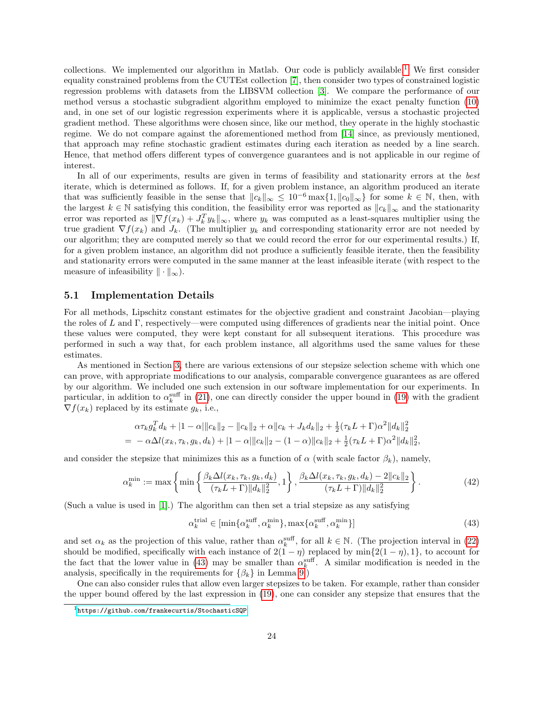collections. We implemented our algorithm in Matlab. Our code is publicly available.<sup>[1](#page-23-0)</sup> We first consider equality constrained problems from the CUTEst collection [\[7\]](#page-29-12), then consider two types of constrained logistic regression problems with datasets from the LIBSVM collection [\[3\]](#page-29-13). We compare the performance of our method versus a stochastic subgradient algorithm employed to minimize the exact penalty function [\(10\)](#page-5-1) and, in one set of our logistic regression experiments where it is applicable, versus a stochastic projected gradient method. These algorithms were chosen since, like our method, they operate in the highly stochastic regime. We do not compare against the aforementioned method from [\[14\]](#page-29-2) since, as previously mentioned, that approach may refine stochastic gradient estimates during each iteration as needed by a line search. Hence, that method offers different types of convergence guarantees and is not applicable in our regime of interest.

In all of our experiments, results are given in terms of feasibility and stationarity errors at the best iterate, which is determined as follows. If, for a given problem instance, an algorithm produced an iterate that was sufficiently feasible in the sense that  $||c_k||_{\infty} \leq 10^{-6} \max\{1, ||c_0||_{\infty}\}\)$  for some  $k \in \mathbb{N}$ , then, with the largest  $k \in \mathbb{N}$  satisfying this condition, the feasibility error was reported as  $||c_k||_{\infty}$  and the stationarity error was reported as  $\|\nabla f(x_k) + J_k^T y_k\|_{\infty}$ , where  $y_k$  was computed as a least-squares multiplier using the true gradient  $\nabla f(x_k)$  and  $J_k$ . (The multiplier  $y_k$  and corresponding stationarity error are not needed by our algorithm; they are computed merely so that we could record the error for our experimental results.) If, for a given problem instance, an algorithm did not produce a sufficiently feasible iterate, then the feasibility and stationarity errors were computed in the same manner at the least infeasible iterate (with respect to the measure of infeasibility  $\|\cdot\|_{\infty}$ ).

#### 5.1 Implementation Details

For all methods, Lipschitz constant estimates for the objective gradient and constraint Jacobian—playing the roles of L and Γ, respectively—were computed using differences of gradients near the initial point. Once these values were computed, they were kept constant for all subsequent iterations. This procedure was performed in such a way that, for each problem instance, all algorithms used the same values for these estimates.

As mentioned in Section [3,](#page-4-0) there are various extensions of our stepsize selection scheme with which one can prove, with appropriate modifications to our analysis, comparable convergence guarantees as are offered by our algorithm. We included one such extension in our software implementation for our experiments. In particular, in addition to  $\alpha_k^{\text{surf}}$  in [\(21\)](#page-7-3), one can directly consider the upper bound in [\(19\)](#page-7-2) with the gradient  $\nabla f(x_k)$  replaced by its estimate  $g_k$ , i.e.,

$$
\alpha \tau_k g_k^T d_k + |1 - \alpha| \|c_k\|_2 - \|c_k\|_2 + \alpha \|c_k + J_k d_k\|_2 + \frac{1}{2} (\tau_k L + \Gamma) \alpha^2 \|d_k\|_2^2
$$
  
=  $-\alpha \Delta l(x_k, \tau_k, g_k, d_k) + |1 - \alpha| \|c_k\|_2 - (1 - \alpha) \|c_k\|_2 + \frac{1}{2} (\tau_k L + \Gamma) \alpha^2 \|d_k\|_2^2,$ 

and consider the stepsize that minimizes this as a function of  $\alpha$  (with scale factor  $\beta_k$ ), namely,

$$
\alpha_k^{\min} := \max \left\{ \min \left\{ \frac{\beta_k \Delta l(x_k, \tau_k, g_k, d_k)}{(\tau_k L + \Gamma) \|d_k\|_2^2}, 1 \right\}, \frac{\beta_k \Delta l(x_k, \tau_k, g_k, d_k) - 2 \|c_k\|_2}{(\tau_k L + \Gamma) \|d_k\|_2^2} \right\}.
$$
(42)

(Such a value is used in [\[1\]](#page-29-0).) The algorithm can then set a trial stepsize as any satisfying

<span id="page-23-1"></span>
$$
\alpha_k^{\text{trial}} \in [\min\{\alpha_k^{\text{suffix}}, \alpha_k^{\text{min}}\}, \max\{\alpha_k^{\text{suffix}}, \alpha_k^{\text{min}}\}]
$$
\n(43)

and set  $\alpha_k$  as the projection of this value, rather than  $\alpha_k^{\text{surf}}$ , for all  $k \in \mathbb{N}$ . (The projection interval in [\(22\)](#page-8-1) should be modified, specifically with each instance of  $2(1 - \eta)$  replaced by  $\min\{2(1 - \eta), 1\}$ , to account for the fact that the lower value in [\(43\)](#page-23-1) may be smaller than  $\alpha_k^{\text{surf}}$ . A similar modification is needed in the analysis, specifically in the requirements for  $\{\beta_k\}$  in Lemma [9.](#page-13-3))

One can also consider rules that allow even larger stepsizes to be taken. For example, rather than consider the upper bound offered by the last expression in [\(19\)](#page-7-2), one can consider any stepsize that ensures that the

<span id="page-23-0"></span><sup>1</sup><https://github.com/frankecurtis/StochasticSQP>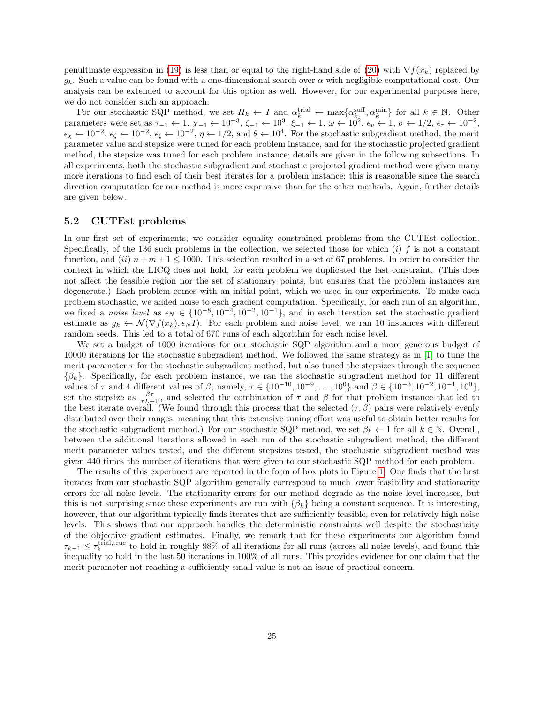penultimate expression in [\(19\)](#page-7-2) is less than or equal to the right-hand side of [\(20\)](#page-7-1) with  $\nabla f(x_k)$  replaced by  $g_k$ . Such a value can be found with a one-dimensional search over  $\alpha$  with negligible computational cost. Our analysis can be extended to account for this option as well. However, for our experimental purposes here, we do not consider such an approach.

For our stochastic SQP method, we set  $H_k \leftarrow I$  and  $\alpha_k^{\text{trial}} \leftarrow \max\{\alpha_k^{\text{suffix}}, \alpha_k^{\text{min}}\}$  for all  $k \in \mathbb{N}$ . Other parameters were set as  $\tau_{-1} \leftarrow 1, \, \chi_{-1} \leftarrow 10^{-3}, \, \zeta_{-1} \leftarrow 10^3, \, \xi_{-1} \leftarrow 1, \, \omega \leftarrow 10^2, \, \epsilon_v \leftarrow 1, \, \sigma \leftarrow 1/2, \, \epsilon_\tau \leftarrow 10^{-2},$  $\epsilon_{\chi} \leftarrow 10^{-2}, \epsilon_{\zeta} \leftarrow 10^{-2}, \epsilon_{\xi} \leftarrow 10^{-2}, \eta \leftarrow 1/2$ , and  $\theta \leftarrow 10^{4}$ . For the stochastic subgradient method, the merit parameter value and stepsize were tuned for each problem instance, and for the stochastic projected gradient method, the stepsize was tuned for each problem instance; details are given in the following subsections. In all experiments, both the stochastic subgradient and stochastic projected gradient method were given many more iterations to find each of their best iterates for a problem instance; this is reasonable since the search direction computation for our method is more expensive than for the other methods. Again, further details are given below.

#### <span id="page-24-0"></span>5.2 CUTEst problems

In our first set of experiments, we consider equality constrained problems from the CUTEst collection. Specifically, of the 136 such problems in the collection, we selected those for which  $(i)$  f is not a constant function, and (ii)  $n+m+1 \leq 1000$ . This selection resulted in a set of 67 problems. In order to consider the context in which the LICQ does not hold, for each problem we duplicated the last constraint. (This does not affect the feasible region nor the set of stationary points, but ensures that the problem instances are degenerate.) Each problem comes with an initial point, which we used in our experiments. To make each problem stochastic, we added noise to each gradient computation. Specifically, for each run of an algorithm, we fixed a noise level as  $\epsilon_N \in \{10^{-8}, 10^{-4}, 10^{-2}, 10^{-1}\}$ , and in each iteration set the stochastic gradient estimate as  $g_k \leftarrow \mathcal{N}(\nabla f(x_k), \epsilon_N I)$ . For each problem and noise level, we ran 10 instances with different random seeds. This led to a total of 670 runs of each algorithm for each noise level.

We set a budget of 1000 iterations for our stochastic SQP algorithm and a more generous budget of 10000 iterations for the stochastic subgradient method. We followed the same strategy as in [\[1\]](#page-29-0) to tune the merit parameter  $\tau$  for the stochastic subgradient method, but also tuned the stepsizes through the sequence  $\{\beta_k\}$ . Specifically, for each problem instance, we ran the stochastic subgradient method for 11 different values of τ and 4 different values of β, namely,  $τ ∈ {10<sup>-10</sup>, 10<sup>-9</sup>, ..., 10<sup>0</sup>}$  and  $β ∈ {10<sup>-3</sup>, 10<sup>-2</sup>, 10<sup>-1</sup>, 10<sup>0</sup>}$ , set the stepsize as  $\frac{\beta\tau}{\tau L+\Gamma}$ , and selected the combination of  $\tau$  and  $\beta$  for that problem instance that led to the best iterate overall. (We found through this process that the selected  $(\tau, \beta)$  pairs were relatively evenly distributed over their ranges, meaning that this extensive tuning effort was useful to obtain better results for the stochastic subgradient method.) For our stochastic SQP method, we set  $\beta_k \leftarrow 1$  for all  $k \in \mathbb{N}$ . Overall, between the additional iterations allowed in each run of the stochastic subgradient method, the different merit parameter values tested, and the different stepsizes tested, the stochastic subgradient method was given 440 times the number of iterations that were given to our stochastic SQP method for each problem.

The results of this experiment are reported in the form of box plots in Figure [1.](#page-25-0) One finds that the best iterates from our stochastic SQP algorithm generally correspond to much lower feasibility and stationarity errors for all noise levels. The stationarity errors for our method degrade as the noise level increases, but this is not surprising since these experiments are run with  $\{\beta_k\}$  being a constant sequence. It is interesting, however, that our algorithm typically finds iterates that are sufficiently feasible, even for relatively high noise levels. This shows that our approach handles the deterministic constraints well despite the stochasticity of the objective gradient estimates. Finally, we remark that for these experiments our algorithm found  $\tau_{k-1} \leq \tau_k^{\text{trial,true}}$  to hold in roughly 98% of all iterations for all runs (across all noise levels), and found this inequality to hold in the last 50 iterations in 100% of all runs. This provides evidence for our claim that the merit parameter not reaching a sufficiently small value is not an issue of practical concern.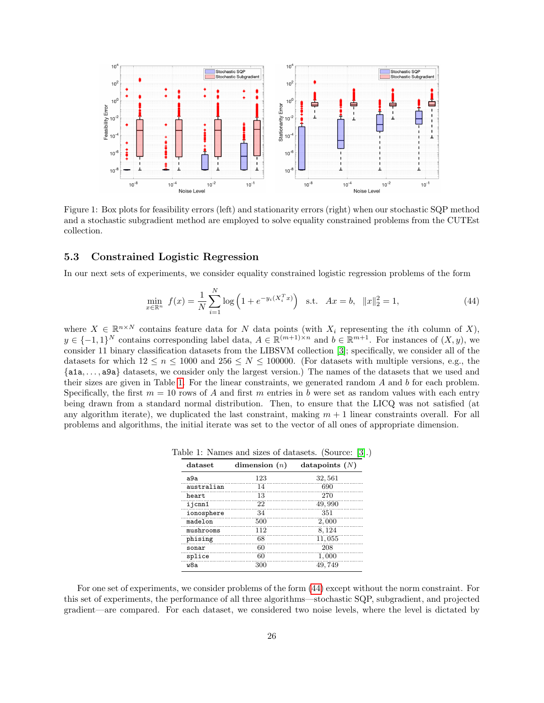

Figure 1: Box plots for feasibility errors (left) and stationarity errors (right) when our stochastic SQP method and a stochastic subgradient method are employed to solve equality constrained problems from the CUTEst collection.

#### 5.3 Constrained Logistic Regression

In our next sets of experiments, we consider equality constrained logistic regression problems of the form

<span id="page-25-2"></span><span id="page-25-0"></span>
$$
\min_{x \in \mathbb{R}^n} f(x) = \frac{1}{N} \sum_{i=1}^N \log \left( 1 + e^{-y_i(X_i^T x)} \right) \text{ s.t. } Ax = b, \|x\|_2^2 = 1,
$$
\n(44)

where  $X \in \mathbb{R}^{n \times N}$  contains feature data for N data points (with  $X_i$  representing the *i*th column of X),  $y \in \{-1,1\}^N$  contains corresponding label data,  $A \in \mathbb{R}^{(m+1)\times n}$  and  $b \in \mathbb{R}^{m+1}$ . For instances of  $(X, y)$ , we consider 11 binary classification datasets from the LIBSVM collection [\[3\]](#page-29-13); specifically, we consider all of the datasets for which  $12 \le n \le 1000$  and  $256 \le N \le 100000$ . (For datasets with multiple versions, e.g., the {a1a, . . . , a9a} datasets, we consider only the largest version.) The names of the datasets that we used and their sizes are given in Table [1.](#page-25-1) For the linear constraints, we generated random  $A$  and  $b$  for each problem. Specifically, the first  $m = 10$  rows of A and first m entries in b were set as random values with each entry being drawn from a standard normal distribution. Then, to ensure that the LICQ was not satisfied (at any algorithm iterate), we duplicated the last constraint, making  $m + 1$  linear constraints overall. For all problems and algorithms, the initial iterate was set to the vector of all ones of appropriate dimension.

<span id="page-25-1"></span>Table 1: Names and sizes of datasets. (Source: [\[3\]](#page-29-13).)

| dataset    | dimension $(n)$ | datapoints $(N)$ |  |
|------------|-----------------|------------------|--|
| a9a        | 123             | 32,561           |  |
| australian | 14              | 690              |  |
| heart      | 13              | 270              |  |
| ijcnn1     | 22              | 49,990           |  |
| ionosphere | 34              | 351              |  |
| madelon    | 500             | 2,000            |  |
| mushrooms  | 112             | 8,124            |  |
| phising    | 68              | 11,055           |  |
| sonar      | 60              | 208              |  |
| splice     | 60              | 1,000            |  |
| w8a        | 300             | 49.749           |  |

For one set of experiments, we consider problems of the form [\(44\)](#page-25-2) except without the norm constraint. For this set of experiments, the performance of all three algorithms—stochastic SQP, subgradient, and projected gradient—are compared. For each dataset, we considered two noise levels, where the level is dictated by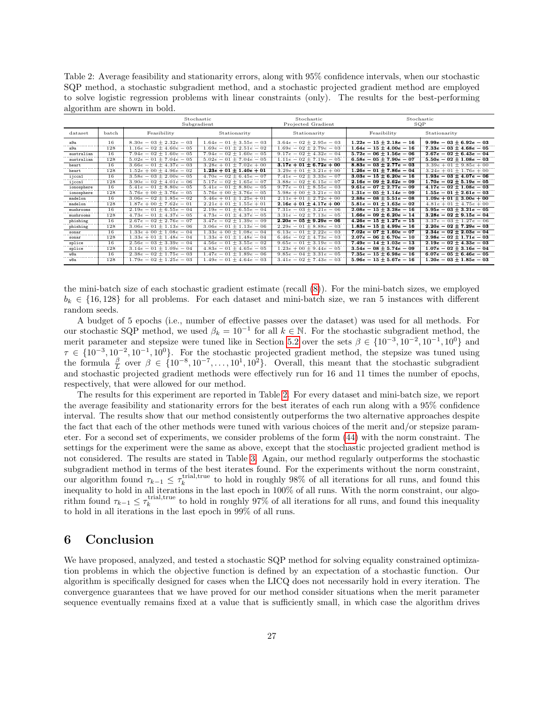<span id="page-26-1"></span>Table 2: Average feasibility and stationarity errors, along with 95% confidence intervals, when our stochastic SQP method, a stochastic subgradient method, and a stochastic projected gradient method are employed to solve logistic regression problems with linear constraints (only). The results for the best-performing algorithm are shown in bold.

|            |       | Stochastic<br>Subgradient   |                             | Stochastic<br>Projected Gradient | Stochastic<br>SQP           |                             |
|------------|-------|-----------------------------|-----------------------------|----------------------------------|-----------------------------|-----------------------------|
| dataset    | batch | Feasibility                 | Stationarity                | Stationarity                     | Feasibility                 | Stationarity                |
| a9a        | 16    | $8.30e - 03 + 2.32e - 03$   | $1.64e - 01 + 3.55e - 03$   | $3.64e - 02 + 2.95e - 03$        | $1.22e - 15 + 2.18e - 16$   | $9.99e - 03 + 6.92e - 03$   |
| a9a        | 128   | $1.16e - 02 + 4.60e - 05$   | $1.69e - 01 \pm 2.51e - 02$ | $1.69e - 02 \pm 2.79e - 03$      | $1.64e - 15 + 4.00e - 16$   | $7.33e - 03 \pm 4.68e - 05$ |
| australian | 16    | $7.94e - 02 + 1.60e - 05$   | $7.94e - 02 + 1.60e - 05$   | $9.17e - 02 + 4.32e - 04$        | $5.72e - 06 \pm 1.56e - 06$ | $2.67e - 02 \pm 6.43e - 04$ |
| australian | 128   | $5.02e - 01 \pm 7.04e - 05$ | $5.02e - 01 \pm 7.04e - 05$ | $1.11e - 02 + 7.19e - 05$        | $6.58e - 05 \pm 7.90e - 07$ | $5.50e - 02 \pm 1.08e - 03$ |
| heart      | 16    | $3.66e - 01 + 4.37e - 03$   | $3.28e + 01 \pm 7.02e + 00$ | $3.17e + 01 + 6.72e + 00$        | $8.83e - 03 + 2.77e - 03$   | $3.39e + 01 + 9.85e + 00$   |
| heart.     | 128   | $1.52e + 00 + 4.96e - 02$   | $1.23e + 01 + 1.40e + 01$   | $3.29e + 01 + 3.21e + 00$        | $1.26e - 01 + 7.86e - 04$   | $3.24e + 01 + 1.76e + 00$   |
| ijccn1     | 16    | $3.58e - 03 + 2.00e - 05$   | $4.70e - 02 + 6.45e - 07$   | $7.41e - 02 + 3.33e - 07$        | $3.03e - 15 \pm 6.20e - 16$ | $1.93e - 03 \pm 4.07e - 06$ |
| ijccn1     | 128   | $3.90e - 02 + 4.01e - 06$   | $5.17e - 02 + 1.65e - 07$   | $3.88e - 02 + 6.15e - 07$        | $2.16e - 09 \pm 2.62e - 09$ | $1.70e - 02 \pm 5.19e - 05$ |
| ionosphere | 16    | $5.41e - 01 \pm 8.80e - 05$ | $5.41e - 01 \pm 8.80e - 05$ | $9.77e - 01 \pm 8.55e - 03$      | $9.61e - 07 + 2.77e - 09$   | $4.17e - 02 \pm 1.08e - 03$ |
| ionosphere | 128   | $5.76e + 00 + 3.76e - 05$   | $5.76e + 00 + 3.76e - 05$   | $5.98e + 00 + 3.21e - 03$        | $1.31e - 05 \pm 1.14e - 09$ | $1.55e - 01 \pm 2.61e - 03$ |
| madelon    | 16    | $3.06e - 02 + 1.85e - 02$   | $5.46e + 01 + 1.25e + 01$   | $2.11e + 01 + 2.72e + 00$        | $2.88e - 08 \pm 5.51e - 08$ | $1.09e + 01 \pm 3.00e + 00$ |
| madelon    | 128   | $1.87e + 00 \pm 7.62e - 01$ | $2.21e + 01 \pm 1.55e + 01$ | $2.16e + 01 \pm 4.17e + 00$      | $5.81e - 01 \pm 1.63e - 02$ | $4.81e + 01 \pm 4.75e + 00$ |
| mushrooms  | 16    | $2.19e - 01 + 6.55e - 04$   | $2.19e - 01 + 6.55e - 04$   | $7.31e - 03 + 3.21e - 06$        | $2.08e - 15 \pm 3.28e - 16$ | $5.95e - 03 + 3.21e - 05$   |
| mushrooms  | 128   | $4.73e - 01 + 4.37e - 05$   | $4.73e - 01 + 4.37e - 05$   | $3.31e - 02 + 7.13e - 05$        | $1.66e - 09 \pm 6.20e - 14$ | $3.28e - 02 \pm 9.15e - 04$ |
| phishing   | 16    | $2.67e - 02 + 2.76e - 07$   | $3.47e - 02 + 1.39e - 09$   | $2.20e - 05 \pm 9.29e - 06$      | $4.26e - 15 \pm 1.27e - 15$ | $3.37e - 03 + 1.27e - 06$   |
| phishing   | 128   | $3.06e - 01 \pm 1.13e - 06$ | $3.06e - 01 \pm 1.13e - 06$ | $2.29e - 01 \pm 8.88e - 03$      | $1.83e - 15 \pm 4.99e - 16$ | $2.20e - 02 \pm 7.29e - 03$ |
| sonar      | 16    | $1.33e + 00 + 1.08e - 04$   | $1.33e + 00 + 1.08e - 04$   | $6.13e - 01 \pm 2.22e - 03$      | $7.02e - 07 + 1.60e - 07$   | $2.34e - 02 + 2.03e - 04$   |
| sonar      | 128   | $1.33e + 01 \pm 1.48e - 04$ | $1.33e + 01 \pm 1.48e - 04$ | $6.46e - 02 + 4.73e - 03$        | $2.07e - 06 \pm 6.70e - 10$ | $2.98e - 02 \pm 1.71e - 03$ |
| splice     | 16    | $2.56e - 03 \pm 3.39e - 04$ | $4.56e - 01 + 3.55e - 02$   | $9.65e - 01 + 3.19e - 03$        | $7.49e - 14 \pm 1.03e - 13$ | $2.19e - 02 \pm 4.33e - 03$ |
| splice     | 128   | $3.14e - 01 \pm 1.09e - 04$ | $4.83e - 01 \pm 4.65e - 05$ | $1.23e + 00 \pm 9.44e - 05$      | $3.54e - 08 \pm 5.74e - 09$ | $1.07e - 02 \pm 3.16e - 04$ |
| w8a        | 16    | $2.38e - 02 + 1.75e - 03$   | $1.47e - 01 + 1.89e - 06$   | $9.85e - 04 + 3.31e - 05$        | $7.35e - 15 + 6.98e - 16$   | $6.07e-05 \pm 6.46e-05$     |
| w8a        | 128   | $1.79e - 02 + 1.25e - 03$   | $1.49e - 01 + 4.64e - 03$   | $3.41e - 02 \pm 7.43e - 03$      | $5.96e - 15 \pm 5.67e - 16$ | $1.20e - 03 \pm 1.85e - 03$ |

the mini-batch size of each stochastic gradient estimate (recall [\(8\)](#page-5-5)). For the mini-batch sizes, we employed  $b_k \in \{16, 128\}$  for all problems. For each dataset and mini-batch size, we ran 5 instances with different random seeds.

A budget of 5 epochs (i.e., number of effective passes over the dataset) was used for all methods. For our stochastic SQP method, we used  $\beta_k = 10^{-1}$  for all  $k \in \mathbb{N}$ . For the stochastic subgradient method, the merit parameter and stepsize were tuned like in Section [5.2](#page-24-0) over the sets  $\beta \in \{10^{-3}, 10^{-2}, 10^{-1}, 10^{0}\}\$ and  $\tau \in \{10^{-3}, 10^{-2}, 10^{-1}, 10^{0}\}$ . For the stochastic projected gradient method, the stepsize was tuned using the formula  $\frac{\beta}{L}$  over  $\beta \in \{10^{-8}, 10^{-7}, \ldots, 10^{1}, 10^{2}\}$ . Overall, this meant that the stochastic subgradient and stochastic projected gradient methods were effectively run for 16 and 11 times the number of epochs, respectively, that were allowed for our method.

The results for this experiment are reported in Table [2.](#page-26-1) For every dataset and mini-batch size, we report the average feasibility and stationarity errors for the best iterates of each run along with a 95% confidence interval. The results show that our method consistently outperforms the two alternative approaches despite the fact that each of the other methods were tuned with various choices of the merit and/or stepsize parameter. For a second set of experiments, we consider problems of the form [\(44\)](#page-25-2) with the norm constraint. The settings for the experiment were the same as above, except that the stochastic projected gradient method is not considered. The results are stated in Table [3.](#page-27-1) Again, our method regularly outperforms the stochastic subgradient method in terms of the best iterates found. For the experiments without the norm constraint, our algorithm found  $\tau_{k-1} \leq \tau_k^{\text{trial,true}}$  to hold in roughly 98% of all iterations for all runs, and found this inequality to hold in all iterations in the last epoch in 100% of all runs. With the norm constraint, our algorithm found  $\tau_{k-1} \leq \tau_k^{\text{trial,true}}$  to hold in roughly 97% of all iterations for all runs, and found this inequality to hold in all iterations in the last epoch in 99% of all runs.

## <span id="page-26-0"></span>6 Conclusion

We have proposed, analyzed, and tested a stochastic SQP method for solving equality constrained optimization problems in which the objective function is defined by an expectation of a stochastic function. Our algorithm is specifically designed for cases when the LICQ does not necessarily hold in every iteration. The convergence guarantees that we have proved for our method consider situations when the merit parameter sequence eventually remains fixed at a value that is sufficiently small, in which case the algorithm drives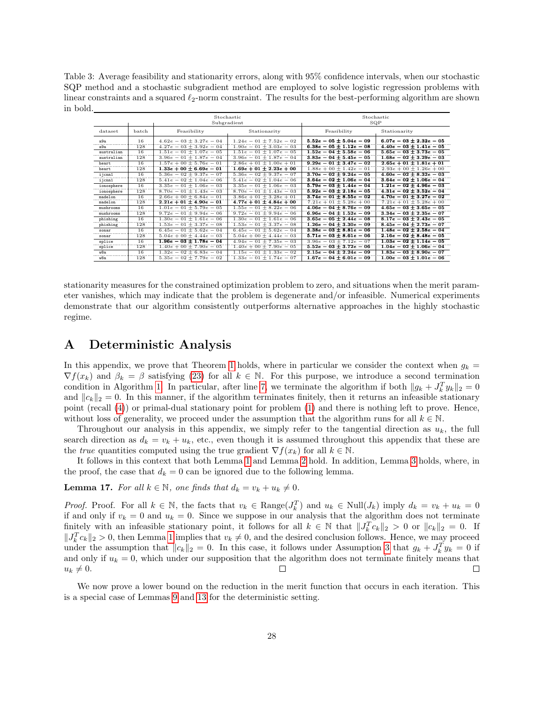<span id="page-27-1"></span>Table 3: Average feasibility and stationarity errors, along with 95% confidence intervals, when our stochastic SQP method and a stochastic subgradient method are employed to solve logistic regression problems with linear constraints and a squared  $\ell_2$ -norm constraint. The results for the best-performing algorithm are shown in bold.

|            |       | Stochastic                  | Subgradient                 | Stochastic<br>SQP           |                             |  |
|------------|-------|-----------------------------|-----------------------------|-----------------------------|-----------------------------|--|
| dataset    | batch | Feasibility                 | Stationarity                | Feasibility                 | Stationarity                |  |
| a9a        | 16    | $4.62e - 03 \pm 3.27e - 04$ | $1.24e - 01 + 7.52e - 02$   | $5.52e - 05 + 5.04e - 09$   | $6.07e-03 \pm 2.32e-05$     |  |
| a9a        | 128   | $4.27e - 03 \pm 3.92e - 04$ | $1.90e - 01 \pm 3.03e - 03$ | $6.38e - 05 \pm 1.12e - 08$ | $4.40e - 03 \pm 1.41e - 05$ |  |
| australian | 16    | $1.51e - 01 + 1.07e - 05$   | $1.51e - 01 + 1.07e - 05$   | $1.52e - 04 \pm 5.58e - 06$ | $5.65e - 03 \pm 3.73e - 05$ |  |
| australian | 128   | $3.96e - 01 + 1.87e - 04$   | $3.96e - 01 + 1.87e - 04$   | $3.83e - 04 + 5.45e - 05$   | $1.68e - 02 \pm 3.29e - 03$ |  |
| heart.     | 16    | $1.57e + 00 \pm 5.76e - 01$ | $2.86e + 01 \pm 1.00e + 01$ | $9.29e - 01 \pm 3.47e - 02$ | $2.65e + 01 \pm 1.81e + 01$ |  |
| heart      | 128   | $1.33e + 00 \pm 6.69e - 01$ | $1.69e + 01 \pm 2.23e + 00$ | $1.88e + 00 + 1.42e - 01$   | $2.93e + 00 + 1.26e + 00$   |  |
| ijcnn1     | 16    | $5.36e - 02 + 9.37e - 07$   | $5.36e - 02 + 9.37e - 07$   | $3.70e - 02 \pm 9.24e - 05$ | $4.60e - 02 \pm 8.32e - 03$ |  |
| ijcnn1     | 128   | $5.41e - 02 + 1.04e - 06$   | $5.41e - 02 + 1.04e - 06$   | $3.64e - 02 + 1.06e - 04$   | $3.64e - 02 + 1.06e - 04$   |  |
| ionosphere | 16    | $3.35e - 01 + 1.06e - 03$   | $3.35e - 01 + 1.06e - 03$   | $5.79e - 03 + 1.44e - 04$   | $1.21e - 02 + 4.96e - 03$   |  |
| ionosphere | 128   | $8.70e - 01 + 1.43e - 03$   | $8.70e - 01 \pm 1.43e - 03$ | $5.92e - 03 \pm 2.18e - 05$ | $4.31e - 02 \pm 3.52e - 04$ |  |
| madelon    | 16    | $2.66e + 00 + 6.84e - 01$   | $3.86e + 01 \pm 3.28e + 01$ | $3.74e - 01 + 8.55e - 02$   | $4.70e - 01 \pm 3.27e - 02$ |  |
| madelon    | 128   | $2.21e + 01 \pm 4.90e - 01$ | $4.77e + 01 \pm 4.84e + 00$ | $7.21e + 01 \pm 5.28e + 00$ | $7.21e + 01 \pm 5.28e + 00$ |  |
| mushrooms  | 16    | $1.01e - 01 + 5.79e - 05$   | $1.55e - 01 + 8.22e - 06$   | $4.06e - 04 \pm 8.76e - 09$ | $4.65e - 03 + 3.65e - 05$   |  |
| mushrooms  | 128   | $9.72e - 01 \pm 9.94e - 06$ | $9.72e - 01 + 9.94e - 06$   | $6.96e - 04 \pm 1.52e - 09$ | $3.34e - 03 \pm 2.35e - 07$ |  |
| phishing   | 16    | $1.30e - 01 + 1.61e - 06$   | $1.30e - 01 + 1.61e - 06$   | $3.65e - 05 \pm 2.44e - 08$ | $8.17e - 03 \pm 2.43e - 05$ |  |
| phishing   | 128   | $1.53e - 01 + 3.37e - 08$   | $1.53e - 01 + 3.37e - 08$   | $1.26e - 04 + 3.30e - 09$   | $8.45e - 04 + 2.73e - 07$   |  |
| sonar      | 16    | $6.45e - 01 + 5.62e - 04$   | $6.45e - 01 + 5.62e - 04$   | $3.38e - 03 \pm 8.81e - 06$ | $1.48e - 02 \pm 2.58e - 04$ |  |
| sonar      | 128   | $5.04e + 00 + 4.44e - 03$   | $5.04e + 00 + 4.44e - 03$   | $5.71e - 03 \pm 8.61e - 06$ | $2.16e - 02 \pm 8.48e - 05$ |  |
| splice     | 16    | $1.96e - 03 \pm 1.78e - 04$ | $4.94e - 01 \pm 7.35e - 03$ | $3.96e - 03 \pm 7.12e - 07$ | $1.03e - 02 \pm 1.14e - 05$ |  |
| splice     | 128   | $1.40e + 00 \pm 7.90e - 05$ | $1.40e + 00 \pm 7.90e - 05$ | $5.52e - 03 \pm 3.72e - 06$ | $1.04e - 02 \pm 1.06e - 04$ |  |
| y8a        | 16    | $1.32e - 02 + 6.83e - 04$   | $1.15e - 01 + 1.33e - 02$   | $2.15e - 04 \pm 2.24e - 09$ | $1.83e - 03 \pm 8.90e - 07$ |  |
| w8a        | 128   | $5.35e - 02 + 7.79e - 02$   | $1.33e - 01 \pm 1.74e - 07$ | $1.67e - 04 \pm 6.01e - 09$ | $1.00e - 03 \pm 1.01e - 06$ |  |

stationarity measures for the constrained optimization problem to zero, and situations when the merit parameter vanishes, which may indicate that the problem is degenerate and/or infeasible. Numerical experiments demonstrate that our algorithm consistently outperforms alternative approaches in the highly stochastic regime.

## <span id="page-27-0"></span>A Deterministic Analysis

In this appendix, we prove that Theorem [1](#page-8-2) holds, where in particular we consider the context when  $g_k =$  $\nabla f(x_k)$  and  $\beta_k = \beta$  satisfying [\(23\)](#page-8-5) for all  $k \in \mathbb{N}$ . For this purpose, we introduce a second termination condition in Algorithm [1.](#page-9-0) In particular, after line [7,](#page-9-0) we terminate the algorithm if both  $||g_k + J_k^T y_k||_2 = 0$ and  $||c_k||_2 = 0$ . In this manner, if the algorithm terminates finitely, then it returns an infeasible stationary point (recall [\(4\)](#page-4-4)) or primal-dual stationary point for problem [\(1\)](#page-3-0) and there is nothing left to prove. Hence, without loss of generality, we proceed under the assumption that the algorithm runs for all  $k \in \mathbb{N}$ .

Throughout our analysis in this appendix, we simply refer to the tangential direction as  $u_k$ , the full search direction as  $d_k = v_k + u_k$ , etc., even though it is assumed throughout this appendix that these are the true quantities computed using the true gradient  $\nabla f(x_k)$  for all  $k \in \mathbb{N}$ .

It follows in this context that both Lemma [1](#page-10-1) and Lemma [2](#page-10-2) hold. In addition, Lemma [3](#page-10-0) holds, where, in the proof, the case that  $d_k = 0$  can be ignored due to the following lemma.

**Lemma 17.** For all  $k \in \mathbb{N}$ , one finds that  $d_k = v_k + u_k \neq 0$ .

*Proof.* Proof. For all  $k \in \mathbb{N}$ , the facts that  $v_k \in \text{Range}(J_k^T)$  and  $u_k \in \text{Null}(J_k)$  imply  $d_k = v_k + u_k = 0$ if and only if  $v_k = 0$  and  $u_k = 0$ . Since we suppose in our analysis that the algorithm does not terminate finitely with an infeasible stationary point, it follows for all  $k \in \mathbb{N}$  that  $||J_k^T c_k||_2 > 0$  or  $||c_k||_2 = 0$ . If  $||J_k^T c_k||_2 > 0$ , then Lemma [1](#page-10-1) implies that  $v_k \neq 0$ , and the desired conclusion follows. Hence, we may proceed under the assumption that  $||c_k||_2 = 0$ . In this case, it follows under Assumption [3](#page-5-2) that  $g_k + J_k^T y_k = 0$  if and only if  $u_k = 0$ , which under our supposition that the algorithm does not terminate finitely means that  $u_k \neq 0.$  $\Box$  $\Box$ 

<span id="page-27-2"></span>We now prove a lower bound on the reduction in the merit function that occurs in each iteration. This is a special case of Lemmas [9](#page-13-3) and [13](#page-17-2) for the deterministic setting.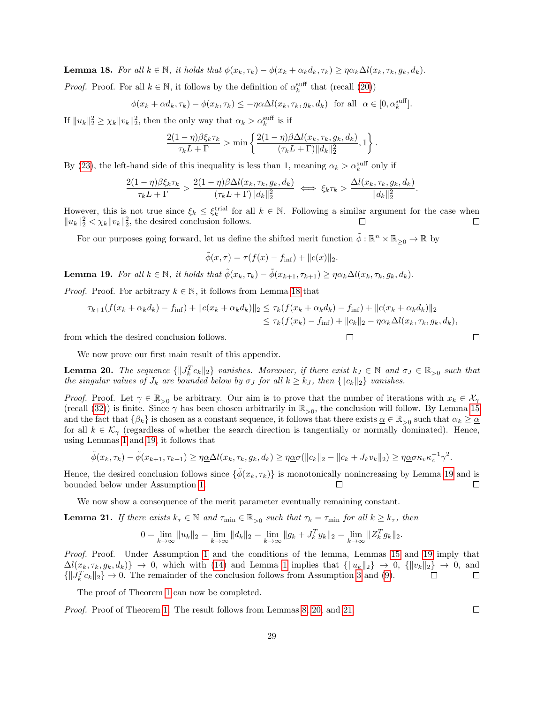**Lemma 18.** For all  $k \in \mathbb{N}$ , it holds that  $\phi(x_k, \tau_k) - \phi(x_k + \alpha_k d_k, \tau_k) \geq \eta \alpha_k \Delta l(x_k, \tau_k, q_k, d_k)$ . *Proof.* Proof. For all  $k \in \mathbb{N}$ , it follows by the definition of  $\alpha_k^{\text{surf}}$  that (recall [\(20\)](#page-7-1))

$$
\phi(x_k + \alpha d_k, \tau_k) - \phi(x_k, \tau_k) \le -\eta \alpha \Delta l(x_k, \tau_k, g_k, d_k) \text{ for all } \alpha \in [0, \alpha_k^{\text{surf}}].
$$

If  $||u_k||_2^2 \ge \chi_k ||v_k||_2^2$ , then the only way that  $\alpha_k > \alpha_k^{\text{surf}}$  is if

$$
\frac{2(1-\eta)\beta\xi_k\tau_k}{\tau_k L + \Gamma} > \min\left\{\frac{2(1-\eta)\beta\Delta l(x_k, \tau_k, g_k, d_k)}{(\tau_k L + \Gamma)\|d_k\|_2^2}, 1\right\}.
$$

By [\(23\)](#page-8-5), the left-hand side of this inequality is less than 1, meaning  $\alpha_k > \alpha_k^{\text{surf}}$  only if

$$
\frac{2(1-\eta)\beta\xi_k\tau_k}{\tau_k L + \Gamma} > \frac{2(1-\eta)\beta\Delta l(x_k, \tau_k, g_k, d_k)}{(\tau_k L + \Gamma)\|d_k\|_2^2} \iff \xi_k\tau_k > \frac{\Delta l(x_k, \tau_k, g_k, d_k)}{\|d_k\|_2^2}.
$$

However, this is not true since  $\xi_k \leq \xi_k^{\text{trial}}$  for all  $k \in \mathbb{N}$ . Following a similar argument for the case when  $||u_k||_2^2 < \chi_k ||v_k||_2^2$ , the desired conclusion follows.

For our purposes going forward, let us define the shifted merit function  $\tilde{\phi} : \mathbb{R}^n \times \mathbb{R}_{\geq 0} \to \mathbb{R}$  by

$$
\tilde{\phi}(x,\tau) = \tau(f(x) - f_{\inf}) + ||c(x)||_2.
$$

<span id="page-28-0"></span>**Lemma 19.** For all  $k \in \mathbb{N}$ , it holds that  $\tilde{\phi}(x_k, \tau_k) - \tilde{\phi}(x_{k+1}, \tau_{k+1}) \geq \eta \alpha_k \Delta l(x_k, \tau_k, g_k, d_k)$ .

*Proof.* Proof. For arbitrary  $k \in \mathbb{N}$ , it follows from Lemma [18](#page-27-2) that

$$
\tau_{k+1}(f(x_k + \alpha_k d_k) - f_{\text{inf}}) + ||c(x_k + \alpha_k d_k)||_2 \leq \tau_k(f(x_k + \alpha_k d_k) - f_{\text{inf}}) + ||c(x_k + \alpha_k d_k)||_2
$$
  
\n
$$
\leq \tau_k(f(x_k) - f_{\text{inf}}) + ||c_k||_2 - \eta \alpha_k \Delta l(x_k, \tau_k, g_k, d_k),
$$
  
\nwhich the desired conclusion follows.

from which the desired conclusion follows.

We now prove our first main result of this appendix.

<span id="page-28-1"></span>**Lemma 20.** The sequence  $\{\|J_k^T c_k\|_2\}$  vanishes. Moreover, if there exist  $k_J \in \mathbb{N}$  and  $\sigma_J \in \mathbb{R}_{>0}$  such that the singular values of  $J_k$  are bounded below by  $\sigma_J$  for all  $k \geq k_J$ , then  $\{\|c_k\|_2\}$  vanishes.

*Proof.* Proof. Let  $\gamma \in \mathbb{R}_{>0}$  be arbitrary. Our aim is to prove that the number of iterations with  $x_k \in \mathcal{X}_{\gamma}$ (recall [\(32\)](#page-18-3)) is finite. Since  $\gamma$  has been chosen arbitrarily in  $\mathbb{R}_{>0}$ , the conclusion will follow. By Lemma [15](#page-18-0) and the fact that  $\{\beta_k\}$  is chosen as a constant sequence, it follows that there exists  $\underline{\alpha} \in \mathbb{R}_{>0}$  such that  $\alpha_k \geq \underline{\alpha}$ for all  $k \in \mathcal{K}_{\gamma}$  (regardless of whether the search direction is tangentially or normally dominated). Hence, using Lemmas [1](#page-10-1) and [19,](#page-28-0) it follows that

$$
\tilde{\phi}(x_k, \tau_k) - \tilde{\phi}(x_{k+1}, \tau_{k+1}) \geq \eta \underline{\alpha} \Delta l(x_k, \tau_k, g_k, d_k) \geq \eta \underline{\alpha} \sigma(\|c_k\|_2 - \|c_k + J_k v_k\|_2) \geq \eta \underline{\alpha} \sigma \kappa_v \kappa_c^{-1} \gamma^2.
$$

Hence, the desired conclusion follows since  $\{\phi(x_k, \tau_k)\}\$ is monotonically nonincreasing by Lemma [19](#page-28-0) and is bounded below under Assumption [1.](#page-3-2)  $\Box$  $\Box$ 

We now show a consequence of the merit parameter eventually remaining constant.

<span id="page-28-2"></span>**Lemma 21.** If there exists  $k_{\tau} \in \mathbb{N}$  and  $\tau_{\min} \in \mathbb{R}_{>0}$  such that  $\tau_k = \tau_{\min}$  for all  $k \geq k_{\tau}$ , then

$$
0 = \lim_{k \to \infty} ||u_k||_2 = \lim_{k \to \infty} ||d_k||_2 = \lim_{k \to \infty} ||g_k + J_k^T y_k||_2 = \lim_{k \to \infty} ||Z_k^T g_k||_2.
$$

Proof. Proof. Under Assumption [1](#page-3-2) and the conditions of the lemma, Lemmas [15](#page-18-0) and [19](#page-28-0) imply that  $\Delta l(x_k, \tau_k, g_k, d_k) \rightarrow 0$ , which with [\(14\)](#page-6-3) and Lemma [1](#page-10-1) implies that  $\{\Vert u_k \Vert_2\} \rightarrow 0$ ,  $\{\Vert v_k \Vert_2\} \rightarrow 0$ , and  $\{\Vert J_k^T c_k \Vert_2\} \to 0.$  The remainder of the conclusion follows from Assumption [3](#page-5-2) and [\(9\)](#page-5-4).  $\Box$  $\Box$ 

The proof of Theorem [1](#page-8-2) can now be completed.

Proof. Proof of Theorem [1.](#page-8-2) The result follows from Lemmas [8,](#page-12-2) [20,](#page-28-1) and [21.](#page-28-2)  $\Box$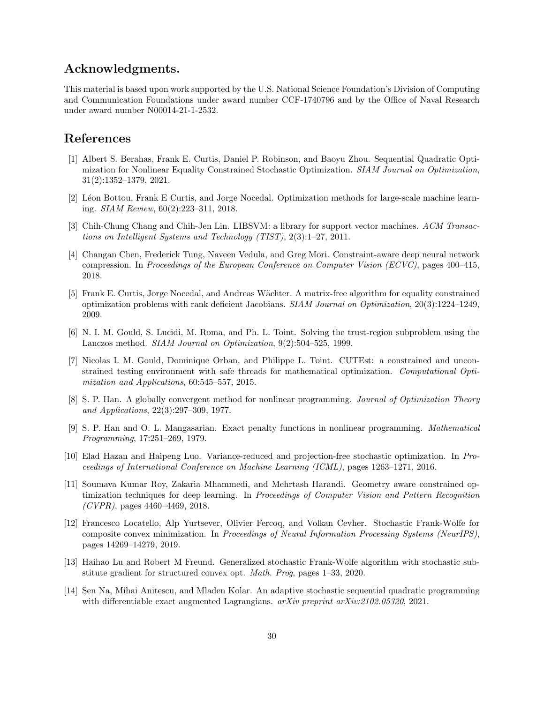## Acknowledgments.

This material is based upon work supported by the U.S. National Science Foundation's Division of Computing and Communication Foundations under award number CCF-1740796 and by the Office of Naval Research under award number N00014-21-1-2532.

## References

- <span id="page-29-0"></span>[1] Albert S. Berahas, Frank E. Curtis, Daniel P. Robinson, and Baoyu Zhou. Sequential Quadratic Optimization for Nonlinear Equality Constrained Stochastic Optimization. SIAM Journal on Optimization, 31(2):1352–1379, 2021.
- <span id="page-29-1"></span>[2] L´eon Bottou, Frank E Curtis, and Jorge Nocedal. Optimization methods for large-scale machine learning. SIAM Review, 60(2):223–311, 2018.
- <span id="page-29-13"></span>[3] Chih-Chung Chang and Chih-Jen Lin. LIBSVM: a library for support vector machines. ACM Transactions on Intelligent Systems and Technology (TIST), 2(3):1–27, 2011.
- <span id="page-29-3"></span>[4] Changan Chen, Frederick Tung, Naveen Vedula, and Greg Mori. Constraint-aware deep neural network compression. In Proceedings of the European Conference on Computer Vision (ECVC), pages 400–415, 2018.
- <span id="page-29-11"></span>[5] Frank E. Curtis, Jorge Nocedal, and Andreas Wächter. A matrix-free algorithm for equality constrained optimization problems with rank deficient Jacobians. SIAM Journal on Optimization, 20(3):1224–1249, 2009.
- <span id="page-29-8"></span>[6] N. I. M. Gould, S. Lucidi, M. Roma, and Ph. L. Toint. Solving the trust-region subproblem using the Lanczos method. SIAM Journal on Optimization, 9(2):504–525, 1999.
- <span id="page-29-12"></span>[7] Nicolas I. M. Gould, Dominique Orban, and Philippe L. Toint. CUTEst: a constrained and unconstrained testing environment with safe threads for mathematical optimization. Computational Optimization and Applications, 60:545–557, 2015.
- <span id="page-29-9"></span>[8] S. P. Han. A globally convergent method for nonlinear programming. Journal of Optimization Theory and Applications, 22(3):297–309, 1977.
- <span id="page-29-10"></span>[9] S. P. Han and O. L. Mangasarian. Exact penalty functions in nonlinear programming. Mathematical Programming, 17:251–269, 1979.
- <span id="page-29-5"></span>[10] Elad Hazan and Haipeng Luo. Variance-reduced and projection-free stochastic optimization. In Proceedings of International Conference on Machine Learning (ICML), pages 1263–1271, 2016.
- <span id="page-29-4"></span>[11] Soumava Kumar Roy, Zakaria Mhammedi, and Mehrtash Harandi. Geometry aware constrained optimization techniques for deep learning. In Proceedings of Computer Vision and Pattern Recognition  $(CVPR)$ , pages 4460–4469, 2018.
- <span id="page-29-6"></span>[12] Francesco Locatello, Alp Yurtsever, Olivier Fercoq, and Volkan Cevher. Stochastic Frank-Wolfe for composite convex minimization. In Proceedings of Neural Information Processing Systems (NeurIPS), pages 14269–14279, 2019.
- <span id="page-29-7"></span>[13] Haihao Lu and Robert M Freund. Generalized stochastic Frank-Wolfe algorithm with stochastic substitute gradient for structured convex opt. Math. Prog, pages 1–33, 2020.
- <span id="page-29-2"></span>[14] Sen Na, Mihai Anitescu, and Mladen Kolar. An adaptive stochastic sequential quadratic programming with differentiable exact augmented Lagrangians.  $arXiv$  preprint  $arXiv:2102.05320$ , 2021.